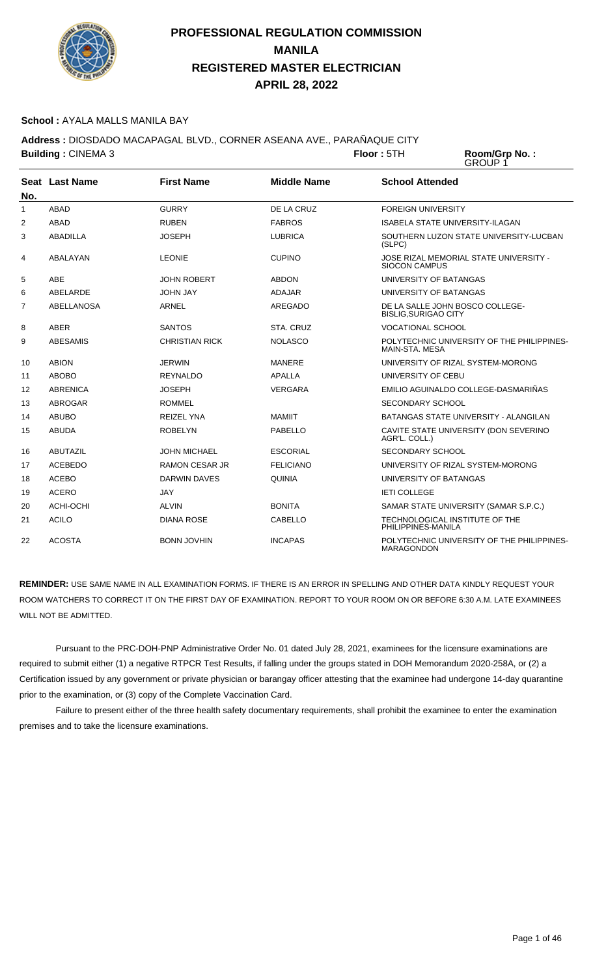

#### **School :** AYALA MALLS MANILA BAY

**Address :** DIOSDADO MACAPAGAL BLVD., CORNER ASEANA AVE., PARAÑAQUE CITY

**Building : CINEMA 3 Floor : 5TH Room/Grp No. :** GROUP 1 **Seat** Last Name **No. Last Name First Name Middle Name School Attended** 1 ABAD GURRY DE LA CRUZ FOREIGN UNIVERSITY 2 ABAD RUBEN RUBEN FABROS ISABELA STATE UNIVERSITY-ILAGAN 3 ABADILLA JOSEPH LUBRICA SOUTHERN LUZON STATE UNIVERSITY-LUCBAN (SLPC)

|    |                 |                       |                  | וט וביטן                                                        |
|----|-----------------|-----------------------|------------------|-----------------------------------------------------------------|
| 4  | ABALAYAN        | <b>LEONIE</b>         | <b>CUPINO</b>    | JOSE RIZAL MEMORIAL STATE UNIVERSITY -<br><b>SIOCON CAMPUS</b>  |
| 5  | ABE             | <b>JOHN ROBERT</b>    | <b>ABDON</b>     | UNIVERSITY OF BATANGAS                                          |
| 6  | ABELARDE        | <b>JOHN JAY</b>       | <b>ADAJAR</b>    | UNIVERSITY OF BATANGAS                                          |
| 7  | ABELLANOSA      | ARNEL                 | AREGADO          | DE LA SALLE JOHN BOSCO COLLEGE-<br><b>BISLIG, SURIGAO CITY</b>  |
| 8  | <b>ABER</b>     | <b>SANTOS</b>         | STA, CRUZ        | <b>VOCATIONAL SCHOOL</b>                                        |
| 9  | <b>ABESAMIS</b> | <b>CHRISTIAN RICK</b> | <b>NOLASCO</b>   | POLYTECHNIC UNIVERSITY OF THE PHILIPPINES-<br>MAIN-STA, MESA    |
| 10 | <b>ABION</b>    | <b>JERWIN</b>         | MANERE           | UNIVERSITY OF RIZAL SYSTEM-MORONG                               |
| 11 | <b>ABOBO</b>    | <b>REYNALDO</b>       | <b>APALLA</b>    | UNIVERSITY OF CEBU                                              |
| 12 | <b>ABRENICA</b> | <b>JOSEPH</b>         | <b>VERGARA</b>   | EMILIO AGUINALDO COLLEGE-DASMARIÑAS                             |
| 13 | <b>ABROGAR</b>  | <b>ROMMEL</b>         |                  | <b>SECONDARY SCHOOL</b>                                         |
| 14 | <b>ABUBO</b>    | <b>REIZEL YNA</b>     | <b>MAMIIT</b>    | BATANGAS STATE UNIVERSITY - ALANGILAN                           |
| 15 | <b>ABUDA</b>    | <b>ROBELYN</b>        | PABELLO          | CAVITE STATE UNIVERSITY (DON SEVERINO<br>AGR'L. COLL.)          |
| 16 | <b>ABUTAZIL</b> | <b>JOHN MICHAEL</b>   | <b>ESCORIAL</b>  | SECONDARY SCHOOL                                                |
| 17 | <b>ACEBEDO</b>  | <b>RAMON CESAR JR</b> | <b>FELICIANO</b> | UNIVERSITY OF RIZAL SYSTEM-MORONG                               |
| 18 | <b>ACEBO</b>    | <b>DARWIN DAVES</b>   | <b>QUINIA</b>    | UNIVERSITY OF BATANGAS                                          |
| 19 | <b>ACERO</b>    | <b>JAY</b>            |                  | <b>IETI COLLEGE</b>                                             |
| 20 | ACHI-OCHI       | <b>ALVIN</b>          | <b>BONITA</b>    | SAMAR STATE UNIVERSITY (SAMAR S.P.C.)                           |
| 21 | <b>ACILO</b>    | <b>DIANA ROSE</b>     | CABELLO          | TECHNOLOGICAL INSTITUTE OF THE<br>PHILIPPINES-MANILA            |
| 22 | <b>ACOSTA</b>   | <b>BONN JOVHIN</b>    | <b>INCAPAS</b>   | POLYTECHNIC UNIVERSITY OF THE PHILIPPINES-<br><b>MARAGONDON</b> |

**REMINDER:** USE SAME NAME IN ALL EXAMINATION FORMS. IF THERE IS AN ERROR IN SPELLING AND OTHER DATA KINDLY REQUEST YOUR ROOM WATCHERS TO CORRECT IT ON THE FIRST DAY OF EXAMINATION. REPORT TO YOUR ROOM ON OR BEFORE 6:30 A.M. LATE EXAMINEES WILL NOT BE ADMITTED.

 Pursuant to the PRC-DOH-PNP Administrative Order No. 01 dated July 28, 2021, examinees for the licensure examinations are required to submit either (1) a negative RTPCR Test Results, if falling under the groups stated in DOH Memorandum 2020-258A, or (2) a Certification issued by any government or private physician or barangay officer attesting that the examinee had undergone 14-day quarantine prior to the examination, or (3) copy of the Complete Vaccination Card.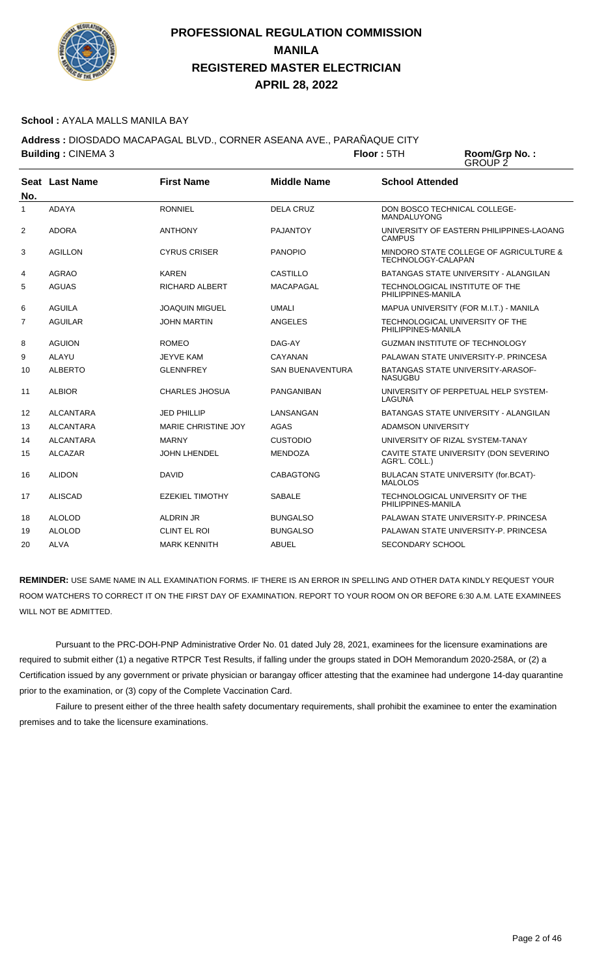

#### School : AYALA MALLS MANILA BAY

**Address :** DIOSDADO MACAPAGAL BLVD., CORNER ASEANA AVE., PARAÑAQUE CITY **Building : CINEMA 3 Floor : 5TH** 

Room/Grp No.:<br>GROUP 2

| No.            | Seat Last Name   | <b>First Name</b>          | <b>Middle Name</b>      | <b>School Attended</b>                                       |
|----------------|------------------|----------------------------|-------------------------|--------------------------------------------------------------|
| $\mathbf{1}$   | <b>ADAYA</b>     | <b>RONNIEL</b>             | <b>DELA CRUZ</b>        | DON BOSCO TECHNICAL COLLEGE-<br><b>MANDALUYONG</b>           |
| 2              | <b>ADORA</b>     | <b>ANTHONY</b>             | <b>PAJANTOY</b>         | UNIVERSITY OF EASTERN PHILIPPINES-LAOANG<br>CAMPUS           |
| 3              | <b>AGILLON</b>   | <b>CYRUS CRISER</b>        | <b>PANOPIO</b>          | MINDORO STATE COLLEGE OF AGRICULTURE &<br>TECHNOLOGY-CALAPAN |
| 4              | <b>AGRAO</b>     | <b>KAREN</b>               | <b>CASTILLO</b>         | BATANGAS STATE UNIVERSITY - ALANGILAN                        |
| 5              | <b>AGUAS</b>     | <b>RICHARD ALBERT</b>      | MACAPAGAL               | TECHNOLOGICAL INSTITUTE OF THE<br>PHILIPPINES-MANILA         |
| 6              | <b>AGUILA</b>    | JOAQUIN MIGUEL             | <b>UMALI</b>            | MAPUA UNIVERSITY (FOR M.I.T.) - MANILA                       |
| $\overline{7}$ | <b>AGUILAR</b>   | <b>JOHN MARTIN</b>         | <b>ANGELES</b>          | TECHNOLOGICAL UNIVERSITY OF THE<br>PHILIPPINES-MANILA        |
| 8              | <b>AGUION</b>    | <b>ROMEO</b>               | DAG-AY                  | <b>GUZMAN INSTITUTE OF TECHNOLOGY</b>                        |
| 9              | <b>ALAYU</b>     | <b>JEYVE KAM</b>           | CAYANAN                 | PALAWAN STATE UNIVERSITY-P. PRINCESA                         |
| 10             | <b>ALBERTO</b>   | <b>GLENNFREY</b>           | <b>SAN BUENAVENTURA</b> | <b>BATANGAS STATE UNIVERSITY-ARASOF-</b><br><b>NASUGBU</b>   |
| 11             | <b>ALBIOR</b>    | <b>CHARLES JHOSUA</b>      | <b>PANGANIBAN</b>       | UNIVERSITY OF PERPETUAL HELP SYSTEM-<br>LAGUNA               |
| 12             | <b>ALCANTARA</b> | <b>JED PHILLIP</b>         | LANSANGAN               | <b>BATANGAS STATE UNIVERSITY - ALANGILAN</b>                 |
| 13             | <b>ALCANTARA</b> | <b>MARIE CHRISTINE JOY</b> | <b>AGAS</b>             | <b>ADAMSON UNIVERSITY</b>                                    |
| 14             | <b>ALCANTARA</b> | <b>MARNY</b>               | <b>CUSTODIO</b>         | UNIVERSITY OF RIZAL SYSTEM-TANAY                             |
| 15             | <b>ALCAZAR</b>   | <b>JOHN LHENDEL</b>        | <b>MENDOZA</b>          | CAVITE STATE UNIVERSITY (DON SEVERINO<br>AGR'L. COLL.)       |
| 16             | <b>ALIDON</b>    | <b>DAVID</b>               | <b>CABAGTONG</b>        | BULACAN STATE UNIVERSITY (for.BCAT)-<br><b>MALOLOS</b>       |
| 17             | <b>ALISCAD</b>   | <b>EZEKIEL TIMOTHY</b>     | <b>SABALE</b>           | TECHNOLOGICAL UNIVERSITY OF THE<br>PHILIPPINES-MANILA        |
| 18             | <b>ALOLOD</b>    | <b>ALDRIN JR</b>           | <b>BUNGALSO</b>         | PALAWAN STATE UNIVERSITY-P. PRINCESA                         |
| 19             | <b>ALOLOD</b>    | <b>CLINT EL ROI</b>        | <b>BUNGALSO</b>         | PALAWAN STATE UNIVERSITY-P. PRINCESA                         |
| 20             | <b>ALVA</b>      | <b>MARK KENNITH</b>        | <b>ABUEL</b>            | <b>SECONDARY SCHOOL</b>                                      |

**REMINDER:** USE SAME NAME IN ALL EXAMINATION FORMS. IF THERE IS AN ERROR IN SPELLING AND OTHER DATA KINDLY REQUEST YOUR ROOM WATCHERS TO CORRECT IT ON THE FIRST DAY OF EXAMINATION. REPORT TO YOUR ROOM ON OR BEFORE 6:30 A.M. LATE EXAMINEES WILL NOT BE ADMITTED.

 Pursuant to the PRC-DOH-PNP Administrative Order No. 01 dated July 28, 2021, examinees for the licensure examinations are required to submit either (1) a negative RTPCR Test Results, if falling under the groups stated in DOH Memorandum 2020-258A, or (2) a Certification issued by any government or private physician or barangay officer attesting that the examinee had undergone 14-day quarantine prior to the examination, or (3) copy of the Complete Vaccination Card.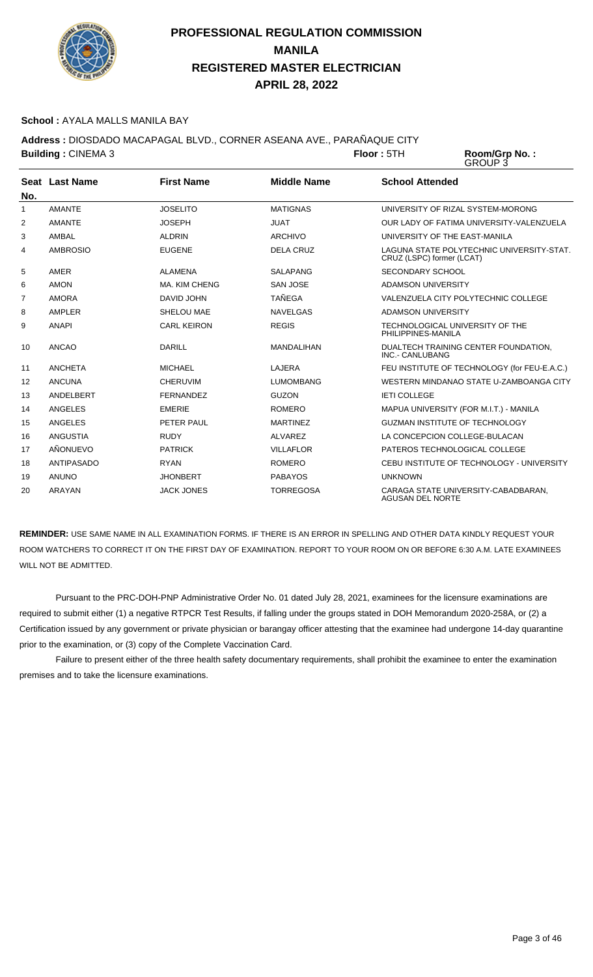

#### **School :** AYALA MALLS MANILA BAY

**Address :** DIOSDADO MACAPAGAL BLVD., CORNER ASEANA AVE., PARAÑAQUE CITY **Building : CINEMA 3 Floor : 5TH** 

Room/Grp No.:<br>GROUP 3

| No.            | Seat Last Name    | <b>First Name</b>  | <b>Middle Name</b> | <b>School Attended</b>                                                 |
|----------------|-------------------|--------------------|--------------------|------------------------------------------------------------------------|
| 1              | <b>AMANTE</b>     | <b>JOSELITO</b>    | <b>MATIGNAS</b>    | UNIVERSITY OF RIZAL SYSTEM-MORONG                                      |
| 2              | <b>AMANTE</b>     | <b>JOSEPH</b>      | <b>JUAT</b>        | OUR LADY OF FATIMA UNIVERSITY-VALENZUELA                               |
| 3              | AMBAL             | <b>ALDRIN</b>      | <b>ARCHIVO</b>     | UNIVERSITY OF THE EAST-MANILA                                          |
| 4              | <b>AMBROSIO</b>   | <b>EUGENE</b>      | <b>DELA CRUZ</b>   | LAGUNA STATE POLYTECHNIC UNIVERSITY-STAT.<br>CRUZ (LSPC) former (LCAT) |
| 5              | AMER              | ALAMENA            | SALAPANG           | SECONDARY SCHOOL                                                       |
| 6              | <b>AMON</b>       | MA. KIM CHENG      | <b>SAN JOSE</b>    | ADAMSON UNIVERSITY                                                     |
| $\overline{7}$ | <b>AMORA</b>      | DAVID JOHN         | <b>TAÑEGA</b>      | VALENZUELA CITY POLYTECHNIC COLLEGE                                    |
| 8              | AMPLER            | SHELOU MAE         | <b>NAVELGAS</b>    | <b>ADAMSON UNIVERSITY</b>                                              |
| 9              | <b>ANAPI</b>      | <b>CARL KEIRON</b> | <b>REGIS</b>       | TECHNOLOGICAL UNIVERSITY OF THE<br>PHILIPPINES-MANILA                  |
| 10             | <b>ANCAO</b>      | <b>DARILL</b>      | <b>MANDALIHAN</b>  | DUALTECH TRAINING CENTER FOUNDATION,<br>INC.- CANLUBANG                |
| 11             | <b>ANCHETA</b>    | <b>MICHAEL</b>     | LAJERA             | FEU INSTITUTE OF TECHNOLOGY (for FEU-E.A.C.)                           |
| 12             | ANCUNA            | <b>CHERUVIM</b>    | <b>LUMOMBANG</b>   | WESTERN MINDANAO STATE U-ZAMBOANGA CITY                                |
| 13             | ANDELBERT         | <b>FERNANDEZ</b>   | <b>GUZON</b>       | <b>IETI COLLEGE</b>                                                    |
| 14             | ANGELES           | <b>EMERIE</b>      | <b>ROMERO</b>      | MAPUA UNIVERSITY (FOR M.I.T.) - MANILA                                 |
| 15             | ANGELES           | PETER PAUL         | <b>MARTINEZ</b>    | <b>GUZMAN INSTITUTE OF TECHNOLOGY</b>                                  |
| 16             | ANGUSTIA          | <b>RUDY</b>        | <b>ALVAREZ</b>     | LA CONCEPCION COLLEGE-BULACAN                                          |
| 17             | AÑONUEVO          | <b>PATRICK</b>     | <b>VILLAFLOR</b>   | PATEROS TECHNOLOGICAL COLLEGE                                          |
| 18             | <b>ANTIPASADO</b> | <b>RYAN</b>        | <b>ROMERO</b>      | CEBU INSTITUTE OF TECHNOLOGY - UNIVERSITY                              |
| 19             | <b>ANUNO</b>      | <b>JHONBERT</b>    | <b>PABAYOS</b>     | <b>UNKNOWN</b>                                                         |
| 20             | <b>ARAYAN</b>     | <b>JACK JONES</b>  | <b>TORREGOSA</b>   | CARAGA STATE UNIVERSITY-CABADBARAN.<br><b>AGUSAN DEL NORTE</b>         |

**REMINDER:** USE SAME NAME IN ALL EXAMINATION FORMS. IF THERE IS AN ERROR IN SPELLING AND OTHER DATA KINDLY REQUEST YOUR ROOM WATCHERS TO CORRECT IT ON THE FIRST DAY OF EXAMINATION. REPORT TO YOUR ROOM ON OR BEFORE 6:30 A.M. LATE EXAMINEES WILL NOT BE ADMITTED.

 Pursuant to the PRC-DOH-PNP Administrative Order No. 01 dated July 28, 2021, examinees for the licensure examinations are required to submit either (1) a negative RTPCR Test Results, if falling under the groups stated in DOH Memorandum 2020-258A, or (2) a Certification issued by any government or private physician or barangay officer attesting that the examinee had undergone 14-day quarantine prior to the examination, or (3) copy of the Complete Vaccination Card.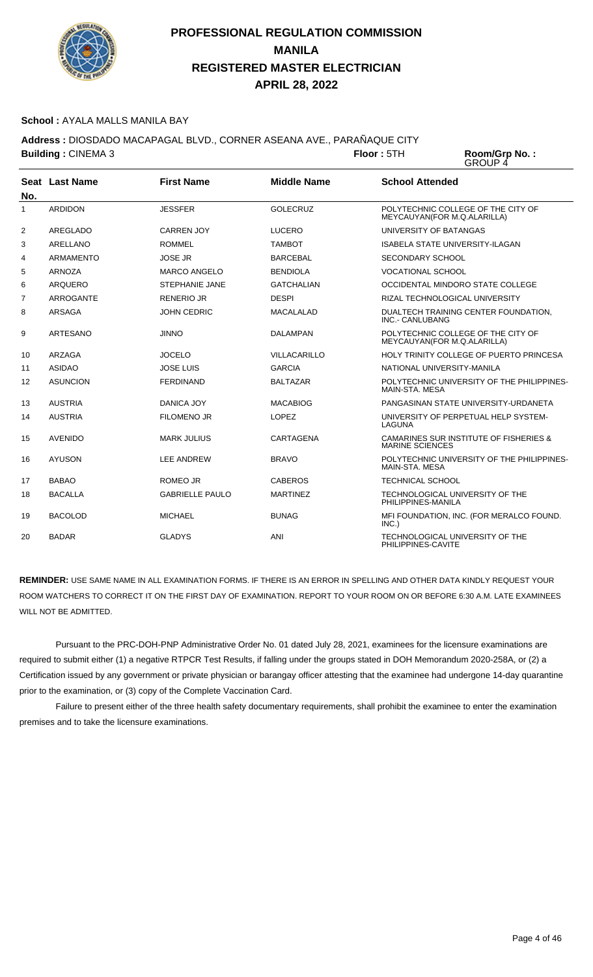

#### **School :** AYALA MALLS MANILA BAY

**Address :** DIOSDADO MACAPAGAL BLVD., CORNER ASEANA AVE., PARAÑAQUE CITY **Building : CINEMA 3 Floor : 5TH** 

Room/Grp No.:<br>GROUP 4

| No.            | Seat Last Name   | <b>First Name</b>      | <b>Middle Name</b> | <b>School Attended</b>                                            |
|----------------|------------------|------------------------|--------------------|-------------------------------------------------------------------|
| $\mathbf{1}$   | <b>ARDIDON</b>   | <b>JESSFER</b>         | <b>GOLECRUZ</b>    | POLYTECHNIC COLLEGE OF THE CITY OF<br>MEYCAUYAN(FOR M.Q.ALARILLA) |
| 2              | AREGLADO         | <b>CARREN JOY</b>      | <b>LUCERO</b>      | UNIVERSITY OF BATANGAS                                            |
| 3              | <b>ARELLANO</b>  | <b>ROMMEL</b>          | <b>TAMBOT</b>      | <b>ISABELA STATE UNIVERSITY-ILAGAN</b>                            |
| 4              | <b>ARMAMENTO</b> | <b>JOSE JR</b>         | <b>BARCEBAL</b>    | SECONDARY SCHOOL                                                  |
| 5              | <b>ARNOZA</b>    | <b>MARCO ANGELO</b>    | <b>BENDIOLA</b>    | <b>VOCATIONAL SCHOOL</b>                                          |
| 6              | <b>ARQUERO</b>   | <b>STEPHANIE JANE</b>  | <b>GATCHALIAN</b>  | OCCIDENTAL MINDORO STATE COLLEGE                                  |
| $\overline{7}$ | <b>ARROGANTE</b> | <b>RENERIO JR</b>      | <b>DESPI</b>       | RIZAL TECHNOLOGICAL UNIVERSITY                                    |
| 8              | <b>ARSAGA</b>    | <b>JOHN CEDRIC</b>     | <b>MACALALAD</b>   | DUALTECH TRAINING CENTER FOUNDATION,<br>INC.- CANLUBANG           |
| 9              | <b>ARTESANO</b>  | <b>JINNO</b>           | <b>DALAMPAN</b>    | POLYTECHNIC COLLEGE OF THE CITY OF<br>MEYCAUYAN(FOR M.Q.ALARILLA) |
| 10             | ARZAGA           | <b>JOCELO</b>          | VILLACARILLO       | HOLY TRINITY COLLEGE OF PUERTO PRINCESA                           |
| 11             | <b>ASIDAO</b>    | <b>JOSE LUIS</b>       | <b>GARCIA</b>      | NATIONAL UNIVERSITY-MANILA                                        |
| 12             | <b>ASUNCION</b>  | <b>FERDINAND</b>       | <b>BALTAZAR</b>    | POLYTECHNIC UNIVERSITY OF THE PHILIPPINES-<br>MAIN-STA, MESA      |
| 13             | <b>AUSTRIA</b>   | DANICA JOY             | <b>MACABIOG</b>    | PANGASINAN STATE UNIVERSITY-URDANETA                              |
| 14             | <b>AUSTRIA</b>   | <b>FILOMENO JR</b>     | <b>LOPEZ</b>       | UNIVERSITY OF PERPETUAL HELP SYSTEM-<br>LAGUNA                    |
| 15             | <b>AVENIDO</b>   | <b>MARK JULIUS</b>     | CARTAGENA          | CAMARINES SUR INSTITUTE OF FISHERIES &<br><b>MARINE SCIENCES</b>  |
| 16             | <b>AYUSON</b>    | <b>LEE ANDREW</b>      | <b>BRAVO</b>       | POLYTECHNIC UNIVERSITY OF THE PHILIPPINES-<br>MAIN-STA, MESA      |
| 17             | <b>BABAO</b>     | <b>ROMEO JR</b>        | <b>CABEROS</b>     | <b>TECHNICAL SCHOOL</b>                                           |
| 18             | <b>BACALLA</b>   | <b>GABRIELLE PAULO</b> | <b>MARTINEZ</b>    | TECHNOLOGICAL UNIVERSITY OF THE<br>PHILIPPINES-MANILA             |
| 19             | <b>BACOLOD</b>   | <b>MICHAEL</b>         | <b>BUNAG</b>       | MFI FOUNDATION, INC. (FOR MERALCO FOUND.<br>INC.)                 |
| 20             | <b>BADAR</b>     | <b>GLADYS</b>          | ANI                | TECHNOLOGICAL UNIVERSITY OF THE<br>PHILIPPINES-CAVITE             |

**REMINDER:** USE SAME NAME IN ALL EXAMINATION FORMS. IF THERE IS AN ERROR IN SPELLING AND OTHER DATA KINDLY REQUEST YOUR ROOM WATCHERS TO CORRECT IT ON THE FIRST DAY OF EXAMINATION. REPORT TO YOUR ROOM ON OR BEFORE 6:30 A.M. LATE EXAMINEES WILL NOT BE ADMITTED.

 Pursuant to the PRC-DOH-PNP Administrative Order No. 01 dated July 28, 2021, examinees for the licensure examinations are required to submit either (1) a negative RTPCR Test Results, if falling under the groups stated in DOH Memorandum 2020-258A, or (2) a Certification issued by any government or private physician or barangay officer attesting that the examinee had undergone 14-day quarantine prior to the examination, or (3) copy of the Complete Vaccination Card.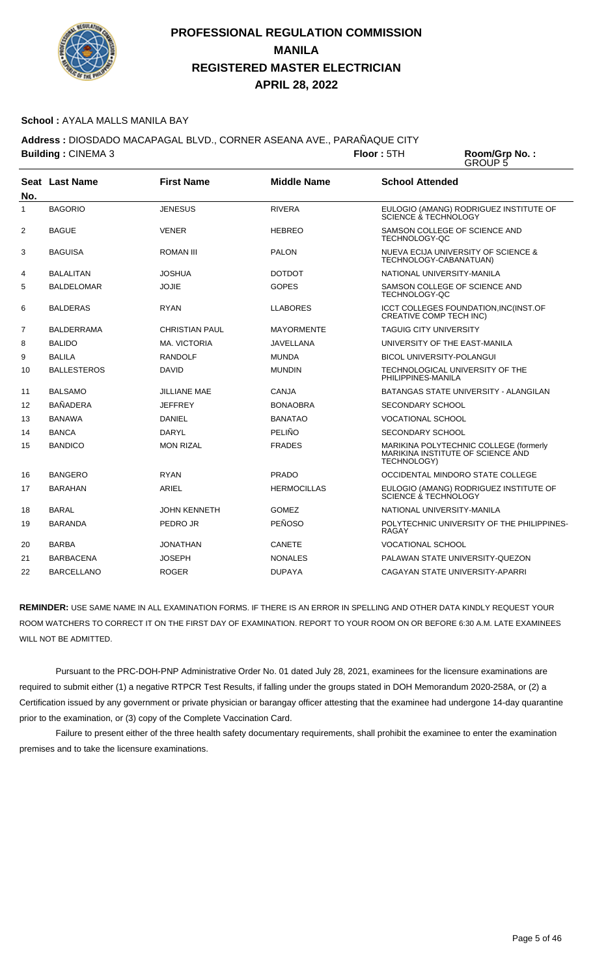

#### **School :** AYALA MALLS MANILA BAY

**Address :** DIOSDADO MACAPAGAL BLVD., CORNER ASEANA AVE., PARAÑAQUE CITY **Building : CINEMA 3 Floor : 5TH** 

Room/Grp No.:<br>GROUP 5

| No. | Seat Last Name     | <b>First Name</b>   | <b>Middle Name</b> | <b>School Attended</b>                                                                     |
|-----|--------------------|---------------------|--------------------|--------------------------------------------------------------------------------------------|
| 1   | <b>BAGORIO</b>     | <b>JENESUS</b>      | <b>RIVERA</b>      | EULOGIO (AMANG) RODRIGUEZ INSTITUTE OF<br><b>SCIENCE &amp; TECHNOLOGY</b>                  |
| 2   | <b>BAGUE</b>       | <b>VENER</b>        | <b>HEBREO</b>      | SAMSON COLLEGE OF SCIENCE AND<br>TECHNOLOGY-QC                                             |
| 3   | <b>BAGUISA</b>     | <b>ROMAN III</b>    | <b>PALON</b>       | NUEVA ECIJA UNIVERSITY OF SCIENCE &<br>TECHNOLOGY-CABANATUAN)                              |
| 4   | <b>BALALITAN</b>   | JOSHUA              | <b>DOTDOT</b>      | NATIONAL UNIVERSITY-MANILA                                                                 |
| 5   | <b>BALDELOMAR</b>  | <b>JOJIE</b>        | <b>GOPES</b>       | SAMSON COLLEGE OF SCIENCE AND<br>TECHNOLOGY-QC                                             |
| 6   | BALDERAS           | <b>RYAN</b>         | <b>LLABORES</b>    | ICCT COLLEGES FOUNDATION, INC(INST.OF<br><b>CREATIVE COMP TECH INC)</b>                    |
| 7   | <b>BALDERRAMA</b>  | CHRISTIAN PAUL      | <b>MAYORMENTE</b>  | <b>TAGUIG CITY UNIVERSITY</b>                                                              |
| 8   | <b>BALIDO</b>      | <b>MA. VICTORIA</b> | <b>JAVELLANA</b>   | UNIVERSITY OF THE EAST-MANILA                                                              |
| 9   | <b>BALILA</b>      | <b>RANDOLF</b>      | <b>MUNDA</b>       | <b>BICOL UNIVERSITY-POLANGUI</b>                                                           |
| 10  | <b>BALLESTEROS</b> | <b>DAVID</b>        | <b>MUNDIN</b>      | TECHNOLOGICAL UNIVERSITY OF THE<br>PHILIPPINES-MANILA                                      |
| 11  | <b>BALSAMO</b>     | JILLIANE MAE        | <b>CANJA</b>       | BATANGAS STATE UNIVERSITY - ALANGILAN                                                      |
| 12  | <b>BAÑADERA</b>    | <b>JEFFREY</b>      | <b>BONAOBRA</b>    | SECONDARY SCHOOL                                                                           |
| 13  | <b>BANAWA</b>      | DANIEL              | <b>BANATAO</b>     | <b>VOCATIONAL SCHOOL</b>                                                                   |
| 14  | <b>BANCA</b>       | DARYL               | PELIÑO             | SECONDARY SCHOOL                                                                           |
| 15  | <b>BANDICO</b>     | <b>MON RIZAL</b>    | <b>FRADES</b>      | MARIKINA POLYTECHNIC COLLEGE (formerly<br>MARIKINA INSTITUTE OF SCIENCE AND<br>TECHNOLOGY) |
| 16  | <b>BANGERO</b>     | <b>RYAN</b>         | <b>PRADO</b>       | OCCIDENTAL MINDORO STATE COLLEGE                                                           |
| 17  | <b>BARAHAN</b>     | ARIEL               | <b>HERMOCILLAS</b> | EULOGIO (AMANG) RODRIGUEZ INSTITUTE OF<br>SCIENCE & TECHNOLOGY                             |
| 18  | <b>BARAL</b>       | <b>JOHN KENNETH</b> | <b>GOMEZ</b>       | NATIONAL UNIVERSITY-MANILA                                                                 |
| 19  | <b>BARANDA</b>     | PEDRO JR            | <b>PEÑOSO</b>      | POLYTECHNIC UNIVERSITY OF THE PHILIPPINES-<br><b>RAGAY</b>                                 |
| 20  | <b>BARBA</b>       | JONATHAN            | <b>CANETE</b>      | <b>VOCATIONAL SCHOOL</b>                                                                   |
| 21  | <b>BARBACENA</b>   | JOSEPH              | <b>NONALES</b>     | PALAWAN STATE UNIVERSITY-QUEZON                                                            |
| 22  | <b>BARCELLANO</b>  | <b>ROGER</b>        | <b>DUPAYA</b>      | CAGAYAN STATE UNIVERSITY-APARRI                                                            |

**REMINDER:** USE SAME NAME IN ALL EXAMINATION FORMS. IF THERE IS AN ERROR IN SPELLING AND OTHER DATA KINDLY REQUEST YOUR ROOM WATCHERS TO CORRECT IT ON THE FIRST DAY OF EXAMINATION. REPORT TO YOUR ROOM ON OR BEFORE 6:30 A.M. LATE EXAMINEES WILL NOT BE ADMITTED.

 Pursuant to the PRC-DOH-PNP Administrative Order No. 01 dated July 28, 2021, examinees for the licensure examinations are required to submit either (1) a negative RTPCR Test Results, if falling under the groups stated in DOH Memorandum 2020-258A, or (2) a Certification issued by any government or private physician or barangay officer attesting that the examinee had undergone 14-day quarantine prior to the examination, or (3) copy of the Complete Vaccination Card.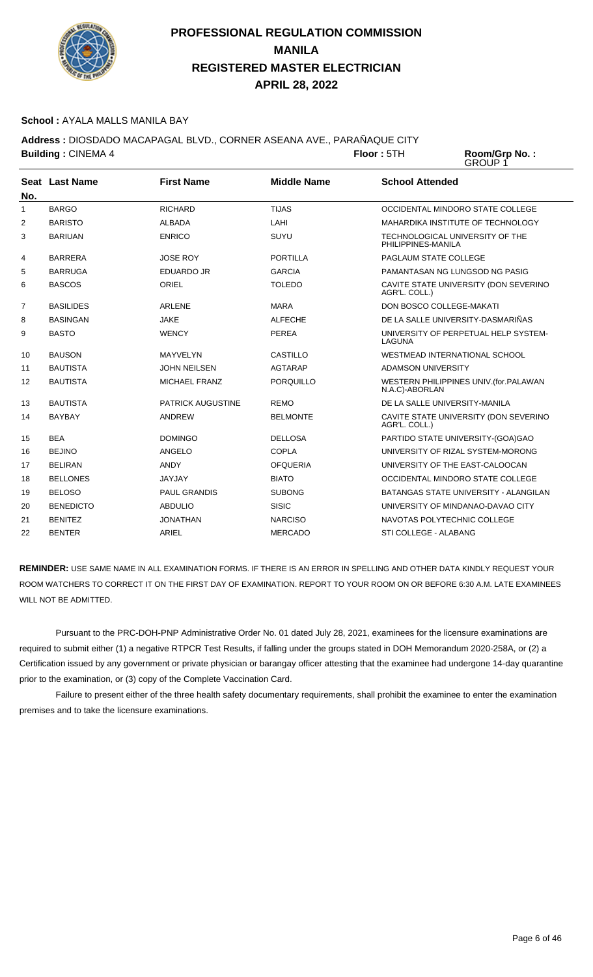

#### **School :** AYALA MALLS MANILA BAY

**Address :** DIOSDADO MACAPAGAL BLVD., CORNER ASEANA AVE., PARAÑAQUE CITY **Building : CINEMA 4 Floor : 5TH Room/Grp No. :** 

GROUP 1

| No.            | <b>Seat Last Name</b> | <b>First Name</b>        | <b>Middle Name</b> | <b>School Attended</b>                                    |
|----------------|-----------------------|--------------------------|--------------------|-----------------------------------------------------------|
| $\mathbf{1}$   | <b>BARGO</b>          | <b>RICHARD</b>           | <b>TIJAS</b>       | OCCIDENTAL MINDORO STATE COLLEGE                          |
| 2              | <b>BARISTO</b>        | <b>ALBADA</b>            | LAHI               | MAHARDIKA INSTITUTE OF TECHNOLOGY                         |
| 3              | <b>BARIUAN</b>        | <b>ENRICO</b>            | SUYU               | TECHNOLOGICAL UNIVERSITY OF THE<br>PHILIPPINES-MANILA     |
| 4              | <b>BARRERA</b>        | <b>JOSE ROY</b>          | <b>PORTILLA</b>    | PAGLAUM STATE COLLEGE                                     |
| 5              | <b>BARRUGA</b>        | <b>EDUARDO JR</b>        | <b>GARCIA</b>      | PAMANTASAN NG LUNGSOD NG PASIG                            |
| 6              | <b>BASCOS</b>         | <b>ORIEL</b>             | <b>TOLEDO</b>      | CAVITE STATE UNIVERSITY (DON SEVERINO<br>AGR'L. COLL.)    |
| $\overline{7}$ | <b>BASILIDES</b>      | <b>ARLENE</b>            | <b>MARA</b>        | DON BOSCO COLLEGE-MAKATI                                  |
| 8              | <b>BASINGAN</b>       | <b>JAKE</b>              | <b>ALFECHE</b>     | DE LA SALLE UNIVERSITY-DASMARIÑAS                         |
| 9              | <b>BASTO</b>          | <b>WENCY</b>             | <b>PEREA</b>       | UNIVERSITY OF PERPETUAL HELP SYSTEM-<br>LAGUNA            |
| 10             | <b>BAUSON</b>         | MAYVELYN                 | CASTILLO           | <b>WESTMEAD INTERNATIONAL SCHOOL</b>                      |
| 11             | <b>BAUTISTA</b>       | <b>JOHN NEILSEN</b>      | <b>AGTARAP</b>     | <b>ADAMSON UNIVERSITY</b>                                 |
| 12             | <b>BAUTISTA</b>       | <b>MICHAEL FRANZ</b>     | <b>PORQUILLO</b>   | WESTERN PHILIPPINES UNIV. (for. PALAWAN<br>N.A.C)-ABORLAN |
| 13             | <b>BAUTISTA</b>       | <b>PATRICK AUGUSTINE</b> | <b>REMO</b>        | DE LA SALLE UNIVERSITY-MANILA                             |
| 14             | <b>BAYBAY</b>         | <b>ANDREW</b>            | <b>BELMONTE</b>    | CAVITE STATE UNIVERSITY (DON SEVERINO<br>AGR'L. COLL.)    |
| 15             | <b>BEA</b>            | <b>DOMINGO</b>           | <b>DELLOSA</b>     | PARTIDO STATE UNIVERSITY-(GOA)GAO                         |
| 16             | <b>BEJINO</b>         | <b>ANGELO</b>            | <b>COPLA</b>       | UNIVERSITY OF RIZAL SYSTEM-MORONG                         |
| 17             | <b>BELIRAN</b>        | <b>ANDY</b>              | <b>OFQUERIA</b>    | UNIVERSITY OF THE EAST-CALOOCAN                           |
| 18             | <b>BELLONES</b>       | <b>JAYJAY</b>            | <b>BIATO</b>       | OCCIDENTAL MINDORO STATE COLLEGE                          |
| 19             | <b>BELOSO</b>         | <b>PAUL GRANDIS</b>      | <b>SUBONG</b>      | BATANGAS STATE UNIVERSITY - ALANGILAN                     |
| 20             | <b>BENEDICTO</b>      | <b>ABDULIO</b>           | <b>SISIC</b>       | UNIVERSITY OF MINDANAO-DAVAO CITY                         |
| 21             | <b>BENITEZ</b>        | <b>JONATHAN</b>          | <b>NARCISO</b>     | NAVOTAS POLYTECHNIC COLLEGE                               |
| 22             | <b>BENTER</b>         | ARIEL                    | <b>MERCADO</b>     | STI COLLEGE - ALABANG                                     |

**REMINDER:** USE SAME NAME IN ALL EXAMINATION FORMS. IF THERE IS AN ERROR IN SPELLING AND OTHER DATA KINDLY REQUEST YOUR ROOM WATCHERS TO CORRECT IT ON THE FIRST DAY OF EXAMINATION. REPORT TO YOUR ROOM ON OR BEFORE 6:30 A.M. LATE EXAMINEES WILL NOT BE ADMITTED.

 Pursuant to the PRC-DOH-PNP Administrative Order No. 01 dated July 28, 2021, examinees for the licensure examinations are required to submit either (1) a negative RTPCR Test Results, if falling under the groups stated in DOH Memorandum 2020-258A, or (2) a Certification issued by any government or private physician or barangay officer attesting that the examinee had undergone 14-day quarantine prior to the examination, or (3) copy of the Complete Vaccination Card.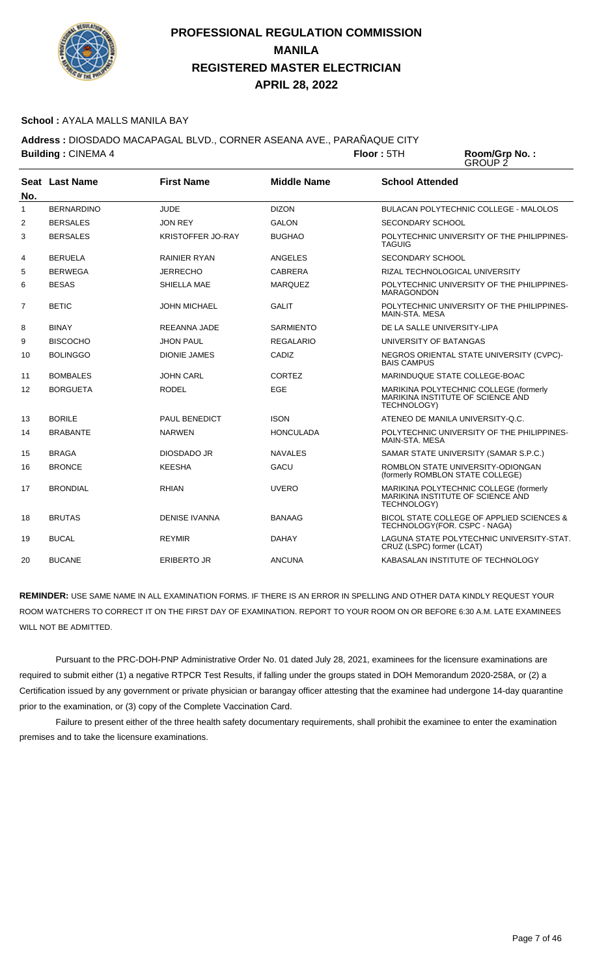

#### **School :** AYALA MALLS MANILA BAY

**Address :** DIOSDADO MACAPAGAL BLVD., CORNER ASEANA AVE., PARAÑAQUE CITY **Building : CINEMA 4 Floor : 5TH** 

Room/Grp No.:<br>GROUP 2

| No.          | Seat Last Name    | <b>First Name</b>        | <b>Middle Name</b> | <b>School Attended</b>                                                                     |
|--------------|-------------------|--------------------------|--------------------|--------------------------------------------------------------------------------------------|
| $\mathbf{1}$ | <b>BERNARDINO</b> | <b>JUDE</b>              | <b>DIZON</b>       | <b>BULACAN POLYTECHNIC COLLEGE - MALOLOS</b>                                               |
| 2            | <b>BERSALES</b>   | <b>JON REY</b>           | <b>GALON</b>       | <b>SECONDARY SCHOOL</b>                                                                    |
| 3            | <b>BERSALES</b>   | <b>KRISTOFFER JO-RAY</b> | <b>BUGHAO</b>      | POLYTECHNIC UNIVERSITY OF THE PHILIPPINES-<br><b>TAGUIG</b>                                |
| 4            | <b>BERUELA</b>    | <b>RAINIER RYAN</b>      | ANGELES            | <b>SECONDARY SCHOOL</b>                                                                    |
| 5            | <b>BERWEGA</b>    | <b>JERRECHO</b>          | <b>CABRERA</b>     | RIZAL TECHNOLOGICAL UNIVERSITY                                                             |
| 6            | <b>BESAS</b>      | SHIELLA MAE              | <b>MARQUEZ</b>     | POLYTECHNIC UNIVERSITY OF THE PHILIPPINES-<br><b>MARAGONDON</b>                            |
| 7            | <b>BETIC</b>      | <b>JOHN MICHAEL</b>      | <b>GALIT</b>       | POLYTECHNIC UNIVERSITY OF THE PHILIPPINES-<br>MAIN-STA, MESA                               |
| 8            | <b>BINAY</b>      | <b>REEANNA JADE</b>      | <b>SARMIENTO</b>   | DE LA SALLE UNIVERSITY-LIPA                                                                |
| 9            | <b>BISCOCHO</b>   | <b>JHON PAUL</b>         | <b>REGALARIO</b>   | UNIVERSITY OF BATANGAS                                                                     |
| 10           | <b>BOLINGGO</b>   | <b>DIONIE JAMES</b>      | CADIZ              | NEGROS ORIENTAL STATE UNIVERSITY (CVPC)-<br><b>BAIS CAMPUS</b>                             |
| 11           | <b>BOMBALES</b>   | <b>JOHN CARL</b>         | <b>CORTEZ</b>      | MARINDUQUE STATE COLLEGE-BOAC                                                              |
| 12           | <b>BORGUETA</b>   | <b>RODEL</b>             | EGE                | MARIKINA POLYTECHNIC COLLEGE (formerly<br>MARIKINA INSTITUTE OF SCIENCE AND<br>TECHNOLOGY) |
| 13           | <b>BORILE</b>     | PAUL BENEDICT            | <b>ISON</b>        | ATENEO DE MANILA UNIVERSITY-Q.C.                                                           |
| 14           | <b>BRABANTE</b>   | <b>NARWEN</b>            | <b>HONCULADA</b>   | POLYTECHNIC UNIVERSITY OF THE PHILIPPINES-<br>MAIN-STA, MESA                               |
| 15           | <b>BRAGA</b>      | DIOSDADO JR              | <b>NAVALES</b>     | SAMAR STATE UNIVERSITY (SAMAR S.P.C.)                                                      |
| 16           | <b>BRONCE</b>     | <b>KEESHA</b>            | GACU               | ROMBLON STATE UNIVERSITY-ODIONGAN<br>(formerly ROMBLON STATE COLLEGE)                      |
| 17           | <b>BRONDIAL</b>   | <b>RHIAN</b>             | <b>UVERO</b>       | MARIKINA POLYTECHNIC COLLEGE (formerly<br>MARIKINA INSTITUTE OF SCIENCE AND<br>TECHNOLOGY) |
| 18           | <b>BRUTAS</b>     | <b>DENISE IVANNA</b>     | <b>BANAAG</b>      | BICOL STATE COLLEGE OF APPLIED SCIENCES &<br>TECHNOLOGY(FOR. CSPC - NAGA)                  |
| 19           | <b>BUCAL</b>      | <b>REYMIR</b>            | <b>DAHAY</b>       | LAGUNA STATE POLYTECHNIC UNIVERSITY-STAT.<br>CRUZ (LSPC) former (LCAT)                     |
| 20           | <b>BUCANE</b>     | <b>ERIBERTO JR</b>       | ANCUNA             | KABASALAN INSTITUTE OF TECHNOLOGY                                                          |

**REMINDER:** USE SAME NAME IN ALL EXAMINATION FORMS. IF THERE IS AN ERROR IN SPELLING AND OTHER DATA KINDLY REQUEST YOUR ROOM WATCHERS TO CORRECT IT ON THE FIRST DAY OF EXAMINATION. REPORT TO YOUR ROOM ON OR BEFORE 6:30 A.M. LATE EXAMINEES WILL NOT BE ADMITTED.

 Pursuant to the PRC-DOH-PNP Administrative Order No. 01 dated July 28, 2021, examinees for the licensure examinations are required to submit either (1) a negative RTPCR Test Results, if falling under the groups stated in DOH Memorandum 2020-258A, or (2) a Certification issued by any government or private physician or barangay officer attesting that the examinee had undergone 14-day quarantine prior to the examination, or (3) copy of the Complete Vaccination Card.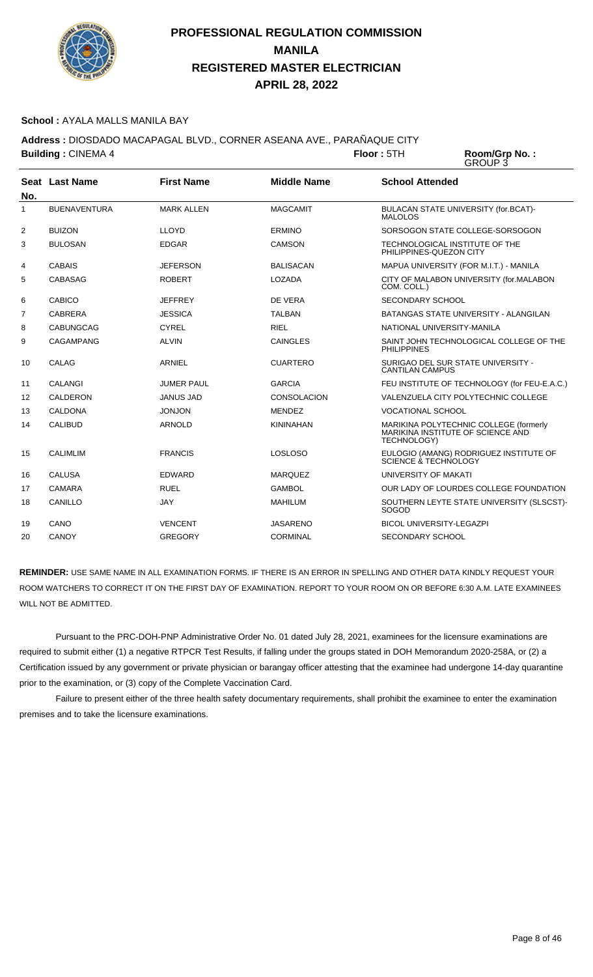

#### **School :** AYALA MALLS MANILA BAY

**Address :** DIOSDADO MACAPAGAL BLVD., CORNER ASEANA AVE., PARAÑAQUE CITY **Building : CINEMA 4 Floor : 5TH** 

Room/Grp No.:<br>GROUP 3

| No.            | Seat Last Name      | <b>First Name</b> | <b>Middle Name</b> | <b>School Attended</b>                                                                     |
|----------------|---------------------|-------------------|--------------------|--------------------------------------------------------------------------------------------|
| $\mathbf{1}$   | <b>BUENAVENTURA</b> | <b>MARK ALLEN</b> | <b>MAGCAMIT</b>    | BULACAN STATE UNIVERSITY (for.BCAT)-<br><b>MALOLOS</b>                                     |
| 2              | <b>BUIZON</b>       | <b>LLOYD</b>      | <b>ERMINO</b>      | SORSOGON STATE COLLEGE-SORSOGON                                                            |
| 3              | <b>BULOSAN</b>      | <b>EDGAR</b>      | CAMSON             | TECHNOLOGICAL INSTITUTE OF THE<br>PHILIPPINES-QUEZON CITY                                  |
| 4              | <b>CABAIS</b>       | <b>JEFERSON</b>   | <b>BALISACAN</b>   | MAPUA UNIVERSITY (FOR M.I.T.) - MANILA                                                     |
| 5              | CABASAG             | <b>ROBERT</b>     | LOZADA             | CITY OF MALABON UNIVERSITY (for.MALABON<br>COM. COLL.)                                     |
| 6              | CABICO              | <b>JEFFREY</b>    | DE VERA            | SECONDARY SCHOOL                                                                           |
| $\overline{7}$ | <b>CABRERA</b>      | <b>JESSICA</b>    | <b>TALBAN</b>      | BATANGAS STATE UNIVERSITY - ALANGILAN                                                      |
| 8              | CABUNGCAG           | <b>CYREL</b>      | <b>RIEL</b>        | NATIONAL UNIVERSITY-MANILA                                                                 |
| 9              | <b>CAGAMPANG</b>    | <b>ALVIN</b>      | <b>CAINGLES</b>    | SAINT JOHN TECHNOLOGICAL COLLEGE OF THE<br><b>PHILIPPINES</b>                              |
| 10             | CALAG               | ARNIEL            | <b>CUARTERO</b>    | SURIGAO DEL SUR STATE UNIVERSITY -<br><b>CANTILAN CAMPUS</b>                               |
| 11             | CALANGI             | <b>JUMER PAUL</b> | <b>GARCIA</b>      | FEU INSTITUTE OF TECHNOLOGY (for FEU-E.A.C.)                                               |
| 12             | CALDERON            | <b>JANUS JAD</b>  | <b>CONSOLACION</b> | VALENZUELA CITY POLYTECHNIC COLLEGE                                                        |
| 13             | CALDONA             | <b>JONJON</b>     | <b>MENDEZ</b>      | <b>VOCATIONAL SCHOOL</b>                                                                   |
| 14             | CALIBUD             | <b>ARNOLD</b>     | <b>KININAHAN</b>   | MARIKINA POLYTECHNIC COLLEGE (formerly<br>MARIKINA INSTITUTE OF SCIENCE AND<br>TECHNOLOGY) |
| 15             | <b>CALIMLIM</b>     | <b>FRANCIS</b>    | <b>LOSLOSO</b>     | EULOGIO (AMANG) RODRIGUEZ INSTITUTE OF<br>SCIENCE & TECHNOLOGY                             |
| 16             | <b>CALUSA</b>       | <b>FDWARD</b>     | <b>MARQUEZ</b>     | UNIVERSITY OF MAKATI                                                                       |
| 17             | CAMARA              | <b>RUEL</b>       | <b>GAMBOL</b>      | OUR LADY OF LOURDES COLLEGE FOUNDATION                                                     |
| 18             | CANILLO             | <b>JAY</b>        | <b>MAHILUM</b>     | SOUTHERN LEYTE STATE UNIVERSITY (SLSCST)-<br>SOGOD                                         |
| 19             | CANO                | <b>VENCENT</b>    | <b>JASARENO</b>    | <b>BICOL UNIVERSITY-LEGAZPI</b>                                                            |
| 20             | CANOY               | <b>GREGORY</b>    | <b>CORMINAL</b>    | <b>SECONDARY SCHOOL</b>                                                                    |

**REMINDER:** USE SAME NAME IN ALL EXAMINATION FORMS. IF THERE IS AN ERROR IN SPELLING AND OTHER DATA KINDLY REQUEST YOUR ROOM WATCHERS TO CORRECT IT ON THE FIRST DAY OF EXAMINATION. REPORT TO YOUR ROOM ON OR BEFORE 6:30 A.M. LATE EXAMINEES WILL NOT BE ADMITTED.

 Pursuant to the PRC-DOH-PNP Administrative Order No. 01 dated July 28, 2021, examinees for the licensure examinations are required to submit either (1) a negative RTPCR Test Results, if falling under the groups stated in DOH Memorandum 2020-258A, or (2) a Certification issued by any government or private physician or barangay officer attesting that the examinee had undergone 14-day quarantine prior to the examination, or (3) copy of the Complete Vaccination Card.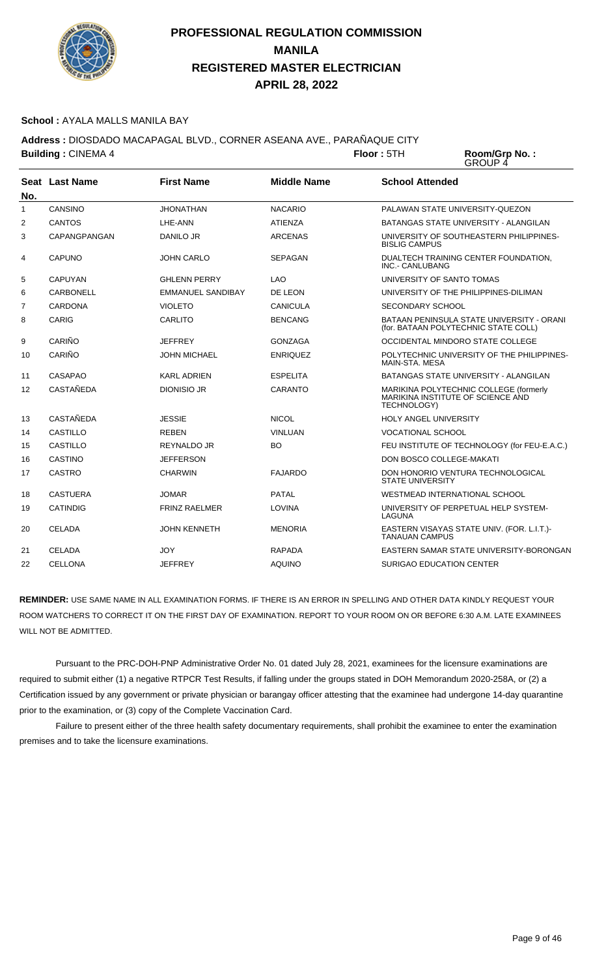

#### **School :** AYALA MALLS MANILA BAY

**Address :** DIOSDADO MACAPAGAL BLVD., CORNER ASEANA AVE., PARAÑAQUE CITY

**Building :** CINEMA 4 **Floor :** 5TH **Room/Grp No. :** GROUP 4 **Seat** Last Name **No. Last Name First Name Middle Name School Attended** 1 CANSINO JHONATHAN NACARIO PALAWAN STATE UNIVERSITY-QUEZON 2 CANTOS LHE-ANN ATIENZA BATANGAS STATE UNIVERSITY - ALANGILAN 3 CAPANGPANGAN DANILO JR ARCENAS UNIVERSITY OF SOUTHEASTERN PHILIPPINES-BISLIG CAMPUS 4 CAPUNO JOHN CARLO SEPAGAN DUALTECH TRAINING CENTER FOUNDATION, INC.- CANLUBANG 5 CAPUYAN GHLENN PERRY LAO UNIVERSITY OF SANTO TOMAS 6 CARBONELL EMMANUEL SANDIBAY DE LEON UNIVERSITY OF THE PHILIPPINES-DILIMAN 7 CARDONA VIOLETO CANICULA SECONDARY SCHOOL 8 CARIG CARLITO BENCANG BATAAN PENINSULA STATE UNIVERSITY - ORANI (for. BATAAN POLYTECHNIC STATE COLL) 9 CARIÑO JEFFREY GONZAGA OCCIDENTAL MINDORO STATE COLLEGE 10 CARIÑO JOHN MICHAEL ENRIQUEZ POLYTECHNIC UNIVERSITY OF THE PHILIPPINES-MAIN-STA. MESA 11 CASAPAO KARL ADRIEN ESPELITA BATANGAS STATE UNIVERSITY - ALANGILAN 12 CASTAÑEDA DIONISIO JR CARANTO MARIKINA POLYTECHNIC COLLEGE (formerly MARIKINA INSTITUTE OF SCIENCE AND TECHNOLOGY) 13 CASTAÑEDA JESSIE NICOL HOLY ANGEL UNIVERSITY 14 CASTILLO REBEN VINLUAN VOCATIONAL SCHOOL 15 CASTILLO REYNALDO JR BO FEU INSTITUTE OF TECHNOLOGY (for FEU-E.A.C.) 16 CASTINO JEFFERSON DON BOSCO COLLEGE-MAKATI 17 CASTRO CHARWIN FAJARDO DON HONORIO VENTURA TECHNOLOGICAL STATE UNIVERSITY

WILL NOT BE ADMITTED. Pursuant to the PRC-DOH-PNP Administrative Order No. 01 dated July 28, 2021, examinees for the licensure examinations are required to submit either (1) a negative RTPCR Test Results, if falling under the groups stated in DOH Memorandum 2020-258A, or (2) a Certification issued by any government or private physician or barangay officer attesting that the examinee had undergone 14-day quarantine

**REMINDER:** USE SAME NAME IN ALL EXAMINATION FORMS. IF THERE IS AN ERROR IN SPELLING AND OTHER DATA KINDLY REQUEST YOUR ROOM WATCHERS TO CORRECT IT ON THE FIRST DAY OF EXAMINATION. REPORT TO YOUR ROOM ON OR BEFORE 6:30 A.M. LATE EXAMINEES

20 CELADA JOHN KENNETH MENORIA EASTERN VISAYAS STATE UNIV. (FOR. L.I.T.)-

21 CELADA JOY RAPADA EASTERN SAMAR STATE UNIVERSITY-BORONGAN

LAGUNA

TANAUAN CAMPUS

18 CASTUERA JOMAR PATAL PATAL WESTMEAD INTERNATIONAL SCHOOL 19 CATINDIG FRINZ RAELMER LOVINA LOVINA UNIVERSITY OF PERPETUAL HELP SYSTEM-

22 CELLONA JEFFREY AQUINO SURIGAO EDUCATION CENTER

prior to the examination, or (3) copy of the Complete Vaccination Card. Failure to present either of the three health safety documentary requirements, shall prohibit the examinee to enter the examination premises and to take the licensure examinations.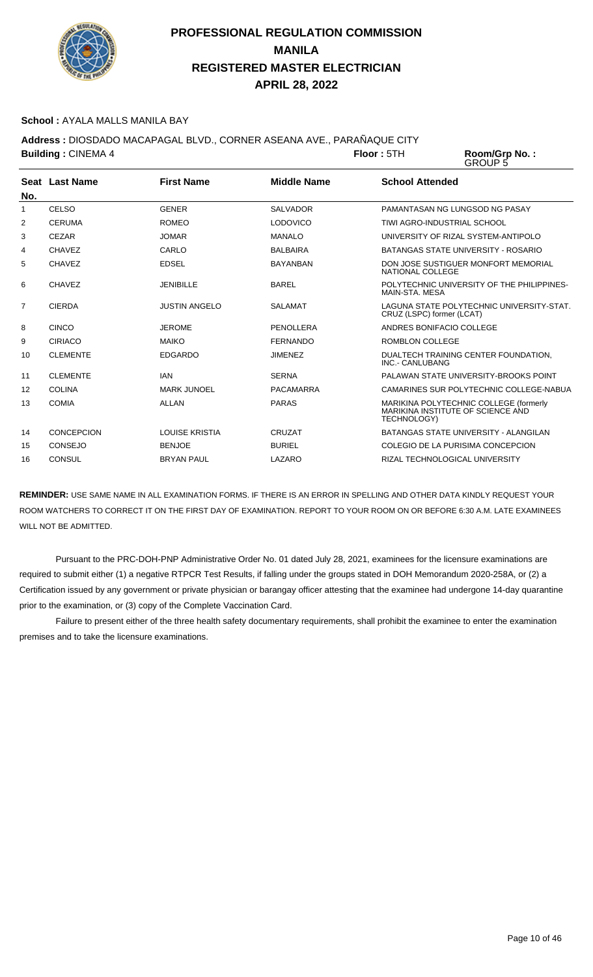

#### **School :** AYALA MALLS MANILA BAY

**Address :** DIOSDADO MACAPAGAL BLVD., CORNER ASEANA AVE., PARAÑAQUE CITY

**Building : CINEMA 4 <b>Floor** : 5TH Room/Grp No.:<br>GROUP 5

|     | Seat Last Name  | <b>First Name</b>    | <b>Middle Name</b> | <b>School Attended</b>                                                                            |
|-----|-----------------|----------------------|--------------------|---------------------------------------------------------------------------------------------------|
| No. |                 |                      |                    |                                                                                                   |
| 1   | <b>CELSO</b>    | <b>GENER</b>         | <b>SALVADOR</b>    | PAMANTASAN NG LUNGSOD NG PASAY                                                                    |
| 2   | <b>CERUMA</b>   | <b>ROMEO</b>         | <b>LODOVICO</b>    | TIWI AGRO-INDUSTRIAL SCHOOL                                                                       |
| 3   | CEZAR           | <b>JOMAR</b>         | <b>MANALO</b>      | UNIVERSITY OF RIZAL SYSTEM-ANTIPOLO                                                               |
| 4   | CHAVEZ          | CARLO                | <b>BALBAIRA</b>    | BATANGAS STATE UNIVERSITY - ROSARIO                                                               |
| 5   | <b>CHAVEZ</b>   | <b>EDSEL</b>         | <b>BAYANBAN</b>    | DON JOSE SUSTIGUER MONFORT MEMORIAL<br>NATIONAL COLLEGE                                           |
| 6   | CHAVEZ          | <b>JENIBILLE</b>     | <b>BAREL</b>       | POLYTECHNIC UNIVERSITY OF THE PHILIPPINES-<br>MAIN-STA, MESA                                      |
| 7   | <b>CIERDA</b>   | <b>JUSTIN ANGELO</b> | <b>SALAMAT</b>     | LAGUNA STATE POLYTECHNIC UNIVERSITY-STAT.<br>CRUZ (LSPC) former (LCAT)                            |
| 8   | <b>CINCO</b>    | <b>JEROME</b>        | PENOLLERA          | ANDRES BONIFACIO COLLEGE                                                                          |
| 9   | <b>CIRIACO</b>  | <b>MAIKO</b>         | <b>FERNANDO</b>    | <b>ROMBLON COLLEGE</b>                                                                            |
| 10  | <b>CLEMENTE</b> | <b>EDGARDO</b>       | <b>JIMENEZ</b>     | DUALTECH TRAINING CENTER FOUNDATION,<br>INC.- CANLUBANG                                           |
| 11  | <b>CLEMENTE</b> | <b>IAN</b>           | <b>SERNA</b>       | PALAWAN STATE UNIVERSITY-BROOKS POINT                                                             |
| 12  | <b>COLINA</b>   | <b>MARK JUNOEL</b>   | PACAMARRA          | CAMARINES SUR POLYTECHNIC COLLEGE-NABUA                                                           |
| 13  | <b>COMIA</b>    | <b>ALLAN</b>         | <b>PARAS</b>       | MARIKINA POLYTECHNIC COLLEGE (formerly<br>MARIKINA INSTITUTE OF SCIENCE AND<br><b>TECHNOLOGY)</b> |
| 14  | CONCEPCION      | LOUISE KRISTIA       | CRUZAT             | BATANGAS STATE UNIVERSITY - ALANGILAN                                                             |
| 15  | <b>CONSEJO</b>  | <b>BENJOE</b>        | <b>BURIEL</b>      | COLEGIO DE LA PURISIMA CONCEPCION                                                                 |
| 16  | <b>CONSUL</b>   | <b>BRYAN PAUL</b>    | LAZARO             | RIZAL TECHNOLOGICAL UNIVERSITY                                                                    |

**REMINDER:** USE SAME NAME IN ALL EXAMINATION FORMS. IF THERE IS AN ERROR IN SPELLING AND OTHER DATA KINDLY REQUEST YOUR ROOM WATCHERS TO CORRECT IT ON THE FIRST DAY OF EXAMINATION. REPORT TO YOUR ROOM ON OR BEFORE 6:30 A.M. LATE EXAMINEES WILL NOT BE ADMITTED.

 Pursuant to the PRC-DOH-PNP Administrative Order No. 01 dated July 28, 2021, examinees for the licensure examinations are required to submit either (1) a negative RTPCR Test Results, if falling under the groups stated in DOH Memorandum 2020-258A, or (2) a Certification issued by any government or private physician or barangay officer attesting that the examinee had undergone 14-day quarantine prior to the examination, or (3) copy of the Complete Vaccination Card.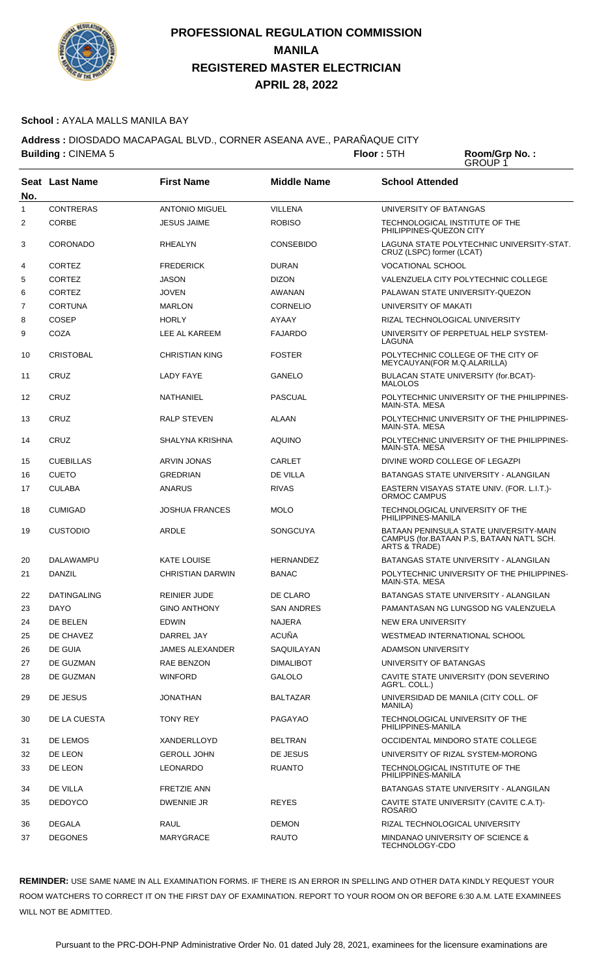

#### **School :** AYALA MALLS MANILA BAY

**Address :** DIOSDADO MACAPAGAL BLVD., CORNER ASEANA AVE., PARAÑAQUE CITY **Building : CINEMA 5 <b>Floor** : 5TH

Room/Grp No.:<br>GROUP 1

| No.            | Seat Last Name     | <b>First Name</b>       | <b>Middle Name</b> | <b>School Attended</b>                                                                               |
|----------------|--------------------|-------------------------|--------------------|------------------------------------------------------------------------------------------------------|
| 1              | <b>CONTRERAS</b>   | <b>ANTONIO MIGUEL</b>   | <b>VILLENA</b>     | UNIVERSITY OF BATANGAS                                                                               |
| $\overline{2}$ | <b>CORBE</b>       | <b>JESUS JAIME</b>      | <b>ROBISO</b>      | TECHNOLOGICAL INSTITUTE OF THE<br>PHILIPPINES-QUEZON CITY                                            |
| 3              | <b>CORONADO</b>    | <b>RHEALYN</b>          | <b>CONSEBIDO</b>   | LAGUNA STATE POLYTECHNIC UNIVERSITY-STAT.<br>CRUZ (LSPC) former (LCAT)                               |
| 4              | <b>CORTEZ</b>      | <b>FREDERICK</b>        | <b>DURAN</b>       | <b>VOCATIONAL SCHOOL</b>                                                                             |
| 5              | <b>CORTEZ</b>      | <b>JASON</b>            | <b>DIZON</b>       | VALENZUELA CITY POLYTECHNIC COLLEGE                                                                  |
| 6              | <b>CORTEZ</b>      | <b>JOVEN</b>            | AWANAN             | PALAWAN STATE UNIVERSITY-QUEZON                                                                      |
| 7              | <b>CORTUNA</b>     | <b>MARLON</b>           | <b>CORNELIO</b>    | UNIVERSITY OF MAKATI                                                                                 |
| 8              | <b>COSEP</b>       | <b>HORLY</b>            | AYAAY              | RIZAL TECHNOLOGICAL UNIVERSITY                                                                       |
| 9              | COZA               | LEE AL KAREEM           | <b>FAJARDO</b>     | UNIVERSITY OF PERPETUAL HELP SYSTEM-<br>LAGUNA                                                       |
| 10             | <b>CRISTOBAL</b>   | <b>CHRISTIAN KING</b>   | <b>FOSTER</b>      | POLYTECHNIC COLLEGE OF THE CITY OF<br>MEYCAUYAN(FOR M.Q.ALARILLA)                                    |
| 11             | CRUZ               | <b>LADY FAYE</b>        | <b>GANELO</b>      | BULACAN STATE UNIVERSITY (for.BCAT)-<br><b>MALOLOS</b>                                               |
| 12             | CRUZ               | NATHANIEL               | <b>PASCUAL</b>     | POLYTECHNIC UNIVERSITY OF THE PHILIPPINES-<br>MAIN-STA, MESA                                         |
| 13             | CRUZ               | <b>RALP STEVEN</b>      | <b>ALAAN</b>       | POLYTECHNIC UNIVERSITY OF THE PHILIPPINES-<br><b>MAIN-STA, MESA</b>                                  |
| 14             | CRUZ               | SHALYNA KRISHNA         | <b>AQUINO</b>      | POLYTECHNIC UNIVERSITY OF THE PHILIPPINES-<br>MAIN-STA, MESA                                         |
| 15             | <b>CUEBILLAS</b>   | <b>ARVIN JONAS</b>      | <b>CARLET</b>      | DIVINE WORD COLLEGE OF LEGAZPI                                                                       |
| 16             | <b>CUETO</b>       | <b>GREDRIAN</b>         | <b>DE VILLA</b>    | BATANGAS STATE UNIVERSITY - ALANGILAN                                                                |
| 17             | <b>CULABA</b>      | ANARUS                  | <b>RIVAS</b>       | EASTERN VISAYAS STATE UNIV. (FOR. L.I.T.)-<br>ORMOC CAMPUS                                           |
| 18             | <b>CUMIGAD</b>     | <b>JOSHUA FRANCES</b>   | <b>MOLO</b>        | TECHNOLOGICAL UNIVERSITY OF THE<br>PHILIPPINES-MANILA                                                |
| 19             | <b>CUSTODIO</b>    | <b>ARDLE</b>            | <b>SONGCUYA</b>    | BATAAN PENINSULA STATE UNIVERSITY-MAIN<br>CAMPUS (for.BATAAN P.S, BATAAN NAT'L SCH.<br>ARTS & TRADE) |
| 20             | DALAWAMPU          | <b>KATE LOUISE</b>      | <b>HERNANDEZ</b>   | <b>BATANGAS STATE UNIVERSITY - ALANGILAN</b>                                                         |
| 21             | <b>DANZIL</b>      | <b>CHRISTIAN DARWIN</b> | <b>BANAC</b>       | POLYTECHNIC UNIVERSITY OF THE PHILIPPINES-<br>MAIN-STA, MESA                                         |
| 22             | <b>DATINGALING</b> | <b>REINIER JUDE</b>     | DE CLARO           | BATANGAS STATE UNIVERSITY - ALANGILAN                                                                |
| 23             | <b>DAYO</b>        | <b>GINO ANTHONY</b>     | <b>SAN ANDRES</b>  | PAMANTASAN NG LUNGSOD NG VALENZUELA                                                                  |
| 24             | DE BELEN           | <b>EDWIN</b>            | NAJERA             | NEW ERA UNIVERSITY                                                                                   |
| 25             | DE CHAVEZ          | DARREL JAY              | <b>ACUÑA</b>       | WESTMEAD INTERNATIONAL SCHOOL                                                                        |
| 26             | DE GUIA            | <b>JAMES ALEXANDER</b>  | SAQUILAYAN         | <b>ADAMSON UNIVERSITY</b>                                                                            |
| 27             | DE GUZMAN          | RAE BENZON              | <b>DIMALIBOT</b>   | UNIVERSITY OF BATANGAS                                                                               |
| 28             | DE GUZMAN          | <b>WINFORD</b>          | <b>GALOLO</b>      | CAVITE STATE UNIVERSITY (DON SEVERINO<br>AGR'L. COLL.)                                               |
| 29             | DE JESUS           | <b>JONATHAN</b>         | <b>BALTAZAR</b>    | UNIVERSIDAD DE MANILA (CITY COLL. OF<br>MANILA)                                                      |
| 30             | DE LA CUESTA       | <b>TONY REY</b>         | PAGAYAO            | TECHNOLOGICAL UNIVERSITY OF THE<br>PHILIPPINES-MANILA                                                |
| 31             | DE LEMOS           | XANDERLLOYD             | <b>BELTRAN</b>     | OCCIDENTAL MINDORO STATE COLLEGE                                                                     |
| 32             | DE LEON            | <b>GEROLL JOHN</b>      | DE JESUS           | UNIVERSITY OF RIZAL SYSTEM-MORONG                                                                    |
| 33             | DE LEON            | <b>LEONARDO</b>         | <b>RUANTO</b>      | TECHNOLOGICAL INSTITUTE OF THE<br>PHILIPPINES-MANILA                                                 |
| 34             | DE VILLA           | <b>FRETZIE ANN</b>      |                    | BATANGAS STATE UNIVERSITY - ALANGILAN                                                                |
| 35             | <b>DEDOYCO</b>     | DWENNIE JR              | <b>REYES</b>       | CAVITE STATE UNIVERSITY (CAVITE C.A.T)-<br><b>ROSARIO</b>                                            |
| 36             | <b>DEGALA</b>      | RAUL                    | <b>DEMON</b>       | RIZAL TECHNOLOGICAL UNIVERSITY                                                                       |
| 37             | <b>DEGONES</b>     | <b>MARYGRACE</b>        | RAUTO              | MINDANAO UNIVERSITY OF SCIENCE &<br>TECHNOLOGY-CDO                                                   |

**REMINDER:** USE SAME NAME IN ALL EXAMINATION FORMS. IF THERE IS AN ERROR IN SPELLING AND OTHER DATA KINDLY REQUEST YOUR ROOM WATCHERS TO CORRECT IT ON THE FIRST DAY OF EXAMINATION. REPORT TO YOUR ROOM ON OR BEFORE 6:30 A.M. LATE EXAMINEES WILL NOT BE ADMITTED.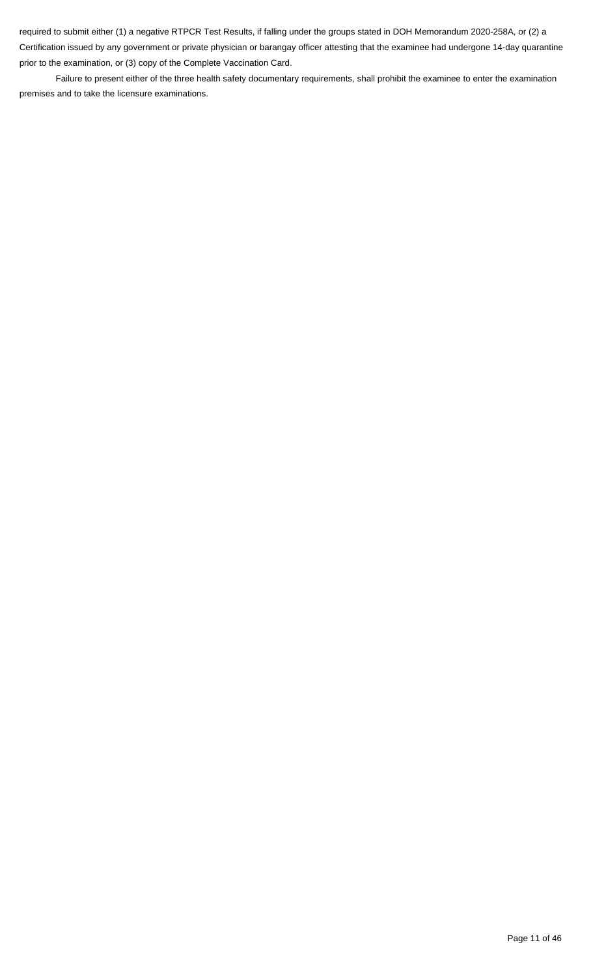required to submit either (1) a negative RTPCR Test Results, if falling under the groups stated in DOH Memorandum 2020-258A, or (2) a Certification issued by any government or private physician or barangay officer attesting that the examinee had undergone 14-day quarantine prior to the examination, or (3) copy of the Complete Vaccination Card.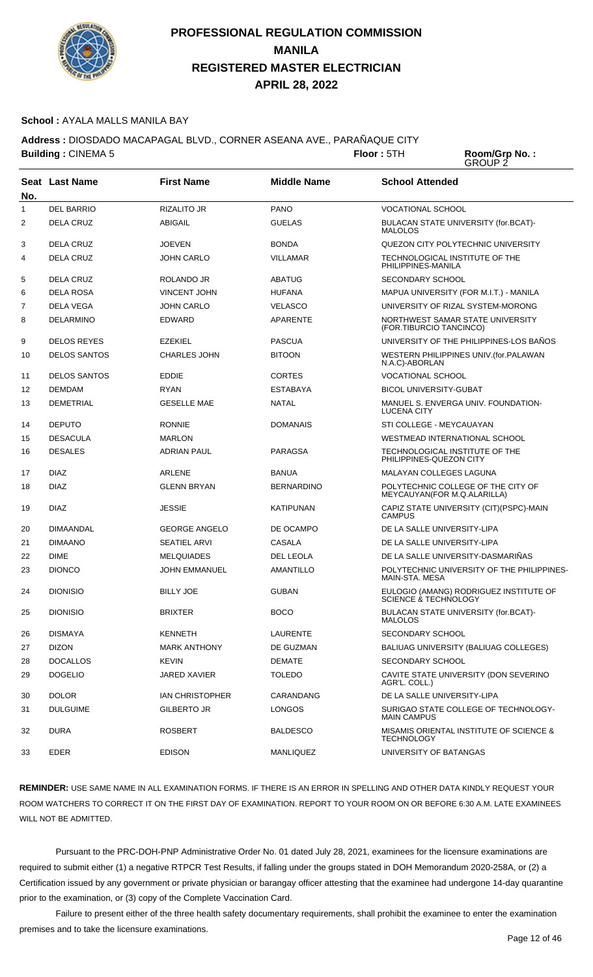

#### **School :** AYALA MALLS MANILA BAY

**Address :** DIOSDADO MACAPAGAL BLVD., CORNER ASEANA AVE., PARAÑAQUE CITY **Building : CINEMA 5 <b>Floor** : 5TH

Room/Grp No.:<br>GROUP 2

| No. | <b>Seat Last Name</b> | <b>First Name</b>      | <b>Middle Name</b> | <b>School Attended</b>                                            |
|-----|-----------------------|------------------------|--------------------|-------------------------------------------------------------------|
| 1   | <b>DEL BARRIO</b>     | RIZALITO JR            | <b>PANO</b>        | <b>VOCATIONAL SCHOOL</b>                                          |
| 2   | <b>DELA CRUZ</b>      | <b>ABIGAIL</b>         | <b>GUELAS</b>      | BULACAN STATE UNIVERSITY (for.BCAT)-<br><b>MALOLOS</b>            |
| 3   | <b>DELA CRUZ</b>      | <b>JOEVEN</b>          | <b>BONDA</b>       | QUEZON CITY POLYTECHNIC UNIVERSITY                                |
| 4   | <b>DELA CRUZ</b>      | <b>JOHN CARLO</b>      | <b>VILLAMAR</b>    | TECHNOLOGICAL INSTITUTE OF THE<br>PHILIPPINES-MANILA              |
| 5   | <b>DELA CRUZ</b>      | ROLANDO JR             | <b>ABATUG</b>      | <b>SECONDARY SCHOOL</b>                                           |
| 6   | <b>DELA ROSA</b>      | <b>VINCENT JOHN</b>    | <b>HUFANA</b>      | MAPUA UNIVERSITY (FOR M.I.T.) - MANILA                            |
| 7   | DELA VEGA             | <b>JOHN CARLO</b>      | <b>VELASCO</b>     | UNIVERSITY OF RIZAL SYSTEM-MORONG                                 |
| 8   | DELARMINO             | <b>EDWARD</b>          | <b>APARENTE</b>    | NORTHWEST SAMAR STATE UNIVERSITY<br>(FOR.TIBURCIO TANCINCO)       |
| 9   | <b>DELOS REYES</b>    | <b>EZEKIEL</b>         | <b>PASCUA</b>      | UNIVERSITY OF THE PHILIPPINES-LOS BAÑOS                           |
| 10  | <b>DELOS SANTOS</b>   | <b>CHARLES JOHN</b>    | <b>BITOON</b>      | WESTERN PHILIPPINES UNIV.(for.PALAWAN<br>N.A.C)-ABORLAN           |
| 11  | <b>DELOS SANTOS</b>   | <b>EDDIE</b>           | <b>CORTES</b>      | <b>VOCATIONAL SCHOOL</b>                                          |
| 12  | <b>DEMDAM</b>         | <b>RYAN</b>            | <b>ESTABAYA</b>    | <b>BICOL UNIVERSITY-GUBAT</b>                                     |
| 13  | <b>DEMETRIAL</b>      | <b>GESELLE MAE</b>     | <b>NATAL</b>       | MANUEL S. ENVERGA UNIV. FOUNDATION-<br><b>LUCENA CITY</b>         |
| 14  | <b>DEPUTO</b>         | <b>RONNIE</b>          | <b>DOMANAIS</b>    | STI COLLEGE - MEYCAUAYAN                                          |
| 15  | <b>DESACULA</b>       | <b>MARLON</b>          |                    | WESTMEAD INTERNATIONAL SCHOOL                                     |
| 16  | <b>DESALES</b>        | <b>ADRIAN PAUL</b>     | <b>PARAGSA</b>     | TECHNOLOGICAL INSTITUTE OF THE<br>PHILIPPINES-QUEZON CITY         |
| 17  | <b>DIAZ</b>           | <b>ARLENE</b>          | <b>BANUA</b>       | MALAYAN COLLEGES LAGUNA                                           |
| 18  | <b>DIAZ</b>           | <b>GLENN BRYAN</b>     | <b>BERNARDINO</b>  | POLYTECHNIC COLLEGE OF THE CITY OF<br>MEYCAUYAN(FOR M.Q.ALARILLA) |
| 19  | <b>DIAZ</b>           | <b>JESSIE</b>          | <b>KATIPUNAN</b>   | CAPIZ STATE UNIVERSITY (CIT)(PSPC)-MAIN<br><b>CAMPUS</b>          |
| 20  | <b>DIMAANDAL</b>      | <b>GEORGE ANGELO</b>   | DE OCAMPO          | DE LA SALLE UNIVERSITY-LIPA                                       |
| 21  | <b>DIMAANO</b>        | <b>SEATIEL ARVI</b>    | <b>CASALA</b>      | DE LA SALLE UNIVERSITY-LIPA                                       |
| 22  | <b>DIME</b>           | <b>MELQUIADES</b>      | DEL LEOLA          | DE LA SALLE UNIVERSITY-DASMARIÑAS                                 |
| 23  | <b>DIONCO</b>         | <b>JOHN EMMANUEL</b>   | <b>AMANTILLO</b>   | POLYTECHNIC UNIVERSITY OF THE PHILIPPINES-<br>MAIN-STA, MESA      |
| 24  | <b>DIONISIO</b>       | <b>BILLY JOE</b>       | <b>GUBAN</b>       | EULOGIO (AMANG) RODRIGUEZ INSTITUTE OF<br>SCIENCE & TECHNOLOGY    |
| 25  | <b>DIONISIO</b>       | <b>BRIXTER</b>         | <b>BOCO</b>        | BULACAN STATE UNIVERSITY (for.BCAT)-<br><b>MALOLOS</b>            |
| 26  | <b>DISMAYA</b>        | <b>KENNETH</b>         | LAURENTE           | <b>SECONDARY SCHOOL</b>                                           |
| 27  | <b>DIZON</b>          | <b>MARK ANTHONY</b>    | DE GUZMAN          | BALIUAG UNIVERSITY (BALIUAG COLLEGES)                             |
| 28  | <b>DOCALLOS</b>       | <b>KEVIN</b>           | <b>DEMATE</b>      | <b>SECONDARY SCHOOL</b>                                           |
| 29  | <b>DOGELIO</b>        | JARED XAVIER           | <b>TOLEDO</b>      | CAVITE STATE UNIVERSITY (DON SEVERINO<br>AGR'L. COLL.)            |
| 30  | <b>DOLOR</b>          | <b>IAN CHRISTOPHER</b> | CARANDANG          | DE LA SALLE UNIVERSITY-LIPA                                       |
| 31  | <b>DULGUIME</b>       | GILBERTO JR            | <b>LONGOS</b>      | SURIGAO STATE COLLEGE OF TECHNOLOGY-<br><b>MAIN CAMPUS</b>        |
| 32  | <b>DURA</b>           | <b>ROSBERT</b>         | BALDESCO           | MISAMIS ORIENTAL INSTITUTE OF SCIENCE &<br><b>TECHNOLOGY</b>      |
| 33  | EDER                  | <b>EDISON</b>          | <b>MANLIQUEZ</b>   | UNIVERSITY OF BATANGAS                                            |

**REMINDER:** USE SAME NAME IN ALL EXAMINATION FORMS. IF THERE IS AN ERROR IN SPELLING AND OTHER DATA KINDLY REQUEST YOUR ROOM WATCHERS TO CORRECT IT ON THE FIRST DAY OF EXAMINATION. REPORT TO YOUR ROOM ON OR BEFORE 6:30 A.M. LATE EXAMINEES WILL NOT BE ADMITTED.

 Pursuant to the PRC-DOH-PNP Administrative Order No. 01 dated July 28, 2021, examinees for the licensure examinations are required to submit either (1) a negative RTPCR Test Results, if falling under the groups stated in DOH Memorandum 2020-258A, or (2) a Certification issued by any government or private physician or barangay officer attesting that the examinee had undergone 14-day quarantine prior to the examination, or (3) copy of the Complete Vaccination Card.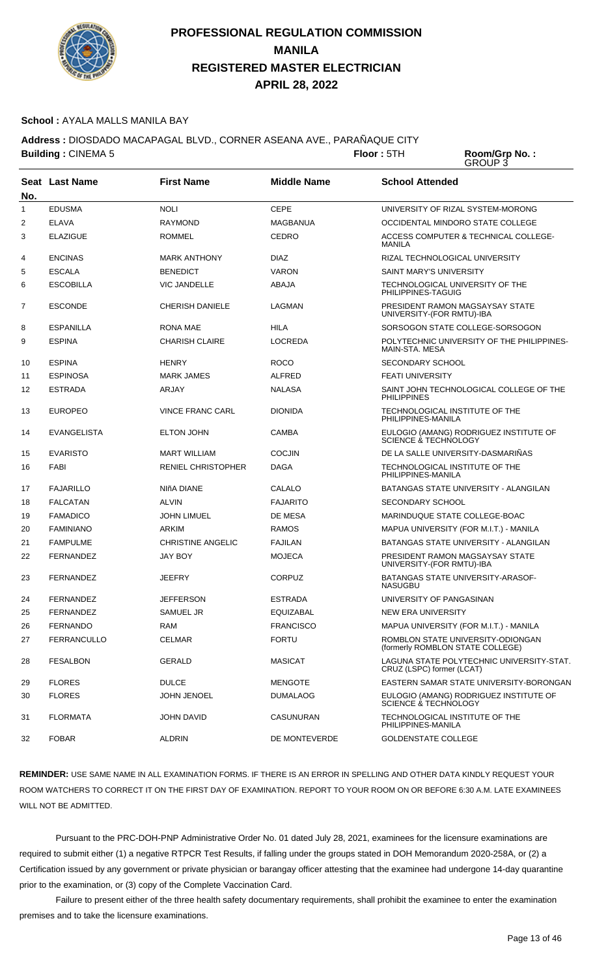

#### **School :** AYALA MALLS MANILA BAY

**Address :** DIOSDADO MACAPAGAL BLVD., CORNER ASEANA AVE., PARAÑAQUE CITY **Building : CINEMA 5 <b>Floor** : 5TH

Room/Grp No.:<br>GROUP 3

| No. | <b>Seat Last Name</b> | <b>First Name</b>         | <b>Middle Name</b> | <b>School Attended</b>                                                 |
|-----|-----------------------|---------------------------|--------------------|------------------------------------------------------------------------|
| 1   | <b>EDUSMA</b>         | <b>NOLI</b>               | <b>CEPE</b>        | UNIVERSITY OF RIZAL SYSTEM-MORONG                                      |
| 2   | <b>ELAVA</b>          | <b>RAYMOND</b>            | <b>MAGBANUA</b>    | OCCIDENTAL MINDORO STATE COLLEGE                                       |
| 3   | <b>ELAZIGUE</b>       | <b>ROMMEL</b>             | <b>CEDRO</b>       | ACCESS COMPUTER & TECHNICAL COLLEGE-<br><b>MANILA</b>                  |
| 4   | <b>ENCINAS</b>        | <b>MARK ANTHONY</b>       | <b>DIAZ</b>        | RIZAL TECHNOLOGICAL UNIVERSITY                                         |
| 5   | <b>ESCALA</b>         | <b>BENEDICT</b>           | <b>VARON</b>       | SAINT MARY'S UNIVERSITY                                                |
| 6   | <b>ESCOBILLA</b>      | <b>VIC JANDELLE</b>       | ABAJA              | TECHNOLOGICAL UNIVERSITY OF THE<br>PHILIPPINES-TAGUIG                  |
| 7   | <b>ESCONDE</b>        | <b>CHERISH DANIELE</b>    | LAGMAN             | PRESIDENT RAMON MAGSAYSAY STATE<br>UNIVERSITY-(FOR RMTU)-IBA           |
| 8   | <b>ESPANILLA</b>      | <b>RONA MAE</b>           | <b>HILA</b>        | SORSOGON STATE COLLEGE-SORSOGON                                        |
| 9   | <b>ESPINA</b>         | <b>CHARISH CLAIRE</b>     | <b>LOCREDA</b>     | POLYTECHNIC UNIVERSITY OF THE PHILIPPINES-<br>MAIN-STA. MESA           |
| 10  | <b>ESPINA</b>         | <b>HENRY</b>              | <b>ROCO</b>        | SECONDARY SCHOOL                                                       |
| 11  | <b>ESPINOSA</b>       | <b>MARK JAMES</b>         | <b>ALFRED</b>      | <b>FEATI UNIVERSITY</b>                                                |
| 12  | <b>ESTRADA</b>        | ARJAY                     | <b>NALASA</b>      | SAINT JOHN TECHNOLOGICAL COLLEGE OF THE<br><b>PHILIPPINES</b>          |
| 13  | <b>EUROPEO</b>        | <b>VINCE FRANC CARL</b>   | <b>DIONIDA</b>     | TECHNOLOGICAL INSTITUTE OF THE<br>PHILIPPINES-MANILA                   |
| 14  | <b>EVANGELISTA</b>    | <b>ELTON JOHN</b>         | <b>CAMBA</b>       | EULOGIO (AMANG) RODRIGUEZ INSTITUTE OF<br>SCIENCE & TECHNOLOGY         |
| 15  | <b>EVARISTO</b>       | <b>MART WILLIAM</b>       | <b>COCJIN</b>      | DE LA SALLE UNIVERSITY-DASMARINAS                                      |
| 16  | FABI                  | <b>RENIEL CHRISTOPHER</b> | <b>DAGA</b>        | TECHNOLOGICAL INSTITUTE OF THE<br>PHILIPPINES-MANILA                   |
| 17  | <b>FAJARILLO</b>      | NIñA DIANE                | CALALO             | BATANGAS STATE UNIVERSITY - ALANGILAN                                  |
| 18  | <b>FALCATAN</b>       | <b>ALVIN</b>              | <b>FAJARITO</b>    | <b>SECONDARY SCHOOL</b>                                                |
| 19  | <b>FAMADICO</b>       | <b>JOHN LIMUEL</b>        | DE MESA            | MARINDUQUE STATE COLLEGE-BOAC                                          |
| 20  | <b>FAMINIANO</b>      | <b>ARKIM</b>              | <b>RAMOS</b>       | MAPUA UNIVERSITY (FOR M.I.T.) - MANILA                                 |
| 21  | <b>FAMPULME</b>       | <b>CHRISTINE ANGELIC</b>  | <b>FAJILAN</b>     | <b>BATANGAS STATE UNIVERSITY - ALANGILAN</b>                           |
| 22  | <b>FERNANDEZ</b>      | <b>JAY BOY</b>            | <b>MOJECA</b>      | PRESIDENT RAMON MAGSAYSAY STATE<br>UNIVERSITY-(FOR RMTU)-IBA           |
| 23  | <b>FERNANDEZ</b>      | JEEFRY                    | CORPUZ             | <b>BATANGAS STATE UNIVERSITY-ARASOF-</b><br><b>NASUGBU</b>             |
| 24  | FERNANDEZ             | <b>JEFFERSON</b>          | <b>ESTRADA</b>     | UNIVERSITY OF PANGASINAN                                               |
| 25  | FERNANDEZ             | SAMUEL JR                 | EQUIZABAL          | NEW ERA UNIVERSITY                                                     |
| 26  | <b>FERNANDO</b>       | RAM                       | <b>FRANCISCO</b>   | MAPUA UNIVERSITY (FOR M.I.T.) - MANILA                                 |
| 27  | FERRANCULLO           | <b>CELMAR</b>             | <b>FORTU</b>       | ROMBLON STATE UNIVERSITY-ODIONGAN<br>(formerly ROMBLON STATE COLLEGE)  |
| 28  | <b>FESALBON</b>       | <b>GERALD</b>             | <b>MASICAT</b>     | LAGUNA STATE POLYTECHNIC UNIVERSITY-STAT.<br>CRUZ (LSPC) former (LCAT) |
| 29  | <b>FLORES</b>         | <b>DULCE</b>              | <b>MENGOTE</b>     | EASTERN SAMAR STATE UNIVERSITY-BORONGAN                                |
| 30  | <b>FLORES</b>         | <b>JOHN JENOEL</b>        | <b>DUMALAOG</b>    | EULOGIO (AMANG) RODRIGUEZ INSTITUTE OF<br>SCIENCE & TECHNOLOGY         |
| 31  | <b>FLORMATA</b>       | <b>JOHN DAVID</b>         | CASUNURAN          | TECHNOLOGICAL INSTITUTE OF THE<br>PHILIPPINES-MANILA                   |
| 32  | <b>FOBAR</b>          | <b>ALDRIN</b>             | DE MONTEVERDE      | <b>GOLDENSTATE COLLEGE</b>                                             |

**REMINDER:** USE SAME NAME IN ALL EXAMINATION FORMS. IF THERE IS AN ERROR IN SPELLING AND OTHER DATA KINDLY REQUEST YOUR ROOM WATCHERS TO CORRECT IT ON THE FIRST DAY OF EXAMINATION. REPORT TO YOUR ROOM ON OR BEFORE 6:30 A.M. LATE EXAMINEES WILL NOT BE ADMITTED.

 Pursuant to the PRC-DOH-PNP Administrative Order No. 01 dated July 28, 2021, examinees for the licensure examinations are required to submit either (1) a negative RTPCR Test Results, if falling under the groups stated in DOH Memorandum 2020-258A, or (2) a Certification issued by any government or private physician or barangay officer attesting that the examinee had undergone 14-day quarantine prior to the examination, or (3) copy of the Complete Vaccination Card.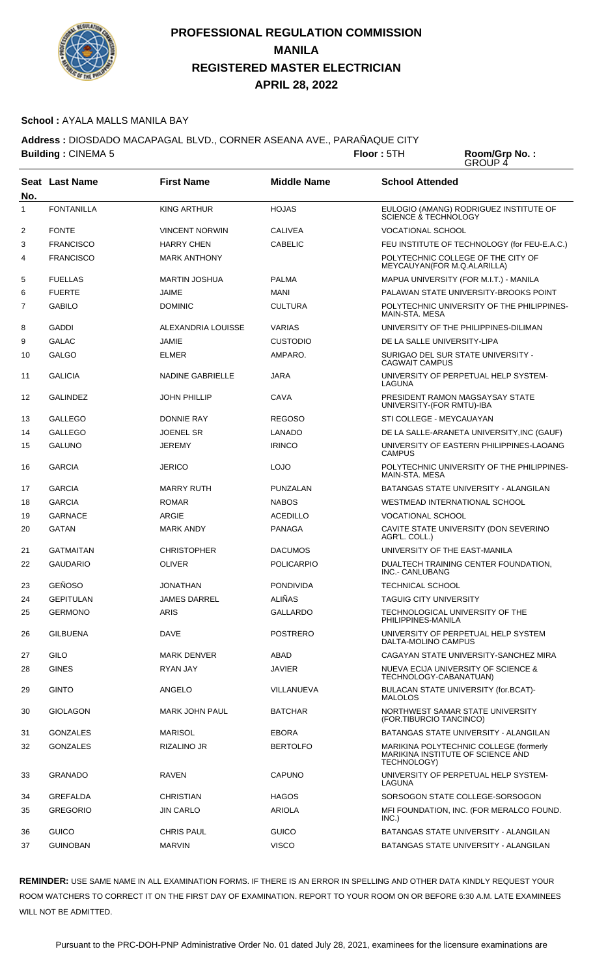

#### **School :** AYALA MALLS MANILA BAY

**Address :** DIOSDADO MACAPAGAL BLVD., CORNER ASEANA AVE., PARAÑAQUE CITY **Building : CINEMA 5 <b>Floor** : 5TH

Room/Grp No.:<br>GROUP 4

| No. | <b>Seat Last Name</b> | <b>First Name</b>       | <b>Middle Name</b> | <b>School Attended</b>                                                                     |
|-----|-----------------------|-------------------------|--------------------|--------------------------------------------------------------------------------------------|
| 1   | <b>FONTANILLA</b>     | <b>KING ARTHUR</b>      | <b>HOJAS</b>       | EULOGIO (AMANG) RODRIGUEZ INSTITUTE OF<br>SCIENCE & TECHNOLOGY                             |
| 2   | <b>FONTE</b>          | <b>VINCENT NORWIN</b>   | <b>CALIVEA</b>     | <b>VOCATIONAL SCHOOL</b>                                                                   |
| 3   | <b>FRANCISCO</b>      | <b>HARRY CHEN</b>       | <b>CABELIC</b>     | FEU INSTITUTE OF TECHNOLOGY (for FEU-E.A.C.)                                               |
| 4   | <b>FRANCISCO</b>      | <b>MARK ANTHONY</b>     |                    | POLYTECHNIC COLLEGE OF THE CITY OF<br>MEYCAUYAN(FOR M.Q.ALARILLA)                          |
| 5   | <b>FUELLAS</b>        | <b>MARTIN JOSHUA</b>    | <b>PALMA</b>       | MAPUA UNIVERSITY (FOR M.I.T.) - MANILA                                                     |
| 6   | <b>FUERTE</b>         | <b>JAIME</b>            | <b>MANI</b>        | PALAWAN STATE UNIVERSITY-BROOKS POINT                                                      |
| 7   | <b>GABILO</b>         | <b>DOMINIC</b>          | <b>CULTURA</b>     | POLYTECHNIC UNIVERSITY OF THE PHILIPPINES-<br>MAIN-STA. MESA                               |
| 8   | <b>GADDI</b>          | ALEXANDRIA LOUISSE      | <b>VARIAS</b>      | UNIVERSITY OF THE PHILIPPINES-DILIMAN                                                      |
| 9   | <b>GALAC</b>          | <b>JAMIE</b>            | <b>CUSTODIO</b>    | DE LA SALLE UNIVERSITY-LIPA                                                                |
| 10  | <b>GALGO</b>          | <b>ELMER</b>            | AMPARO.            | SURIGAO DEL SUR STATE UNIVERSITY -<br><b>CAGWAIT CAMPUS</b>                                |
| 11  | <b>GALICIA</b>        | <b>NADINE GABRIELLE</b> | <b>JARA</b>        | UNIVERSITY OF PERPETUAL HELP SYSTEM-<br>LAGUNA                                             |
| 12  | <b>GALINDEZ</b>       | <b>JOHN PHILLIP</b>     | CAVA               | PRESIDENT RAMON MAGSAYSAY STATE<br>UNIVERSITY-(FOR RMTU)-IBA                               |
| 13  | <b>GALLEGO</b>        | <b>DONNIE RAY</b>       | <b>REGOSO</b>      | STI COLLEGE - MEYCAUAYAN                                                                   |
| 14  | <b>GALLEGO</b>        | <b>JOENEL SR</b>        | <b>LANADO</b>      | DE LA SALLE-ARANETA UNIVERSITY, INC (GAUF)                                                 |
| 15  | <b>GALUNO</b>         | <b>JEREMY</b>           | <b>IRINCO</b>      | UNIVERSITY OF EASTERN PHILIPPINES-LAOANG<br><b>CAMPUS</b>                                  |
| 16  | <b>GARCIA</b>         | <b>JERICO</b>           | LOJO               | POLYTECHNIC UNIVERSITY OF THE PHILIPPINES-<br>MAIN-STA, MESA                               |
| 17  | <b>GARCIA</b>         | <b>MARRY RUTH</b>       | PUNZALAN           | BATANGAS STATE UNIVERSITY - ALANGILAN                                                      |
| 18  | <b>GARCIA</b>         | <b>ROMAR</b>            | <b>NABOS</b>       | WESTMEAD INTERNATIONAL SCHOOL                                                              |
| 19  | <b>GARNACE</b>        | <b>ARGIE</b>            | <b>ACEDILLO</b>    | <b>VOCATIONAL SCHOOL</b>                                                                   |
| 20  | <b>GATAN</b>          | <b>MARK ANDY</b>        | <b>PANAGA</b>      | CAVITE STATE UNIVERSITY (DON SEVERINO<br>AGR'L. COLL.)                                     |
| 21  | <b>GATMAITAN</b>      | <b>CHRISTOPHER</b>      | <b>DACUMOS</b>     | UNIVERSITY OF THE EAST-MANILA                                                              |
| 22  | <b>GAUDARIO</b>       | <b>OLIVER</b>           | POLICARPIO         | DUALTECH TRAINING CENTER FOUNDATION,<br>INC.- CANLUBANG                                    |
| 23  | <b>GEÑOSO</b>         | <b>JONATHAN</b>         | <b>PONDIVIDA</b>   | <b>TECHNICAL SCHOOL</b>                                                                    |
| 24  | <b>GEPITULAN</b>      | JAMES DARREL            | <b>ALIÑAS</b>      | TAGUIG CITY UNIVERSITY                                                                     |
| 25  | <b>GERMONO</b>        | <b>ARIS</b>             | GALLARDO           | TECHNOLOGICAL UNIVERSITY OF THE<br>PHILIPPINES-MANILA                                      |
| 26  | <b>GILBUENA</b>       | <b>DAVE</b>             | <b>POSTRERO</b>    | UNIVERSITY OF PERPETUAL HELP SYSTEM<br>DALTA-MOLINO CAMPUS                                 |
| 27  | GILO                  | <b>MARK DENVER</b>      | ABAD               | CAGAYAN STATE UNIVERSITY-SANCHEZ MIRA                                                      |
| 28  | <b>GINES</b>          | RYAN JAY                | <b>JAVIER</b>      | NUEVA ECIJA UNIVERSITY OF SCIENCE &<br>TECHNOLOGY-CABANATUAN)                              |
| 29  | <b>GINTO</b>          | ANGELO                  | VILLANUEVA         | BULACAN STATE UNIVERSITY (for.BCAT)-<br><b>MALOLOS</b>                                     |
| 30  | <b>GIOLAGON</b>       | <b>MARK JOHN PAUL</b>   | BATCHAR            | NORTHWEST SAMAR STATE UNIVERSITY<br>(FOR.TIBURCIO TANCINCO)                                |
| 31  | <b>GONZALES</b>       | <b>MARISOL</b>          | <b>EBORA</b>       | BATANGAS STATE UNIVERSITY - ALANGILAN                                                      |
| 32  | <b>GONZALES</b>       | RIZALINO JR             | <b>BERTOLFO</b>    | MARIKINA POLYTECHNIC COLLEGE (formerly<br>MARIKINA INSTITUTE OF SCIENCE AND<br>TECHNOLOGY) |
| 33  | <b>GRANADO</b>        | RAVEN                   | CAPUNO             | UNIVERSITY OF PERPETUAL HELP SYSTEM-<br>LAGUNA                                             |
| 34  | <b>GREFALDA</b>       | <b>CHRISTIAN</b>        | <b>HAGOS</b>       | SORSOGON STATE COLLEGE-SORSOGON                                                            |
| 35  | <b>GREGORIO</b>       | <b>JIN CARLO</b>        | <b>ARIOLA</b>      | MFI FOUNDATION, INC. (FOR MERALCO FOUND.<br>INC.)                                          |
| 36  | <b>GUICO</b>          | <b>CHRIS PAUL</b>       | <b>GUICO</b>       | BATANGAS STATE UNIVERSITY - ALANGILAN                                                      |
| 37  | <b>GUINOBAN</b>       | <b>MARVIN</b>           | <b>VISCO</b>       | BATANGAS STATE UNIVERSITY - ALANGILAN                                                      |

**REMINDER:** USE SAME NAME IN ALL EXAMINATION FORMS. IF THERE IS AN ERROR IN SPELLING AND OTHER DATA KINDLY REQUEST YOUR ROOM WATCHERS TO CORRECT IT ON THE FIRST DAY OF EXAMINATION. REPORT TO YOUR ROOM ON OR BEFORE 6:30 A.M. LATE EXAMINEES WILL NOT BE ADMITTED.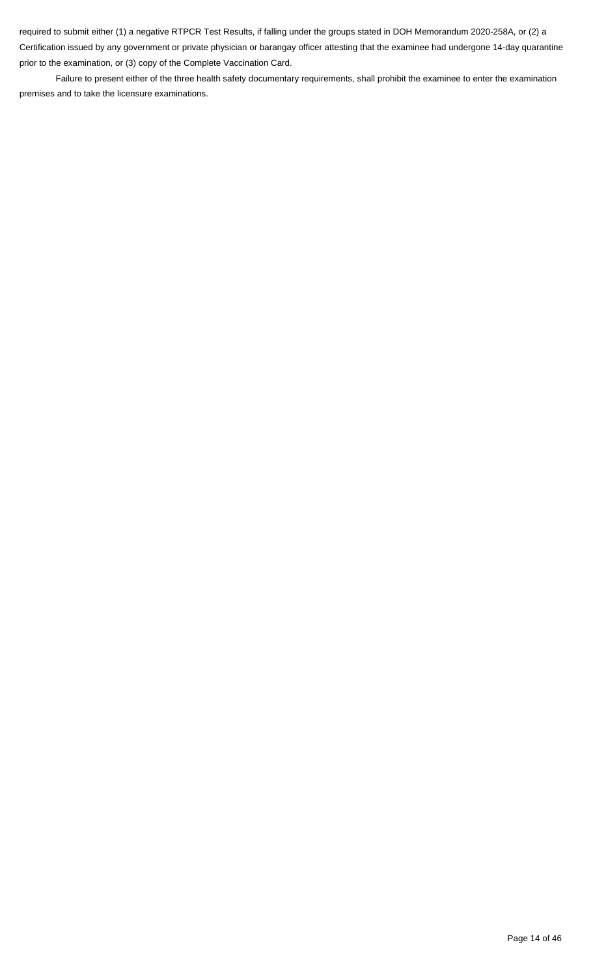required to submit either (1) a negative RTPCR Test Results, if falling under the groups stated in DOH Memorandum 2020-258A, or (2) a Certification issued by any government or private physician or barangay officer attesting that the examinee had undergone 14-day quarantine prior to the examination, or (3) copy of the Complete Vaccination Card.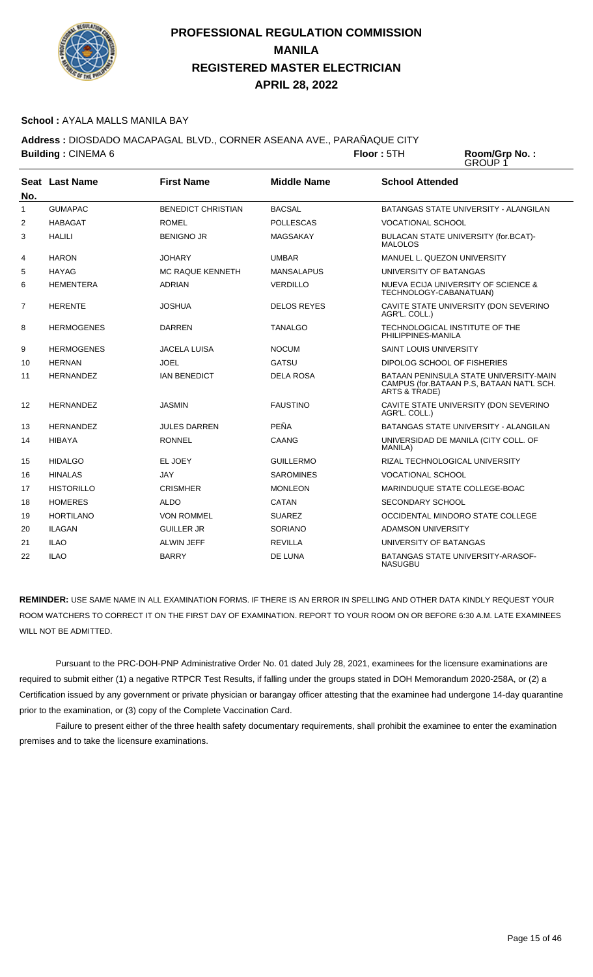

#### **School :** AYALA MALLS MANILA BAY

**Address :** DIOSDADO MACAPAGAL BLVD., CORNER ASEANA AVE., PARAÑAQUE CITY **Building : CINEMA 6 Floor : 5TH Room/Grp No. :** 

GROUP 1

| No. | Seat Last Name    | <b>First Name</b>         | <b>Middle Name</b> | <b>School Attended</b>                                                                               |
|-----|-------------------|---------------------------|--------------------|------------------------------------------------------------------------------------------------------|
| 1   | <b>GUMAPAC</b>    | <b>BENEDICT CHRISTIAN</b> | <b>BACSAL</b>      | BATANGAS STATE UNIVERSITY - ALANGILAN                                                                |
| 2   | <b>HABAGAT</b>    | <b>ROMEL</b>              | <b>POLLESCAS</b>   | <b>VOCATIONAL SCHOOL</b>                                                                             |
| 3   | <b>HALILI</b>     | <b>BENIGNO JR</b>         | MAGSAKAY           | BULACAN STATE UNIVERSITY (for.BCAT)-<br><b>MALOLOS</b>                                               |
| 4   | <b>HARON</b>      | <b>JOHARY</b>             | <b>UMBAR</b>       | MANUEL L. QUEZON UNIVERSITY                                                                          |
| 5   | HAYAG             | <b>MC RAQUE KENNETH</b>   | <b>MANSALAPUS</b>  | UNIVERSITY OF BATANGAS                                                                               |
| 6   | <b>HEMENTERA</b>  | <b>ADRIAN</b>             | <b>VERDILLO</b>    | NUEVA ECIJA UNIVERSITY OF SCIENCE &<br>TECHNOLOGY-CABANATUAN)                                        |
| 7   | <b>HERENTE</b>    | <b>JOSHUA</b>             | <b>DELOS REYES</b> | CAVITE STATE UNIVERSITY (DON SEVERINO<br>AGR'L. COLL.)                                               |
| 8   | <b>HERMOGENES</b> | <b>DARREN</b>             | <b>TANALGO</b>     | TECHNOLOGICAL INSTITUTE OF THE<br>PHILIPPINES-MANILA                                                 |
| 9   | <b>HERMOGENES</b> | <b>JACELA LUISA</b>       | <b>NOCUM</b>       | <b>SAINT LOUIS UNIVERSITY</b>                                                                        |
| 10  | <b>HERNAN</b>     | <b>JOEL</b>               | <b>GATSU</b>       | DIPOLOG SCHOOL OF FISHERIES                                                                          |
| 11  | <b>HERNANDEZ</b>  | <b>IAN BENEDICT</b>       | <b>DELA ROSA</b>   | BATAAN PENINSULA STATE UNIVERSITY-MAIN<br>CAMPUS (for.BATAAN P.S. BATAAN NAT'L SCH.<br>ARTS & TRADE) |
| 12  | <b>HERNANDEZ</b>  | <b>JASMIN</b>             | <b>FAUSTINO</b>    | CAVITE STATE UNIVERSITY (DON SEVERINO<br>AGR'L. COLL.)                                               |
| 13  | <b>HERNANDEZ</b>  | <b>JULES DARREN</b>       | PEÑA               | <b>BATANGAS STATE UNIVERSITY - ALANGILAN</b>                                                         |
| 14  | <b>HIBAYA</b>     | <b>RONNEL</b>             | CAANG              | UNIVERSIDAD DE MANILA (CITY COLL. OF<br><b>MANILA)</b>                                               |
| 15  | <b>HIDALGO</b>    | EL JOEY                   | <b>GUILLERMO</b>   | RIZAL TECHNOLOGICAL UNIVERSITY                                                                       |
| 16  | <b>HINALAS</b>    | <b>JAY</b>                | <b>SAROMINES</b>   | <b>VOCATIONAL SCHOOL</b>                                                                             |
| 17  | <b>HISTORILLO</b> | <b>CRISMHER</b>           | <b>MONLEON</b>     | MARINDUQUE STATE COLLEGE-BOAC                                                                        |
| 18  | <b>HOMERES</b>    | <b>ALDO</b>               | CATAN              | <b>SECONDARY SCHOOL</b>                                                                              |
| 19  | <b>HORTILANO</b>  | <b>VON ROMMEL</b>         | <b>SUAREZ</b>      | OCCIDENTAL MINDORO STATE COLLEGE                                                                     |
| 20  | <b>ILAGAN</b>     | <b>GUILLER JR</b>         | <b>SORIANO</b>     | <b>ADAMSON UNIVERSITY</b>                                                                            |
| 21  | <b>ILAO</b>       | <b>ALWIN JEFF</b>         | <b>REVILLA</b>     | UNIVERSITY OF BATANGAS                                                                               |
| 22  | <b>ILAO</b>       | <b>BARRY</b>              | DE LUNA            | <b>BATANGAS STATE UNIVERSITY-ARASOF-</b><br><b>NASUGBU</b>                                           |

**REMINDER:** USE SAME NAME IN ALL EXAMINATION FORMS. IF THERE IS AN ERROR IN SPELLING AND OTHER DATA KINDLY REQUEST YOUR ROOM WATCHERS TO CORRECT IT ON THE FIRST DAY OF EXAMINATION. REPORT TO YOUR ROOM ON OR BEFORE 6:30 A.M. LATE EXAMINEES WILL NOT BE ADMITTED.

 Pursuant to the PRC-DOH-PNP Administrative Order No. 01 dated July 28, 2021, examinees for the licensure examinations are required to submit either (1) a negative RTPCR Test Results, if falling under the groups stated in DOH Memorandum 2020-258A, or (2) a Certification issued by any government or private physician or barangay officer attesting that the examinee had undergone 14-day quarantine prior to the examination, or (3) copy of the Complete Vaccination Card.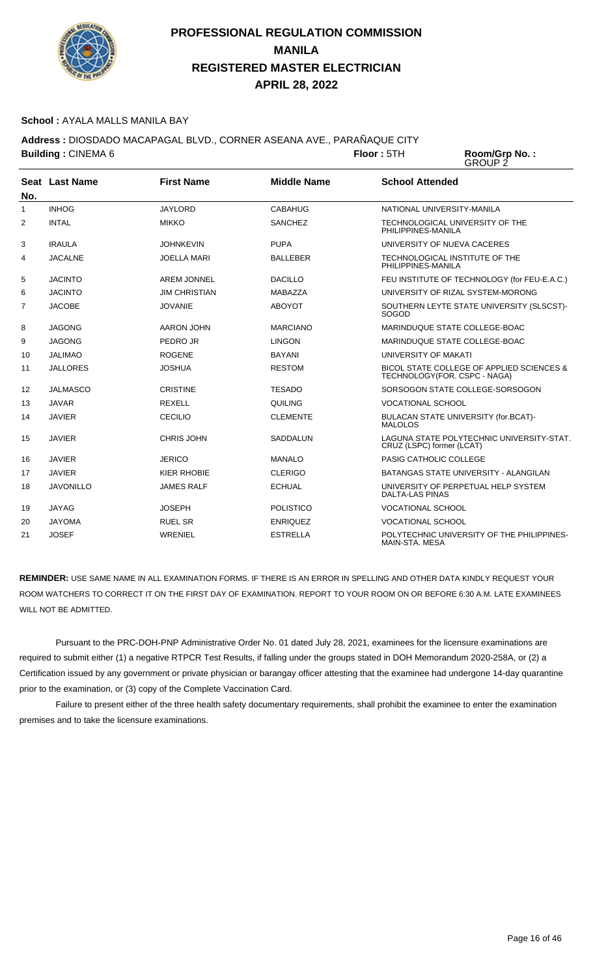

#### **School :** AYALA MALLS MANILA BAY

**Address :** DIOSDADO MACAPAGAL BLVD., CORNER ASEANA AVE., PARAÑAQUE CITY

**Building : CINEMA 6 <b>Floor : 5TH Room/Grp No. :** GROUP 2 **Seat** Last Name **No. Last Name First Name Middle Name School Attended** 1 INHOG JAYLORD CABAHUG NATIONAL UNIVERSITY-MANILA 2 INTAL MIKKO SANCHEZ TECHNOLOGICAL UNIVERSITY OF THE PHILIPPINES-MANILA 3 IRAULA JOHNKEVIN PUPA UNIVERSITY OF NUEVA CACERES 4 JACALNE JOELLA MARI BALLEBER TECHNOLOGICAL INSTITUTE OF THE PHILIPPINES-MANILA 5 JACINTO AREM JONNEL DACILLO FEU INSTITUTE OF TECHNOLOGY (for FEU-E.A.C.) 6 JACINTO JIM CHRISTIAN MABAZZA UNIVERSITY OF RIZAL SYSTEM-MORONG 7 JACOBE JOVANIE ABOYOT SOUTHERN LEYTE STATE UNIVERSITY (SLSCST)- SOGOD 8 JAGONG AARON JOHN MARCIANO MARINDUQUE STATE COLLEGE-BOAC

| 9  | <b>JAGONG</b>    | PEDRO JR           | <b>LINGON</b>    | MARINDUQUE STATE COLLEGE-BOAC                                             |
|----|------------------|--------------------|------------------|---------------------------------------------------------------------------|
| 10 | <b>JALIMAO</b>   | <b>ROGENE</b>      | BAYANI           | UNIVERSITY OF MAKATI                                                      |
| 11 | <b>JALLORES</b>  | <b>JOSHUA</b>      | <b>RESTOM</b>    | BICOL STATE COLLEGE OF APPLIED SCIENCES &<br>TECHNOLOGY(FOR. CSPC - NAGA) |
| 12 | JALMASCO         | <b>CRISTINE</b>    | TESADO           | SORSOGON STATE COLLEGE-SORSOGON                                           |
| 13 | <b>JAVAR</b>     | REXELL             | <b>QUILING</b>   | <b>VOCATIONAL SCHOOL</b>                                                  |
| 14 | <b>JAVIER</b>    | <b>CECILIO</b>     | <b>CLEMENTE</b>  | BULACAN STATE UNIVERSITY (for.BCAT)-<br><b>MALOLOS</b>                    |
| 15 | <b>JAVIER</b>    | CHRIS JOHN         | SADDALUN         | LAGUNA STATE POLYTECHNIC UNIVERSITY-STAT.<br>CRUZ (LSPC) former (LCAT)    |
| 16 | <b>JAVIER</b>    | <b>JERICO</b>      | <b>MANALO</b>    | <b>PASIG CATHOLIC COLLEGE</b>                                             |
| 17 | <b>JAVIER</b>    | <b>KIER RHOBIE</b> | <b>CLERIGO</b>   | BATANGAS STATE UNIVERSITY - ALANGILAN                                     |
| 18 | <b>JAVONILLO</b> | <b>JAMES RALF</b>  | <b>ECHUAL</b>    | UNIVERSITY OF PERPETUAL HELP SYSTEM<br>DALTA-LAS PINAS                    |
| 19 | JAYAG            | <b>JOSEPH</b>      | <b>POLISTICO</b> | <b>VOCATIONAL SCHOOL</b>                                                  |
| 20 | <b>JAYOMA</b>    | RUEL SR            | <b>ENRIQUEZ</b>  | <b>VOCATIONAL SCHOOL</b>                                                  |
| 21 | <b>JOSEF</b>     | WRENIEL            | <b>ESTRELLA</b>  | POLYTECHNIC UNIVERSITY OF THE PHILIPPINES-<br>MAIN-STA, MESA              |

**REMINDER:** USE SAME NAME IN ALL EXAMINATION FORMS. IF THERE IS AN ERROR IN SPELLING AND OTHER DATA KINDLY REQUEST YOUR ROOM WATCHERS TO CORRECT IT ON THE FIRST DAY OF EXAMINATION. REPORT TO YOUR ROOM ON OR BEFORE 6:30 A.M. LATE EXAMINEES WILL NOT BE ADMITTED.

 Pursuant to the PRC-DOH-PNP Administrative Order No. 01 dated July 28, 2021, examinees for the licensure examinations are required to submit either (1) a negative RTPCR Test Results, if falling under the groups stated in DOH Memorandum 2020-258A, or (2) a Certification issued by any government or private physician or barangay officer attesting that the examinee had undergone 14-day quarantine prior to the examination, or (3) copy of the Complete Vaccination Card.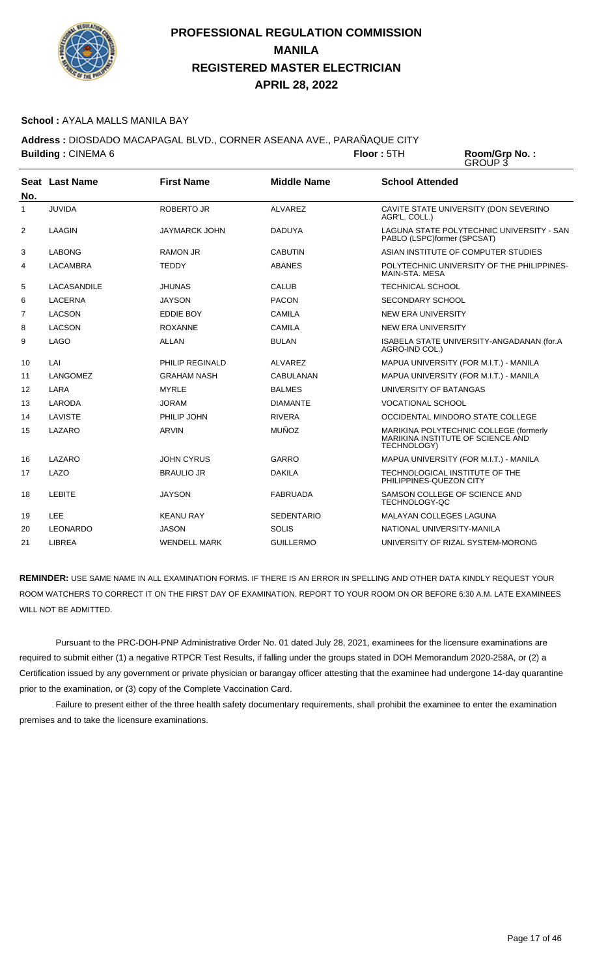

#### **School :** AYALA MALLS MANILA BAY

**Address :** DIOSDADO MACAPAGAL BLVD., CORNER ASEANA AVE., PARAÑAQUE CITY

**Building : CINEMA 6 <b>Floor** : 5TH Room/Grp No.:<br>GROUP 3

|     | Seat Last Name  | <b>First Name</b>    | <b>Middle Name</b> | <b>School Attended</b>                                                                     |
|-----|-----------------|----------------------|--------------------|--------------------------------------------------------------------------------------------|
| No. |                 |                      |                    |                                                                                            |
| 1   | <b>JUVIDA</b>   | <b>ROBERTO JR</b>    | <b>ALVAREZ</b>     | CAVITE STATE UNIVERSITY (DON SEVERINO<br>AGR'L. COLL.)                                     |
| 2   | LAAGIN          | <b>JAYMARCK JOHN</b> | <b>DADUYA</b>      | LAGUNA STATE POLYTECHNIC UNIVERSITY - SAN<br>PABLO (LSPC)former (SPCSAT)                   |
| 3   | <b>LABONG</b>   | <b>RAMON JR</b>      | <b>CABUTIN</b>     | ASIAN INSTITUTE OF COMPUTER STUDIES                                                        |
| 4   | <b>LACAMBRA</b> | <b>TEDDY</b>         | <b>ABANES</b>      | POLYTECHNIC UNIVERSITY OF THE PHILIPPINES-<br>MAIN-STA, MESA                               |
| 5   | LACASANDILE     | <b>JHUNAS</b>        | <b>CALUB</b>       | <b>TECHNICAL SCHOOL</b>                                                                    |
| 6   | <b>LACERNA</b>  | <b>JAYSON</b>        | <b>PACON</b>       | <b>SECONDARY SCHOOL</b>                                                                    |
| 7   | <b>LACSON</b>   | EDDIE BOY            | <b>CAMILA</b>      | <b>NEW ERA UNIVERSITY</b>                                                                  |
| 8   | <b>LACSON</b>   | <b>ROXANNE</b>       | <b>CAMILA</b>      | <b>NEW ERA UNIVERSITY</b>                                                                  |
| 9   | <b>LAGO</b>     | <b>ALLAN</b>         | <b>BULAN</b>       | ISABELA STATE UNIVERSITY-ANGADANAN (for.A<br>AGRO-IND COL.)                                |
| 10  | LAI             | PHILIP REGINALD      | ALVAREZ            | MAPUA UNIVERSITY (FOR M.I.T.) - MANILA                                                     |
| 11  | LANGOMEZ        | <b>GRAHAM NASH</b>   | <b>CABULANAN</b>   | MAPUA UNIVERSITY (FOR M.I.T.) - MANILA                                                     |
| 12  | LARA            | <b>MYRLE</b>         | <b>BALMES</b>      | UNIVERSITY OF BATANGAS                                                                     |
| 13  | LARODA          | <b>JORAM</b>         | <b>DIAMANTE</b>    | <b>VOCATIONAL SCHOOL</b>                                                                   |
| 14  | LAVISTE         | PHILIP JOHN          | <b>RIVERA</b>      | OCCIDENTAL MINDORO STATE COLLEGE                                                           |
| 15  | LAZARO          | <b>ARVIN</b>         | <b>MUÑOZ</b>       | MARIKINA POLYTECHNIC COLLEGE (formerly<br>MARIKINA INSTITUTE OF SCIENCE AND<br>TECHNOLOGY) |
| 16  | LAZARO          | <b>JOHN CYRUS</b>    | GARRO              | MAPUA UNIVERSITY (FOR M.I.T.) - MANILA                                                     |
| 17  | LAZO            | <b>BRAULIO JR</b>    | <b>DAKILA</b>      | TECHNOLOGICAL INSTITUTE OF THE<br>PHILIPPINES-QUEZON CITY                                  |
| 18  | <b>LEBITE</b>   | <b>JAYSON</b>        | <b>FABRUADA</b>    | SAMSON COLLEGE OF SCIENCE AND<br>TECHNOLOGY-QC                                             |
| 19  | <b>LEE</b>      | <b>KEANU RAY</b>     | <b>SEDENTARIO</b>  | <b>MALAYAN COLLEGES LAGUNA</b>                                                             |
| 20  | <b>LEONARDO</b> | <b>JASON</b>         | <b>SOLIS</b>       | NATIONAL UNIVERSITY-MANILA                                                                 |
| 21  | LIBREA          | <b>WENDELL MARK</b>  | <b>GUILLERMO</b>   | UNIVERSITY OF RIZAL SYSTEM-MORONG                                                          |

**REMINDER:** USE SAME NAME IN ALL EXAMINATION FORMS. IF THERE IS AN ERROR IN SPELLING AND OTHER DATA KINDLY REQUEST YOUR ROOM WATCHERS TO CORRECT IT ON THE FIRST DAY OF EXAMINATION. REPORT TO YOUR ROOM ON OR BEFORE 6:30 A.M. LATE EXAMINEES WILL NOT BE ADMITTED.

 Pursuant to the PRC-DOH-PNP Administrative Order No. 01 dated July 28, 2021, examinees for the licensure examinations are required to submit either (1) a negative RTPCR Test Results, if falling under the groups stated in DOH Memorandum 2020-258A, or (2) a Certification issued by any government or private physician or barangay officer attesting that the examinee had undergone 14-day quarantine prior to the examination, or (3) copy of the Complete Vaccination Card.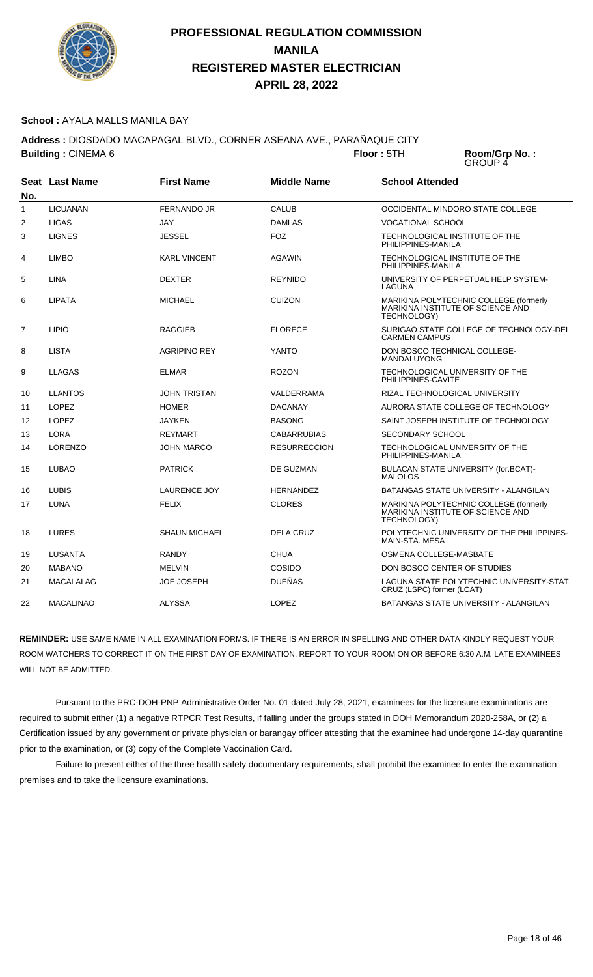

#### **School :** AYALA MALLS MANILA BAY

**Address :** DIOSDADO MACAPAGAL BLVD., CORNER ASEANA AVE., PARAÑAQUE CITY **Building : CINEMA 6 <b>Floor** : 5TH

Room/Grp No.:<br>GROUP 4

| No.          | Seat Last Name   | <b>First Name</b>    | <b>Middle Name</b>  | <b>School Attended</b>                                                                     |
|--------------|------------------|----------------------|---------------------|--------------------------------------------------------------------------------------------|
| $\mathbf{1}$ | <b>LICUANAN</b>  | <b>FERNANDO JR</b>   | <b>CALUB</b>        | OCCIDENTAL MINDORO STATE COLLEGE                                                           |
| 2            | <b>LIGAS</b>     | JAY                  | <b>DAMLAS</b>       | <b>VOCATIONAL SCHOOL</b>                                                                   |
| 3            | <b>LIGNES</b>    | <b>JESSEL</b>        | <b>FOZ</b>          | TECHNOLOGICAL INSTITUTE OF THE<br>PHILIPPINES-MANILA                                       |
| 4            | <b>LIMBO</b>     | <b>KARL VINCENT</b>  | AGAWIN              | TECHNOLOGICAL INSTITUTE OF THE<br>PHILIPPINES-MANILA                                       |
| 5            | <b>LINA</b>      | <b>DEXTER</b>        | <b>REYNIDO</b>      | UNIVERSITY OF PERPETUAL HELP SYSTEM-<br>LAGUNA                                             |
| 6            | <b>LIPATA</b>    | <b>MICHAEL</b>       | <b>CUIZON</b>       | MARIKINA POLYTECHNIC COLLEGE (formerly<br>MARIKINA INSTITUTE OF SCIENCE AND<br>TECHNOLOGY) |
| 7            | <b>LIPIO</b>     | <b>RAGGIEB</b>       | <b>FLORECE</b>      | SURIGAO STATE COLLEGE OF TECHNOLOGY-DEL<br><b>CARMEN CAMPUS</b>                            |
| 8            | <b>LISTA</b>     | <b>AGRIPINO REY</b>  | YANTO               | DON BOSCO TECHNICAL COLLEGE-<br><b>MANDALUYONG</b>                                         |
| 9            | LLAGAS           | <b>ELMAR</b>         | <b>ROZON</b>        | TECHNOLOGICAL UNIVERSITY OF THE<br>PHILIPPINES-CAVITE                                      |
| 10           | <b>LLANTOS</b>   | <b>JOHN TRISTAN</b>  | VALDERRAMA          | RIZAL TECHNOLOGICAL UNIVERSITY                                                             |
| 11           | <b>LOPEZ</b>     | <b>HOMER</b>         | <b>DACANAY</b>      | AURORA STATE COLLEGE OF TECHNOLOGY                                                         |
| 12           | <b>LOPEZ</b>     | <b>JAYKEN</b>        | <b>BASONG</b>       | SAINT JOSEPH INSTITUTE OF TECHNOLOGY                                                       |
| 13           | LORA             | <b>REYMART</b>       | <b>CABARRUBIAS</b>  | SECONDARY SCHOOL                                                                           |
| 14           | <b>LORENZO</b>   | <b>JOHN MARCO</b>    | <b>RESURRECCION</b> | TECHNOLOGICAL UNIVERSITY OF THE<br>PHILIPPINES-MANILA                                      |
| 15           | <b>LUBAO</b>     | <b>PATRICK</b>       | DE GUZMAN           | BULACAN STATE UNIVERSITY (for.BCAT)-<br><b>MALOLOS</b>                                     |
| 16           | <b>LUBIS</b>     | <b>LAURENCE JOY</b>  | <b>HERNANDEZ</b>    | BATANGAS STATE UNIVERSITY - ALANGILAN                                                      |
| 17           | LUNA             | <b>FELIX</b>         | <b>CLORES</b>       | MARIKINA POLYTECHNIC COLLEGE (formerly<br>MARIKINA INSTITUTE OF SCIENCE AND<br>TECHNOLOGY) |
| 18           | <b>LURES</b>     | <b>SHAUN MICHAEL</b> | <b>DELA CRUZ</b>    | POLYTECHNIC UNIVERSITY OF THE PHILIPPINES-<br>MAIN-STA. MESA                               |
| 19           | <b>LUSANTA</b>   | <b>RANDY</b>         | <b>CHUA</b>         | OSMENA COLLEGE-MASBATE                                                                     |
| 20           | <b>MABANO</b>    | <b>MELVIN</b>        | COSIDO              | DON BOSCO CENTER OF STUDIES                                                                |
| 21           | MACALALAG        | <b>JOE JOSEPH</b>    | <b>DUEÑAS</b>       | LAGUNA STATE POLYTECHNIC UNIVERSITY-STAT.<br>CRUZ (LSPC) former (LCAT)                     |
| 22           | <b>MACALINAO</b> | <b>ALYSSA</b>        | <b>LOPEZ</b>        | BATANGAS STATE UNIVERSITY - ALANGILAN                                                      |

**REMINDER:** USE SAME NAME IN ALL EXAMINATION FORMS. IF THERE IS AN ERROR IN SPELLING AND OTHER DATA KINDLY REQUEST YOUR ROOM WATCHERS TO CORRECT IT ON THE FIRST DAY OF EXAMINATION. REPORT TO YOUR ROOM ON OR BEFORE 6:30 A.M. LATE EXAMINEES WILL NOT BE ADMITTED.

 Pursuant to the PRC-DOH-PNP Administrative Order No. 01 dated July 28, 2021, examinees for the licensure examinations are required to submit either (1) a negative RTPCR Test Results, if falling under the groups stated in DOH Memorandum 2020-258A, or (2) a Certification issued by any government or private physician or barangay officer attesting that the examinee had undergone 14-day quarantine prior to the examination, or (3) copy of the Complete Vaccination Card.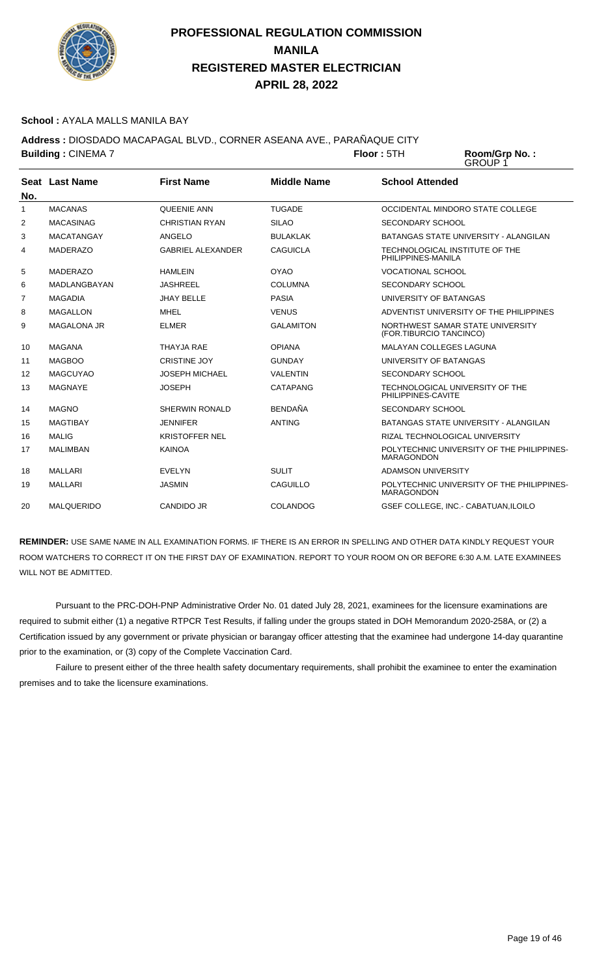

#### **School :** AYALA MALLS MANILA BAY

**Address :** DIOSDADO MACAPAGAL BLVD., CORNER ASEANA AVE., PARAÑAQUE CITY **Building :** CINEMA 7 **Floor :** 5TH **Room/Grp No. :**

GROUP 1

| No. | Seat Last Name     | <b>First Name</b>        | <b>Middle Name</b> | <b>School Attended</b>                                          |
|-----|--------------------|--------------------------|--------------------|-----------------------------------------------------------------|
| 1   | <b>MACANAS</b>     | <b>QUEENIE ANN</b>       | <b>TUGADE</b>      | OCCIDENTAL MINDORO STATE COLLEGE                                |
| 2   | <b>MACASINAG</b>   | <b>CHRISTIAN RYAN</b>    | <b>SILAO</b>       | <b>SECONDARY SCHOOL</b>                                         |
| 3   | <b>MACATANGAY</b>  | ANGELO                   | <b>BULAKLAK</b>    | <b>BATANGAS STATE UNIVERSITY - ALANGILAN</b>                    |
| 4   | <b>MADERAZO</b>    | <b>GABRIEL ALEXANDER</b> | <b>CAGUICLA</b>    | TECHNOLOGICAL INSTITUTE OF THE<br>PHILIPPINES-MANILA            |
| 5   | <b>MADERAZO</b>    | <b>HAMLEIN</b>           | <b>OYAO</b>        | <b>VOCATIONAL SCHOOL</b>                                        |
| 6   | MADLANGBAYAN       | <b>JASHREEL</b>          | <b>COLUMNA</b>     | <b>SECONDARY SCHOOL</b>                                         |
| 7   | <b>MAGADIA</b>     | <b>JHAY BELLE</b>        | <b>PASIA</b>       | UNIVERSITY OF BATANGAS                                          |
| 8   | <b>MAGALLON</b>    | <b>MHEL</b>              | <b>VENUS</b>       | ADVENTIST UNIVERSITY OF THE PHILIPPINES                         |
| 9   | <b>MAGALONA JR</b> | <b>ELMER</b>             | <b>GALAMITON</b>   | NORTHWEST SAMAR STATE UNIVERSITY<br>(FOR.TIBURCIO TANCINCO)     |
| 10  | <b>MAGANA</b>      | THAYJA RAE               | <b>OPIANA</b>      | <b>MALAYAN COLLEGES LAGUNA</b>                                  |
| 11  | <b>MAGBOO</b>      | <b>CRISTINE JOY</b>      | <b>GUNDAY</b>      | UNIVERSITY OF BATANGAS                                          |
| 12  | <b>MAGCUYAO</b>    | <b>JOSEPH MICHAEL</b>    | <b>VALENTIN</b>    | <b>SECONDARY SCHOOL</b>                                         |
| 13  | <b>MAGNAYE</b>     | <b>JOSEPH</b>            | CATAPANG           | TECHNOLOGICAL UNIVERSITY OF THE<br>PHILIPPINES-CAVITE           |
| 14  | <b>MAGNO</b>       | <b>SHERWIN RONALD</b>    | <b>BENDAÑA</b>     | SECONDARY SCHOOL                                                |
| 15  | <b>MAGTIBAY</b>    | <b>JENNIFER</b>          | <b>ANTING</b>      | BATANGAS STATE UNIVERSITY - ALANGILAN                           |
| 16  | <b>MALIG</b>       | <b>KRISTOFFER NEL</b>    |                    | RIZAL TECHNOLOGICAL UNIVERSITY                                  |
| 17  | <b>MALIMBAN</b>    | <b>KAINOA</b>            |                    | POLYTECHNIC UNIVERSITY OF THE PHILIPPINES-<br><b>MARAGONDON</b> |
| 18  | <b>MALLARI</b>     | <b>EVELYN</b>            | <b>SULIT</b>       | <b>ADAMSON UNIVERSITY</b>                                       |
| 19  | <b>MALLARI</b>     | <b>JASMIN</b>            | CAGUILLO           | POLYTECHNIC UNIVERSITY OF THE PHILIPPINES-<br><b>MARAGONDON</b> |
| 20  | <b>MALQUERIDO</b>  | <b>CANDIDO JR</b>        | <b>COLANDOG</b>    | <b>GSEF COLLEGE. INC. - CABATUAN.ILOILO</b>                     |

**REMINDER:** USE SAME NAME IN ALL EXAMINATION FORMS. IF THERE IS AN ERROR IN SPELLING AND OTHER DATA KINDLY REQUEST YOUR ROOM WATCHERS TO CORRECT IT ON THE FIRST DAY OF EXAMINATION. REPORT TO YOUR ROOM ON OR BEFORE 6:30 A.M. LATE EXAMINEES WILL NOT BE ADMITTED.

 Pursuant to the PRC-DOH-PNP Administrative Order No. 01 dated July 28, 2021, examinees for the licensure examinations are required to submit either (1) a negative RTPCR Test Results, if falling under the groups stated in DOH Memorandum 2020-258A, or (2) a Certification issued by any government or private physician or barangay officer attesting that the examinee had undergone 14-day quarantine prior to the examination, or (3) copy of the Complete Vaccination Card.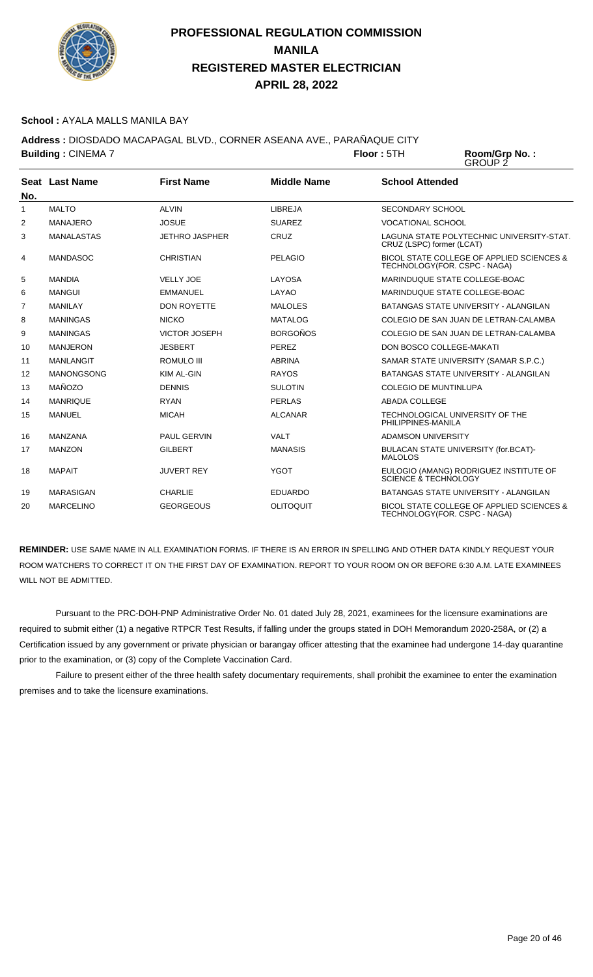

#### **School :** AYALA MALLS MANILA BAY

**Address :** DIOSDADO MACAPAGAL BLVD., CORNER ASEANA AVE., PARAÑAQUE CITY

|                   | <b>Building: CINEMA 7</b> |                       | Floor:5TH          | Room/Grp No.:<br>GROUP 2     |                                                                           |
|-------------------|---------------------------|-----------------------|--------------------|------------------------------|---------------------------------------------------------------------------|
| No.               | Seat Last Name            | <b>First Name</b>     | <b>Middle Name</b> | <b>School Attended</b>       |                                                                           |
| 1                 | <b>MALTO</b>              | <b>ALVIN</b>          | LIBREJA            | <b>SECONDARY SCHOOL</b>      |                                                                           |
| 2                 | <b>MANAJERO</b>           | <b>JOSUE</b>          | <b>SUAREZ</b>      | VOCATIONAL SCHOOL            |                                                                           |
| 3                 | <b>MANALASTAS</b>         | <b>JETHRO JASPHER</b> | CRUZ               | CRUZ (LSPC) former (LCAT)    | LAGUNA STATE POLYTECHNIC UNIVERSITY-STAT.                                 |
| 4                 | <b>MANDASOC</b>           | <b>CHRISTIAN</b>      | <b>PELAGIO</b>     |                              | BICOL STATE COLLEGE OF APPLIED SCIENCES &<br>TECHNOLOGY(FOR. CSPC - NAGA) |
| 5                 | <b>MANDIA</b>             | <b>VELLY JOE</b>      | LAYOSA             |                              | MARINDUQUE STATE COLLEGE-BOAC                                             |
| 6                 | <b>MANGUI</b>             | <b>EMMANUEL</b>       | LAYAO              |                              | MARINDUQUE STATE COLLEGE-BOAC                                             |
| 7                 | <b>MANILAY</b>            | <b>DON ROYETTE</b>    | <b>MALOLES</b>     |                              | BATANGAS STATE UNIVERSITY - ALANGILAN                                     |
| 8                 | <b>MANINGAS</b>           | <b>NICKO</b>          | <b>MATALOG</b>     |                              | COLEGIO DE SAN JUAN DE LETRAN-CALAMBA                                     |
| 9                 | <b>MANINGAS</b>           | <b>VICTOR JOSEPH</b>  | <b>BORGOÑOS</b>    |                              | COLEGIO DE SAN JUAN DE LETRAN-CALAMBA                                     |
| 10                | <b>MANJERON</b>           | <b>JESBERT</b>        | <b>PEREZ</b>       |                              | DON BOSCO COLLEGE-MAKATI                                                  |
| 11                | <b>MANLANGIT</b>          | <b>ROMULO III</b>     | <b>ABRINA</b>      |                              | SAMAR STATE UNIVERSITY (SAMAR S.P.C.)                                     |
| $12 \overline{ }$ | <b>MANONGSONG</b>         | KIM AL-GIN            | <b>RAYOS</b>       |                              | BATANGAS STATE UNIVERSITY - ALANGILAN                                     |
| 13                | MAÑOZO                    | <b>DENNIS</b>         | <b>SULOTIN</b>     | <b>COLEGIO DE MUNTINLUPA</b> |                                                                           |
| 14                | <b>MANRIQUE</b>           | <b>RYAN</b>           | <b>PERLAS</b>      | <b>ABADA COLLEGE</b>         |                                                                           |
| 15                | <b>MANUEL</b>             | <b>MICAH</b>          | <b>ALCANAR</b>     | PHILIPPINES-MANILA           | TECHNOLOGICAL UNIVERSITY OF THE                                           |
| 16                | <b>MANZANA</b>            | <b>PAUL GERVIN</b>    | <b>VALT</b>        | <b>ADAMSON UNIVERSITY</b>    |                                                                           |

ROOM WATCHERS TO CORRECT IT ON THE FIRST DAY OF EXAMINATION. REPORT TO YOUR ROOM ON OR BEFORE 6:30 A.M. LATE EXAMINEES WILL NOT BE ADMITTED. Pursuant to the PRC-DOH-PNP Administrative Order No. 01 dated July 28, 2021, examinees for the licensure examinations are

**REMINDER:** USE SAME NAME IN ALL EXAMINATION FORMS. IF THERE IS AN ERROR IN SPELLING AND OTHER DATA KINDLY REQUEST YOUR

17 MANZON GILBERT MANASIS BULACAN STATE UNIVERSITY (for.BCAT)-

18 MAPAIT JUVERT REY YGOT EULOGIO (AMANG) RODRIGUEZ INSTITUTE OF SCIENCE & TECHNOLOGY 19 MARASIGAN CHARLIE EDUARDO BATANGAS STATE UNIVERSITY - ALANGILAN 20 MARCELINO GEORGEOUS OLITOQUIT BICOL STATE COLLEGE OF APPLIED SCIENCES &

MALOLOS

TECHNOLOGY(FOR. CSPC - NAGA)

required to submit either (1) a negative RTPCR Test Results, if falling under the groups stated in DOH Memorandum 2020-258A, or (2) a Certification issued by any government or private physician or barangay officer attesting that the examinee had undergone 14-day quarantine prior to the examination, or (3) copy of the Complete Vaccination Card.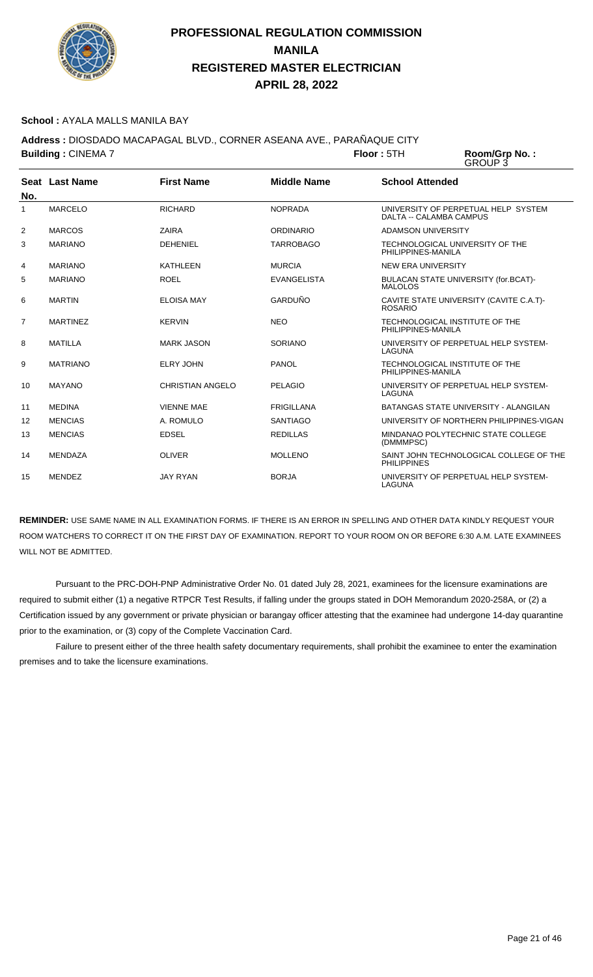

#### **School :** AYALA MALLS MANILA BAY

**Address :** DIOSDADO MACAPAGAL BLVD., CORNER ASEANA AVE., PARAÑAQUE CITY **Building : CINEMA 7 <b>Floor** : 5TH

Room/Grp No.:<br>GROUP 3

|     | Seat Last Name  | <b>First Name</b>       | <b>Middle Name</b> | <b>School Attended</b>                                         |
|-----|-----------------|-------------------------|--------------------|----------------------------------------------------------------|
| No. |                 |                         |                    |                                                                |
| 1   | <b>MARCELO</b>  | <b>RICHARD</b>          | <b>NOPRADA</b>     | UNIVERSITY OF PERPETUAL HELP SYSTEM<br>DALTA -- CALAMBA CAMPUS |
| 2   | <b>MARCOS</b>   | <b>ZAIRA</b>            | <b>ORDINARIO</b>   | ADAMSON UNIVERSITY                                             |
| 3   | <b>MARIANO</b>  | <b>DEHENIEL</b>         | <b>TARROBAGO</b>   | TECHNOLOGICAL UNIVERSITY OF THE<br>PHILIPPINES-MANILA          |
| 4   | <b>MARIANO</b>  | <b>KATHLEEN</b>         | <b>MURCIA</b>      | <b>NEW ERA UNIVERSITY</b>                                      |
| 5   | <b>MARIANO</b>  | <b>ROEL</b>             | <b>EVANGELISTA</b> | BULACAN STATE UNIVERSITY (for.BCAT)-<br><b>MALOLOS</b>         |
| 6   | <b>MARTIN</b>   | <b>ELOISA MAY</b>       | GARDUÑO            | CAVITE STATE UNIVERSITY (CAVITE C.A.T)-<br><b>ROSARIO</b>      |
| 7   | <b>MARTINEZ</b> | <b>KERVIN</b>           | <b>NEO</b>         | TECHNOLOGICAL INSTITUTE OF THE<br>PHILIPPINES-MANILA           |
| 8   | MATILLA         | <b>MARK JASON</b>       | <b>SORIANO</b>     | UNIVERSITY OF PERPETUAL HELP SYSTEM-<br>LAGUNA                 |
| 9   | <b>MATRIANO</b> | <b>ELRY JOHN</b>        | PANOL              | TECHNOLOGICAL INSTITUTE OF THE<br>PHILIPPINES-MANILA           |
| 10  | <b>MAYANO</b>   | <b>CHRISTIAN ANGELO</b> | <b>PELAGIO</b>     | UNIVERSITY OF PERPETUAL HELP SYSTEM-<br>LAGUNA                 |
| 11  | <b>MEDINA</b>   | <b>VIENNE MAE</b>       | <b>FRIGILLANA</b>  | BATANGAS STATE UNIVERSITY - ALANGILAN                          |
| 12  | <b>MENCIAS</b>  | A. ROMULO               | <b>SANTIAGO</b>    | UNIVERSITY OF NORTHERN PHILIPPINES-VIGAN                       |
| 13  | <b>MENCIAS</b>  | <b>EDSEL</b>            | <b>REDILLAS</b>    | MINDANAO POLYTECHNIC STATE COLLEGE<br>(DMMMPSC)                |
| 14  | <b>MENDAZA</b>  | <b>OLIVER</b>           | <b>MOLLENO</b>     | SAINT JOHN TECHNOLOGICAL COLLEGE OF THE<br><b>PHILIPPINES</b>  |
| 15  | <b>MENDEZ</b>   | <b>JAY RYAN</b>         | <b>BORJA</b>       | UNIVERSITY OF PERPETUAL HELP SYSTEM-<br>LAGUNA                 |

**REMINDER:** USE SAME NAME IN ALL EXAMINATION FORMS. IF THERE IS AN ERROR IN SPELLING AND OTHER DATA KINDLY REQUEST YOUR ROOM WATCHERS TO CORRECT IT ON THE FIRST DAY OF EXAMINATION. REPORT TO YOUR ROOM ON OR BEFORE 6:30 A.M. LATE EXAMINEES WILL NOT BE ADMITTED.

 Pursuant to the PRC-DOH-PNP Administrative Order No. 01 dated July 28, 2021, examinees for the licensure examinations are required to submit either (1) a negative RTPCR Test Results, if falling under the groups stated in DOH Memorandum 2020-258A, or (2) a Certification issued by any government or private physician or barangay officer attesting that the examinee had undergone 14-day quarantine prior to the examination, or (3) copy of the Complete Vaccination Card.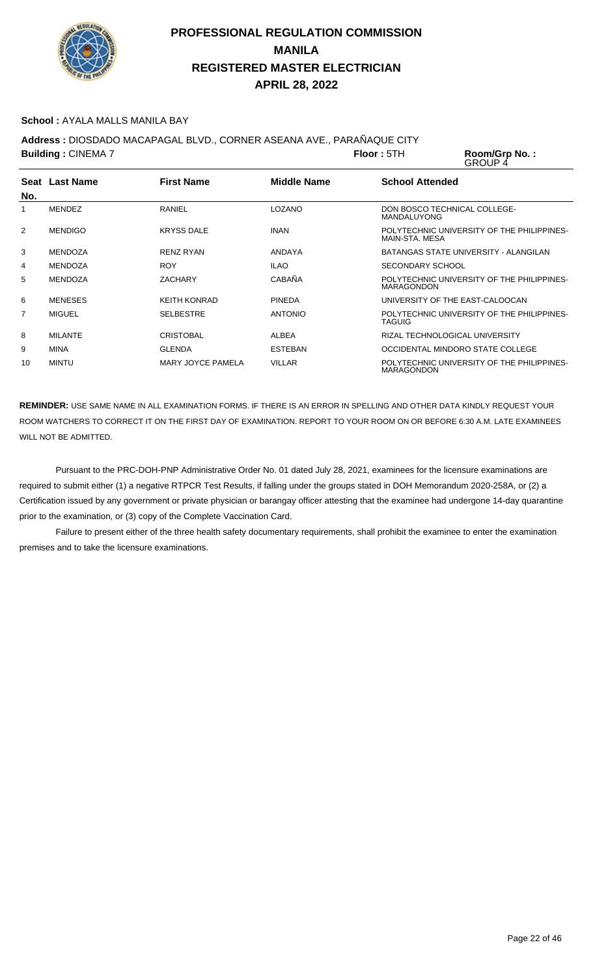

#### **School :** AYALA MALLS MANILA BAY

**Address :** DIOSDADO MACAPAGAL BLVD., CORNER ASEANA AVE., PARAÑAQUE CITY

**Building : CINEMA 7 <b>Floor** : 5TH Room/Grp No.:<br>GROUP 4 **Seat** Last Name **No. Last Name First Name Middle Name School Attended** 1 MENDEZ RANIEL RANIEL LOZANO DON BOSCO TECHNICAL COLLEGE-MANDALUYONG 2 MENDIGO KRYSS DALE INAN POLYTECHNIC UNIVERSITY OF THE PHILIPPINES-MAIN-STA. MESA

|    |                |                     |                | MAIN-STA, MESA                                                  |
|----|----------------|---------------------|----------------|-----------------------------------------------------------------|
| 3  | MENDOZA        | <b>RENZ RYAN</b>    | ANDAYA         | BATANGAS STATE UNIVERSITY - ALANGILAN                           |
| 4  | MENDOZA        | <b>ROY</b>          | <b>ILAO</b>    | SECONDARY SCHOOL                                                |
| 5  | MFNDOZA        | ZACHARY             | CABAÑA         | POLYTECHNIC UNIVERSITY OF THE PHILIPPINES-<br><b>MARAGONDON</b> |
| 6  | <b>MENESES</b> | <b>KEITH KONRAD</b> | <b>PINEDA</b>  | UNIVERSITY OF THE EAST-CALOOCAN                                 |
| 7  | MIGUEL         | <b>SELBESTRE</b>    | <b>ANTONIO</b> | POLYTECHNIC UNIVERSITY OF THE PHILIPPINES-<br>TAGUIG            |
| 8  | <b>MILANTE</b> | <b>CRISTOBAL</b>    | ALBEA          | RIZAL TECHNOLOGICAL UNIVERSITY                                  |
| 9  | <b>MINA</b>    | <b>GI FNDA</b>      | <b>ESTEBAN</b> | OCCIDENTAL MINDORO STATE COLLEGE                                |
| 10 | MINTU          | MARY JOYCE PAMELA   | <b>VILLAR</b>  | POLYTECHNIC UNIVERSITY OF THE PHILIPPINES-<br><b>MARAGONDON</b> |

**REMINDER:** USE SAME NAME IN ALL EXAMINATION FORMS. IF THERE IS AN ERROR IN SPELLING AND OTHER DATA KINDLY REQUEST YOUR ROOM WATCHERS TO CORRECT IT ON THE FIRST DAY OF EXAMINATION. REPORT TO YOUR ROOM ON OR BEFORE 6:30 A.M. LATE EXAMINEES WILL NOT BE ADMITTED.

 Pursuant to the PRC-DOH-PNP Administrative Order No. 01 dated July 28, 2021, examinees for the licensure examinations are required to submit either (1) a negative RTPCR Test Results, if falling under the groups stated in DOH Memorandum 2020-258A, or (2) a Certification issued by any government or private physician or barangay officer attesting that the examinee had undergone 14-day quarantine prior to the examination, or (3) copy of the Complete Vaccination Card.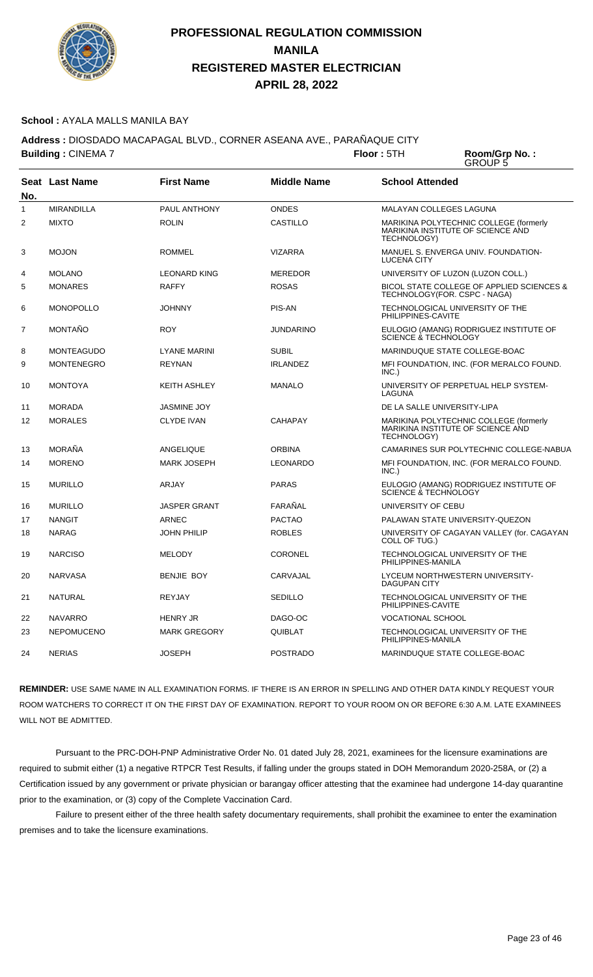

#### **School :** AYALA MALLS MANILA BAY

**Address :** DIOSDADO MACAPAGAL BLVD., CORNER ASEANA AVE., PARAÑAQUE CITY **Building : CINEMA 7 <b>Floor** : 5TH

Room/Grp No.:<br>GROUP 5

| No.            | Seat Last Name    | <b>First Name</b>   | <b>Middle Name</b> | <b>School Attended</b>                                                                            |
|----------------|-------------------|---------------------|--------------------|---------------------------------------------------------------------------------------------------|
| 1              | <b>MIRANDILLA</b> | PAUL ANTHONY        | <b>ONDES</b>       | MALAYAN COLLEGES LAGUNA                                                                           |
| $\overline{2}$ | <b>MIXTO</b>      | <b>ROLIN</b>        | <b>CASTILLO</b>    | MARIKINA POLYTECHNIC COLLEGE (formerly<br>MARIKINA INSTITUTE OF SCIENCE AND<br>TECHNOLOGY)        |
| 3              | <b>MOJON</b>      | ROMMEL              | <b>VIZARRA</b>     | MANUEL S. ENVERGA UNIV. FOUNDATION-<br><b>LUCENA CITY</b>                                         |
| 4              | <b>MOLANO</b>     | <b>LEONARD KING</b> | <b>MEREDOR</b>     | UNIVERSITY OF LUZON (LUZON COLL.)                                                                 |
| 5              | <b>MONARES</b>    | <b>RAFFY</b>        | <b>ROSAS</b>       | BICOL STATE COLLEGE OF APPLIED SCIENCES &<br>TECHNOLOGY(FOR. CSPC - NAGA)                         |
| 6              | <b>MONOPOLLO</b>  | <b>JOHNNY</b>       | PIS-AN             | TECHNOLOGICAL UNIVERSITY OF THE<br>PHILIPPINES-CAVITE                                             |
| $\overline{7}$ | <b>MONTAÑO</b>    | <b>ROY</b>          | <b>JUNDARINO</b>   | EULOGIO (AMANG) RODRIGUEZ INSTITUTE OF<br>SCIENCE & TECHNOLOGY                                    |
| 8              | <b>MONTEAGUDO</b> | <b>LYANE MARINI</b> | <b>SUBIL</b>       | MARINDUQUE STATE COLLEGE-BOAC                                                                     |
| 9              | <b>MONTENEGRO</b> | <b>REYNAN</b>       | <b>IRLANDEZ</b>    | MFI FOUNDATION, INC. (FOR MERALCO FOUND.<br>INC.)                                                 |
| 10             | <b>MONTOYA</b>    | <b>KEITH ASHLEY</b> | <b>MANALO</b>      | UNIVERSITY OF PERPETUAL HELP SYSTEM-<br>LAGUNA                                                    |
| 11             | <b>MORADA</b>     | <b>JASMINE JOY</b>  |                    | DE LA SALLE UNIVERSITY-LIPA                                                                       |
| 12             | <b>MORALES</b>    | <b>CLYDE IVAN</b>   | <b>CAHAPAY</b>     | MARIKINA POLYTECHNIC COLLEGE (formerly<br>MARIKINA INSTITUTE OF SCIENCE AND<br><b>TECHNOLOGY)</b> |
| 13             | <b>MORAÑA</b>     | ANGELIQUE           | <b>ORBINA</b>      | CAMARINES SUR POLYTECHNIC COLLEGE-NABUA                                                           |
| 14             | <b>MORENO</b>     | <b>MARK JOSEPH</b>  | <b>LEONARDO</b>    | MFI FOUNDATION, INC. (FOR MERALCO FOUND.<br>INC.)                                                 |
| 15             | <b>MURILLO</b>    | ARJAY               | <b>PARAS</b>       | EULOGIO (AMANG) RODRIGUEZ INSTITUTE OF<br><b>SCIENCE &amp; TECHNOLOGY</b>                         |
| 16             | <b>MURILLO</b>    | <b>JASPER GRANT</b> | FARAÑAL            | UNIVERSITY OF CEBU                                                                                |
| 17             | <b>NANGIT</b>     | <b>ARNEC</b>        | <b>PACTAO</b>      | PALAWAN STATE UNIVERSITY-QUEZON                                                                   |
| 18             | <b>NARAG</b>      | <b>JOHN PHILIP</b>  | <b>ROBLES</b>      | UNIVERSITY OF CAGAYAN VALLEY (for. CAGAYAN<br>COLL OF TUG.)                                       |
| 19             | <b>NARCISO</b>    | <b>MELODY</b>       | <b>CORONEL</b>     | TECHNOLOGICAL UNIVERSITY OF THE<br>PHILIPPINES-MANILA                                             |
| 20             | <b>NARVASA</b>    | <b>BENJIE BOY</b>   | CARVAJAL           | LYCEUM NORTHWESTERN UNIVERSITY-<br><b>DAGUPAN CITY</b>                                            |
| 21             | <b>NATURAL</b>    | <b>REYJAY</b>       | <b>SEDILLO</b>     | TECHNOLOGICAL UNIVERSITY OF THE<br>PHILIPPINES-CAVITE                                             |
| 22             | <b>NAVARRO</b>    | <b>HENRY JR</b>     | DAGO-OC            | VOCATIONAL SCHOOL                                                                                 |
| 23             | <b>NEPOMUCENO</b> | <b>MARK GREGORY</b> | QUIBLAT            | TECHNOLOGICAL UNIVERSITY OF THE<br>PHILIPPINES-MANILA                                             |
| 24             | <b>NERIAS</b>     | <b>JOSEPH</b>       | <b>POSTRADO</b>    | MARINDUQUE STATE COLLEGE-BOAC                                                                     |

**REMINDER:** USE SAME NAME IN ALL EXAMINATION FORMS. IF THERE IS AN ERROR IN SPELLING AND OTHER DATA KINDLY REQUEST YOUR ROOM WATCHERS TO CORRECT IT ON THE FIRST DAY OF EXAMINATION. REPORT TO YOUR ROOM ON OR BEFORE 6:30 A.M. LATE EXAMINEES WILL NOT BE ADMITTED.

 Pursuant to the PRC-DOH-PNP Administrative Order No. 01 dated July 28, 2021, examinees for the licensure examinations are required to submit either (1) a negative RTPCR Test Results, if falling under the groups stated in DOH Memorandum 2020-258A, or (2) a Certification issued by any government or private physician or barangay officer attesting that the examinee had undergone 14-day quarantine prior to the examination, or (3) copy of the Complete Vaccination Card.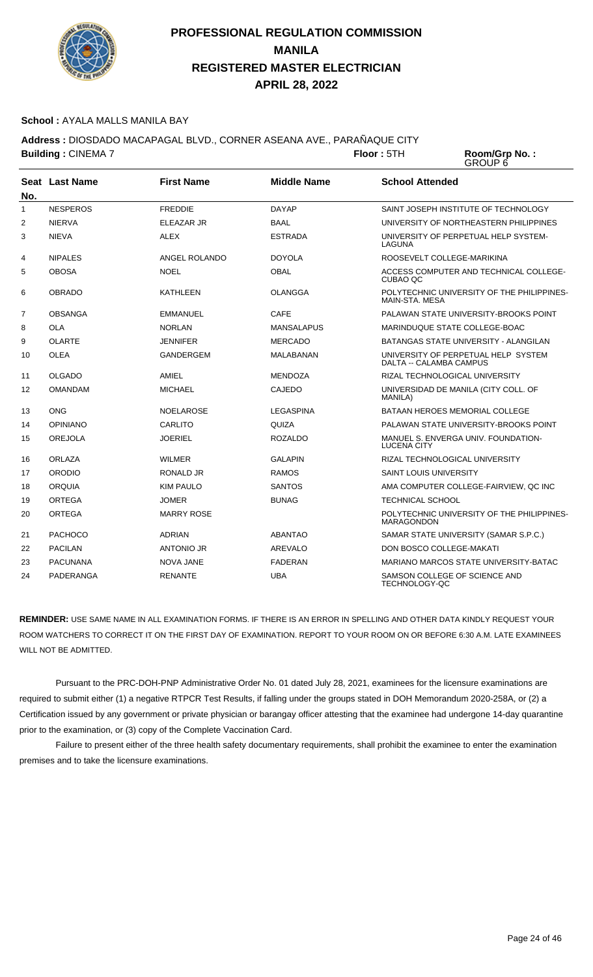

#### **School :** AYALA MALLS MANILA BAY

**Address :** DIOSDADO MACAPAGAL BLVD., CORNER ASEANA AVE., PARAÑAQUE CITY

**Building : CINEMA 7 Floor : 5TH Room/Grp No. :** GROUP 6 **Seat** Last Name **No. Last Name First Name Middle Name School Attended** 1 NESPEROS FREDDIE DAYAP SAINT JOSEPH INSTITUTE OF TECHNOLOGY 2 NIERVA ELEAZAR JR BAAL UNIVERSITY OF NORTHEASTERN PHILIPPINES 3 NIEVA ALEX ALEX ESTRADA UNIVERSITY OF PERPETUAL HELP SYSTEM-LAGUNA 4 NIPALES ANGEL ROLANDO DOYOLA ROOSEVELT COLLEGE-MARIKINA

| 4              | <b>NIPALES</b>  | ANGEL ROLANDO     | DOYOLA            | ROOSEVELT COLLEGE-MARIKINA                                      |
|----------------|-----------------|-------------------|-------------------|-----------------------------------------------------------------|
| 5              | <b>OBOSA</b>    | <b>NOEL</b>       | <b>OBAL</b>       | ACCESS COMPUTER AND TECHNICAL COLLEGE-<br>CUBAO QC              |
| 6              | <b>OBRADO</b>   | <b>KATHLEEN</b>   | OLANGGA           | POLYTECHNIC UNIVERSITY OF THE PHILIPPINES-<br>MAIN-STA, MESA    |
| $\overline{7}$ | <b>OBSANGA</b>  | <b>EMMANUEL</b>   | <b>CAFE</b>       | PALAWAN STATE UNIVERSITY-BROOKS POINT                           |
| 8              | <b>OLA</b>      | <b>NORLAN</b>     | <b>MANSALAPUS</b> | MARINDUQUE STATE COLLEGE-BOAC                                   |
| 9              | <b>OLARTE</b>   | <b>JENNIFER</b>   | <b>MERCADO</b>    | BATANGAS STATE UNIVERSITY - ALANGILAN                           |
| 10             | <b>OLEA</b>     | <b>GANDERGEM</b>  | MALABANAN         | UNIVERSITY OF PERPETUAL HELP SYSTEM<br>DALTA -- CALAMBA CAMPUS  |
| 11             | <b>OLGADO</b>   | AMIEL             | <b>MENDOZA</b>    | RIZAL TECHNOLOGICAL UNIVERSITY                                  |
| 12             | <b>OMANDAM</b>  | <b>MICHAEL</b>    | <b>CAJEDO</b>     | UNIVERSIDAD DE MANILA (CITY COLL. OF<br><b>MANILA</b> )         |
| 13             | <b>ONG</b>      | <b>NOELAROSE</b>  | LEGASPINA         | BATAAN HEROES MEMORIAL COLLEGE                                  |
| 14             | <b>OPINIANO</b> | CARLITO           | QUIZA             | PALAWAN STATE UNIVERSITY-BROOKS POINT                           |
| 15             | <b>OREJOLA</b>  | <b>JOERIEL</b>    | <b>ROZALDO</b>    | MANUEL S. ENVERGA UNIV. FOUNDATION-<br><b>LUCENA CITY</b>       |
| 16             | ORLAZA          | <b>WILMER</b>     | <b>GALAPIN</b>    | RIZAL TECHNOLOGICAL UNIVERSITY                                  |
| 17             | <b>ORODIO</b>   | <b>RONALD JR</b>  | <b>RAMOS</b>      | <b>SAINT LOUIS UNIVERSITY</b>                                   |
| 18             | <b>ORQUIA</b>   | <b>KIM PAULO</b>  | <b>SANTOS</b>     | AMA COMPUTER COLLEGE-FAIRVIEW, QC INC                           |
| 19             | <b>ORTEGA</b>   | <b>JOMER</b>      | <b>BUNAG</b>      | <b>TECHNICAL SCHOOL</b>                                         |
| 20             | <b>ORTEGA</b>   | <b>MARRY ROSE</b> |                   | POLYTECHNIC UNIVERSITY OF THE PHILIPPINES-<br><b>MARAGONDON</b> |
| 21             | <b>PACHOCO</b>  | <b>ADRIAN</b>     | <b>ABANTAO</b>    | SAMAR STATE UNIVERSITY (SAMAR S.P.C.)                           |
| 22             | <b>PACILAN</b>  | <b>ANTONIO JR</b> | AREVALO           | DON BOSCO COLLEGE-MAKATI                                        |
| 23             | <b>PACUNANA</b> | <b>NOVA JANE</b>  | <b>FADERAN</b>    | MARIANO MARCOS STATE UNIVERSITY-BATAC                           |
| 24             | PADERANGA       | <b>RENANTE</b>    | <b>UBA</b>        | SAMSON COLLEGE OF SCIENCE AND<br>TECHNOLOGY-QC                  |

**REMINDER:** USE SAME NAME IN ALL EXAMINATION FORMS. IF THERE IS AN ERROR IN SPELLING AND OTHER DATA KINDLY REQUEST YOUR ROOM WATCHERS TO CORRECT IT ON THE FIRST DAY OF EXAMINATION. REPORT TO YOUR ROOM ON OR BEFORE 6:30 A.M. LATE EXAMINEES WILL NOT BE ADMITTED.

 Pursuant to the PRC-DOH-PNP Administrative Order No. 01 dated July 28, 2021, examinees for the licensure examinations are required to submit either (1) a negative RTPCR Test Results, if falling under the groups stated in DOH Memorandum 2020-258A, or (2) a Certification issued by any government or private physician or barangay officer attesting that the examinee had undergone 14-day quarantine prior to the examination, or (3) copy of the Complete Vaccination Card.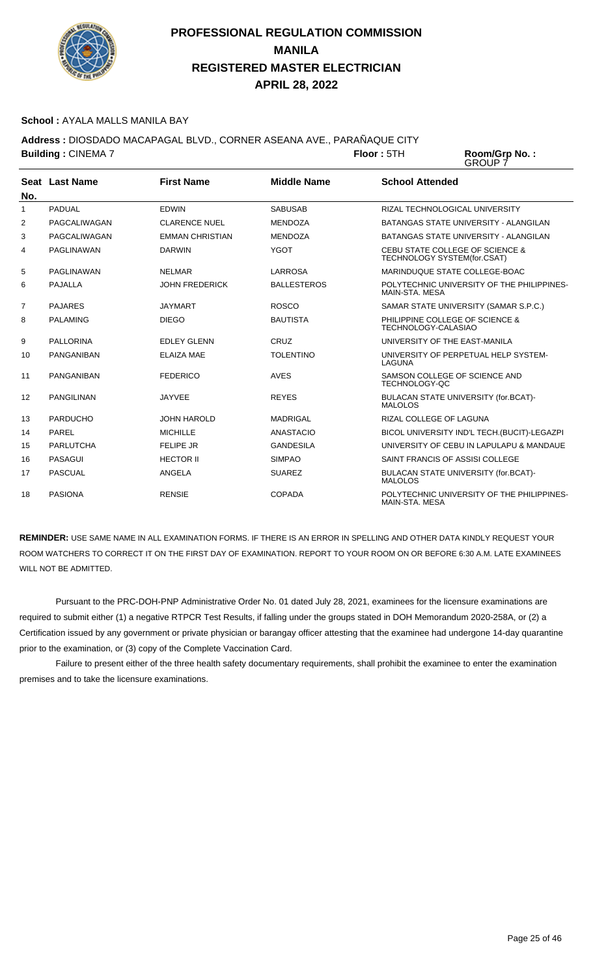

#### **School :** AYALA MALLS MANILA BAY

**Address :** DIOSDADO MACAPAGAL BLVD., CORNER ASEANA AVE., PARAÑAQUE CITY **Building : CINEMA 7 <b>Floor** : 5TH

Room/Grp No.:<br>GROUP 7

| No.            | Seat Last Name    | <b>First Name</b>      | <b>Middle Name</b> | <b>School Attended</b>                                         |
|----------------|-------------------|------------------------|--------------------|----------------------------------------------------------------|
| 1              | <b>PADUAL</b>     | <b>EDWIN</b>           | <b>SABUSAB</b>     | RIZAL TECHNOLOGICAL UNIVERSITY                                 |
| $\overline{2}$ | PAGCALIWAGAN      | <b>CLARENCE NUEL</b>   | <b>MENDOZA</b>     | <b>BATANGAS STATE UNIVERSITY - ALANGILAN</b>                   |
| 3              | PAGCALIWAGAN      | <b>EMMAN CHRISTIAN</b> | <b>MENDOZA</b>     | BATANGAS STATE UNIVERSITY - ALANGILAN                          |
| 4              | PAGLINAWAN        | <b>DARWIN</b>          | <b>YGOT</b>        | CEBU STATE COLLEGE OF SCIENCE &<br>TECHNOLOGY SYSTEM(for.CSAT) |
| 5              | PAGLINAWAN        | <b>NELMAR</b>          | LARROSA            | MARINDUQUE STATE COLLEGE-BOAC                                  |
| 6              | <b>PAJALLA</b>    | <b>JOHN FREDERICK</b>  | <b>BALLESTEROS</b> | POLYTECHNIC UNIVERSITY OF THE PHILIPPINES-<br>MAIN-STA, MESA   |
| $\overline{7}$ | <b>PAJARES</b>    | <b>JAYMART</b>         | <b>ROSCO</b>       | SAMAR STATE UNIVERSITY (SAMAR S.P.C.)                          |
| 8              | <b>PALAMING</b>   | <b>DIEGO</b>           | <b>BAUTISTA</b>    | PHILIPPINE COLLEGE OF SCIENCE &<br>TECHNOLOGY-CALASIAO         |
| 9              | <b>PALLORINA</b>  | <b>EDLEY GLENN</b>     | CRUZ               | UNIVERSITY OF THE EAST-MANILA                                  |
| 10             | <b>PANGANIBAN</b> | <b>ELAIZA MAE</b>      | <b>TOLENTINO</b>   | UNIVERSITY OF PERPETUAL HELP SYSTEM-<br>LAGUNA                 |
| 11             | PANGANIBAN        | <b>FEDERICO</b>        | <b>AVES</b>        | SAMSON COLLEGE OF SCIENCE AND<br>TECHNOLOGY-QC                 |
| 12             | <b>PANGILINAN</b> | <b>JAYVEE</b>          | <b>REYES</b>       | BULACAN STATE UNIVERSITY (for.BCAT)-<br><b>MALOLOS</b>         |
| 13             | <b>PARDUCHO</b>   | <b>JOHN HAROLD</b>     | <b>MADRIGAL</b>    | RIZAL COLLEGE OF LAGUNA                                        |
| 14             | PAREL             | <b>MICHILLE</b>        | <b>ANASTACIO</b>   | BICOL UNIVERSITY IND'L TECH. (BUCIT)-LEGAZPI                   |
| 15             | <b>PARLUTCHA</b>  | <b>FELIPE JR</b>       | <b>GANDESILA</b>   | UNIVERSITY OF CEBU IN LAPULAPU & MANDAUE                       |
| 16             | <b>PASAGUI</b>    | <b>HECTOR II</b>       | <b>SIMPAO</b>      | SAINT FRANCIS OF ASSISI COLLEGE                                |
| 17             | <b>PASCUAL</b>    | ANGELA                 | <b>SUAREZ</b>      | BULACAN STATE UNIVERSITY (for.BCAT)-<br><b>MALOLOS</b>         |
| 18             | <b>PASIONA</b>    | <b>RENSIE</b>          | <b>COPADA</b>      | POLYTECHNIC UNIVERSITY OF THE PHILIPPINES-<br>MAIN-STA, MESA   |

**REMINDER:** USE SAME NAME IN ALL EXAMINATION FORMS. IF THERE IS AN ERROR IN SPELLING AND OTHER DATA KINDLY REQUEST YOUR ROOM WATCHERS TO CORRECT IT ON THE FIRST DAY OF EXAMINATION. REPORT TO YOUR ROOM ON OR BEFORE 6:30 A.M. LATE EXAMINEES WILL NOT BE ADMITTED.

 Pursuant to the PRC-DOH-PNP Administrative Order No. 01 dated July 28, 2021, examinees for the licensure examinations are required to submit either (1) a negative RTPCR Test Results, if falling under the groups stated in DOH Memorandum 2020-258A, or (2) a Certification issued by any government or private physician or barangay officer attesting that the examinee had undergone 14-day quarantine prior to the examination, or (3) copy of the Complete Vaccination Card.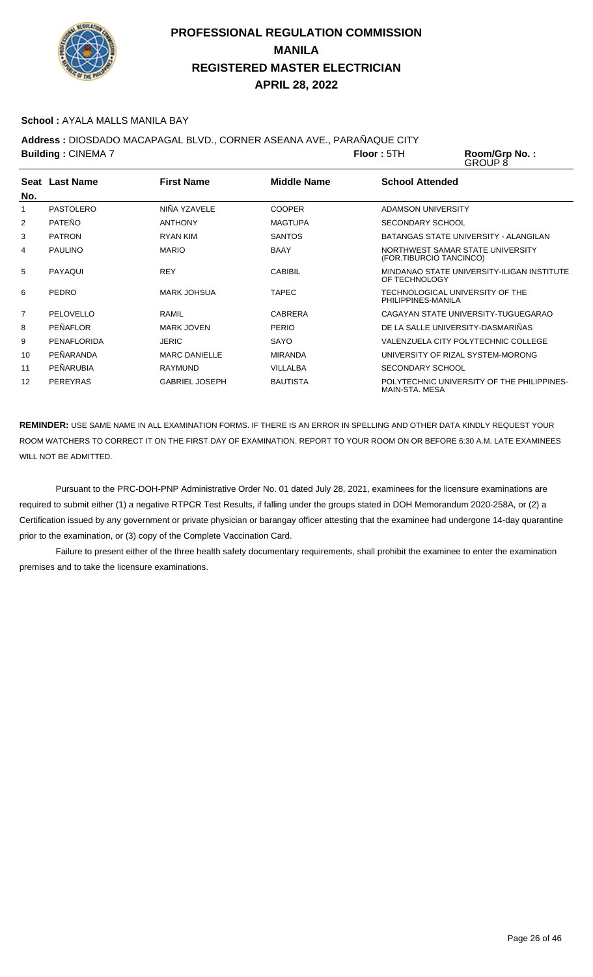

#### **School :** AYALA MALLS MANILA BAY

**Address :** DIOSDADO MACAPAGAL BLVD., CORNER ASEANA AVE., PARAÑAQUE CITY

|                 | <b>Building: CINEMA 7</b> |                       |                    | Floor:5TH               | Room/Grp No.:<br><b>GROUP 8</b>                             |
|-----------------|---------------------------|-----------------------|--------------------|-------------------------|-------------------------------------------------------------|
|                 | Seat Last Name            | <b>First Name</b>     | <b>Middle Name</b> | <b>School Attended</b>  |                                                             |
| No.             |                           |                       |                    |                         |                                                             |
|                 | PASTOLERO                 | NIÑA YZAVELE          | <b>COOPER</b>      | ADAMSON UNIVERSITY      |                                                             |
| 2               | PATEÑO                    | <b>ANTHONY</b>        | <b>MAGTUPA</b>     | <b>SECONDARY SCHOOL</b> |                                                             |
| 3               | <b>PATRON</b>             | RYAN KIM              | <b>SANTOS</b>      |                         | BATANGAS STATE UNIVERSITY - ALANGILAN                       |
| 4               | <b>PAULINO</b>            | <b>MARIO</b>          | <b>BAAY</b>        |                         | NORTHWEST SAMAR STATE UNIVERSITY<br>(FOR.TIBURCIO TANCINCO) |
| 5               | PAYAQUI                   | <b>REY</b>            | <b>CABIBIL</b>     | OF TECHNOLOGY           | MINDANAO STATE UNIVERSITY-ILIGAN INSTITUTE                  |
| 6               | PEDRO                     | <b>MARK JOHSUA</b>    | <b>TAPEC</b>       | PHILIPPINES-MANILA      | TECHNOLOGICAL UNIVERSITY OF THE                             |
| $\overline{7}$  | PELOVELLO                 | <b>RAMIL</b>          | <b>CABRERA</b>     |                         | CAGAYAN STATE UNIVERSITY-TUGUEGARAO                         |
| 8               | PEÑAFLOR                  | <b>MARK JOVEN</b>     | <b>PERIO</b>       |                         | DE LA SALLE UNIVERSITY-DASMARIÑAS                           |
| 9               | <b>PENAFLORIDA</b>        | <b>JERIC</b>          | SAYO               |                         | VALENZUELA CITY POLYTECHNIC COLLEGE                         |
| 10 <sup>°</sup> | PEÑARANDA                 | <b>MARC DANIELLE</b>  | <b>MIRANDA</b>     |                         | UNIVERSITY OF RIZAL SYSTEM-MORONG                           |
| 11              | PEÑARUBIA                 | <b>RAYMUND</b>        | <b>VILLALBA</b>    | <b>SECONDARY SCHOOL</b> |                                                             |
| 12              | <b>PEREYRAS</b>           | <b>GABRIEL JOSEPH</b> | <b>BAUTISTA</b>    |                         | POLYTECHNIC UNIVERSITY OF THE PHILIPPINES-                  |

**REMINDER:** USE SAME NAME IN ALL EXAMINATION FORMS. IF THERE IS AN ERROR IN SPELLING AND OTHER DATA KINDLY REQUEST YOUR ROOM WATCHERS TO CORRECT IT ON THE FIRST DAY OF EXAMINATION. REPORT TO YOUR ROOM ON OR BEFORE 6:30 A.M. LATE EXAMINEES WILL NOT BE ADMITTED.

MAIN-STA. MESA

 Pursuant to the PRC-DOH-PNP Administrative Order No. 01 dated July 28, 2021, examinees for the licensure examinations are required to submit either (1) a negative RTPCR Test Results, if falling under the groups stated in DOH Memorandum 2020-258A, or (2) a Certification issued by any government or private physician or barangay officer attesting that the examinee had undergone 14-day quarantine prior to the examination, or (3) copy of the Complete Vaccination Card.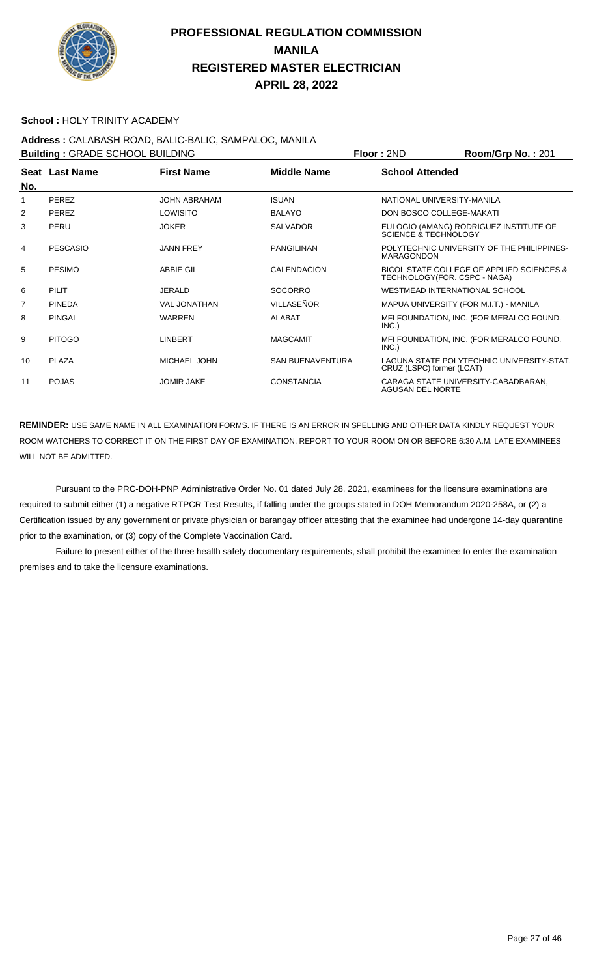

#### **School :** HOLY TRINITY ACADEMY

## **Address :** CALABASH ROAD, BALIC-BALIC, SAMPALOC, MANILA

**Building :** GRADE SCHOOL BUILDING **Floor :** 2ND **Room/Grp No. :** 201

| No. | Seat Last Name  | <b>First Name</b>   | <b>Middle Name</b>      | <b>School Attended</b>                                                    |
|-----|-----------------|---------------------|-------------------------|---------------------------------------------------------------------------|
| 1   | PEREZ           | <b>JOHN ABRAHAM</b> | <b>ISUAN</b>            | NATIONAL UNIVERSITY-MANILA                                                |
| 2   | <b>PEREZ</b>    | LOWISITO            | <b>BALAYO</b>           | DON BOSCO COLLEGE-MAKATI                                                  |
| 3   | PERU            | <b>JOKER</b>        | <b>SALVADOR</b>         | EULOGIO (AMANG) RODRIGUEZ INSTITUTE OF<br>SCIENCE & TECHNOLOGY            |
| 4   | <b>PESCASIO</b> | <b>JANN FREY</b>    | <b>PANGILINAN</b>       | POLYTECHNIC UNIVERSITY OF THE PHILIPPINES-<br><b>MARAGONDON</b>           |
| 5   | <b>PESIMO</b>   | <b>ABBIE GIL</b>    | <b>CALENDACION</b>      | BICOL STATE COLLEGE OF APPLIED SCIENCES &<br>TECHNOLOGY(FOR. CSPC - NAGA) |
| 6   | PILIT           | <b>JERALD</b>       | <b>SOCORRO</b>          | WESTMEAD INTERNATIONAL SCHOOL                                             |
| 7   | <b>PINEDA</b>   | <b>VAL JONATHAN</b> | <b>VILLASEÑOR</b>       | MAPUA UNIVERSITY (FOR M.I.T.) - MANILA                                    |
| 8   | <b>PINGAL</b>   | <b>WARREN</b>       | <b>ALABAT</b>           | MFI FOUNDATION, INC. (FOR MERALCO FOUND.<br>INC.)                         |
| 9   | <b>PITOGO</b>   | LINBERT             | <b>MAGCAMIT</b>         | MFI FOUNDATION, INC. (FOR MERALCO FOUND.<br>INC.)                         |
| 10  | PLAZA           | MICHAEL JOHN        | <b>SAN BUENAVENTURA</b> | LAGUNA STATE POLYTECHNIC UNIVERSITY-STAT.<br>CRUZ (LSPC) former (LCAT)    |
| 11  | <b>POJAS</b>    | <b>JOMIR JAKE</b>   | <b>CONSTANCIA</b>       | CARAGA STATE UNIVERSITY-CABADBARAN,<br>AGUSAN DEL NORTE                   |

**REMINDER:** USE SAME NAME IN ALL EXAMINATION FORMS. IF THERE IS AN ERROR IN SPELLING AND OTHER DATA KINDLY REQUEST YOUR ROOM WATCHERS TO CORRECT IT ON THE FIRST DAY OF EXAMINATION. REPORT TO YOUR ROOM ON OR BEFORE 6:30 A.M. LATE EXAMINEES WILL NOT BE ADMITTED.

 Pursuant to the PRC-DOH-PNP Administrative Order No. 01 dated July 28, 2021, examinees for the licensure examinations are required to submit either (1) a negative RTPCR Test Results, if falling under the groups stated in DOH Memorandum 2020-258A, or (2) a Certification issued by any government or private physician or barangay officer attesting that the examinee had undergone 14-day quarantine prior to the examination, or (3) copy of the Complete Vaccination Card.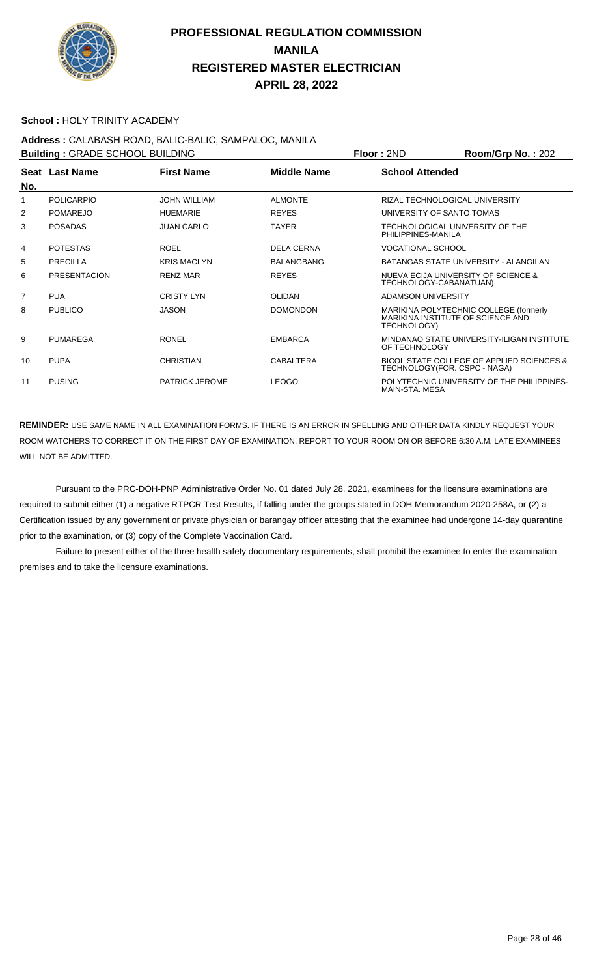

#### **School :** HOLY TRINITY ACADEMY

## **Address :** CALABASH ROAD, BALIC-BALIC, SAMPALOC, MANILA

**Building : GRADE SCHOOL BUILDING Floor : 2ND Room/Grp No. : 202 Seat** Last Name **No. Last Name First Name Middle Name School Attended** 1 POLICARPIO JOHN WILLIAM ALMONTE RIZAL TECHNOLOGICAL UNIVERSITY 2 POMAREJO HUEMARIE REYES UNIVERSITY OF SANTO TOMAS 3 POSADAS JUAN CARLO TAYER TECHNOLOGICAL UNIVERSITY OF THE PHILIPPINES-MANILA POTESTAS ROEL ROEL DELA CERNA VOCATIONAL SCHOOL 5 PRECILLA KRIS MACLYN BALANGBANG BATANGAS STATE UNIVERSITY - ALANGILAN 6 PRESENTACION RENZ MAR REYES NUEVA ECIJA UNIVERSITY OF SCIENCE & TECHNOLOGY-CABANATUAN) PUA CRISTY LYN OLIDAN ADAMSON UNIVERSITY 8 PUBLICO JASON DOMONDON MARIKINA POLYTECHNIC COLLEGE (formerly MARIKINA INSTITUTE OF SCIENCE AND TECHNOLOGY) 9 PUMAREGA RONEL EMBARCA MINDANAO STATE UNIVERSITY-ILIGAN INSTITUTE OF TECHNOLOGY 10 PUPA CHRISTIAN CABALTERA BICOL STATE COLLEGE OF APPLIED SCIENCES & TECHNOLOGY(FOR. CSPC - NAGA) 11 PUSING PATRICK JEROME LEOGO POLYTECHNIC UNIVERSITY OF THE PHILIPPINES-MAIN-STA. MESA

**REMINDER:** USE SAME NAME IN ALL EXAMINATION FORMS. IF THERE IS AN ERROR IN SPELLING AND OTHER DATA KINDLY REQUEST YOUR ROOM WATCHERS TO CORRECT IT ON THE FIRST DAY OF EXAMINATION. REPORT TO YOUR ROOM ON OR BEFORE 6:30 A.M. LATE EXAMINEES WILL NOT BE ADMITTED.

 Pursuant to the PRC-DOH-PNP Administrative Order No. 01 dated July 28, 2021, examinees for the licensure examinations are required to submit either (1) a negative RTPCR Test Results, if falling under the groups stated in DOH Memorandum 2020-258A, or (2) a Certification issued by any government or private physician or barangay officer attesting that the examinee had undergone 14-day quarantine prior to the examination, or (3) copy of the Complete Vaccination Card.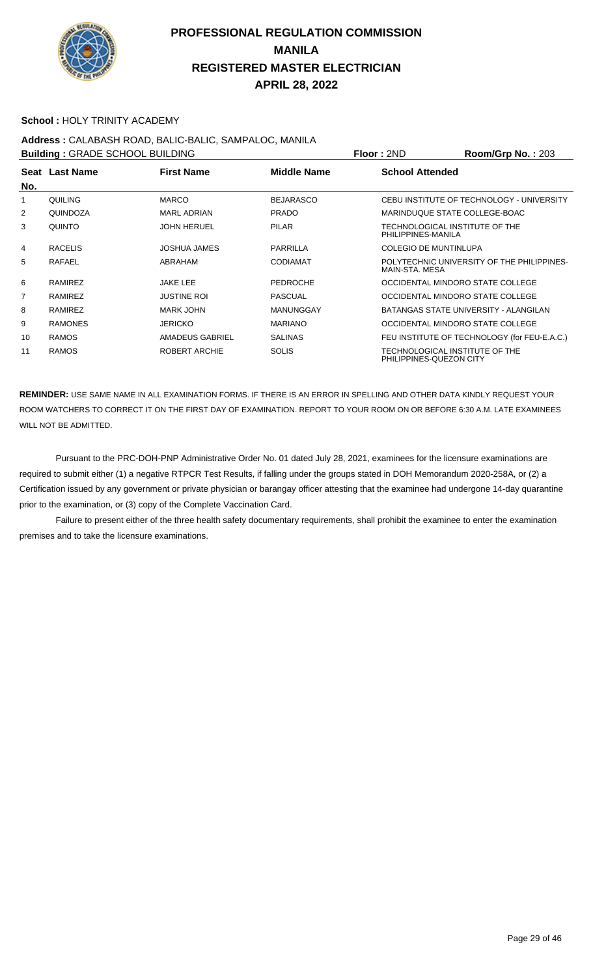

#### **School :** HOLY TRINITY ACADEMY

# **Address :** CALABASH ROAD, BALIC-BALIC, SAMPALOC, MANILA

| <b>Building: GRADE SCHOOL BUILDING</b> |                |                      |                    | <b>Floor: 2ND</b>                                         | Room/Grp No.: 203                            |
|----------------------------------------|----------------|----------------------|--------------------|-----------------------------------------------------------|----------------------------------------------|
| No.                                    | Seat Last Name | <b>First Name</b>    | <b>Middle Name</b> | <b>School Attended</b>                                    |                                              |
|                                        | QUILING        | <b>MARCO</b>         | <b>BEJARASCO</b>   |                                                           | CEBU INSTITUTE OF TECHNOLOGY - UNIVERSITY    |
| $\overline{2}$                         | QUINDOZA       | <b>MARL ADRIAN</b>   | <b>PRADO</b>       | MARINDUQUE STATE COLLEGE-BOAC                             |                                              |
| 3                                      | <b>QUINTO</b>  | <b>JOHN HERUEL</b>   | <b>PILAR</b>       | TECHNOLOGICAL INSTITUTE OF THE<br>PHILIPPINES-MANILA      |                                              |
| 4                                      | <b>RACELIS</b> | JOSHUA JAMES         | PARRILLA           | COLEGIO DE MUNTINLUPA                                     |                                              |
| 5                                      | RAFAEL         | ABRAHAM              | <b>CODIAMAT</b>    | MAIN-STA, MESA                                            | POLYTECHNIC UNIVERSITY OF THE PHILIPPINES-   |
| 6                                      | RAMIREZ        | <b>JAKE LEE</b>      | <b>PEDROCHE</b>    | OCCIDENTAL MINDORO STATE COLLEGE                          |                                              |
| 7                                      | RAMIREZ        | <b>JUSTINE ROI</b>   | <b>PASCUAL</b>     | OCCIDENTAL MINDORO STATE COLLEGE                          |                                              |
| 8                                      | RAMIREZ        | <b>MARK JOHN</b>     | <b>MANUNGGAY</b>   |                                                           | BATANGAS STATE UNIVERSITY - ALANGILAN        |
| 9                                      | <b>RAMONES</b> | <b>JERICKO</b>       | <b>MARIANO</b>     | OCCIDENTAL MINDORO STATE COLLEGE                          |                                              |
| 10                                     | <b>RAMOS</b>   | AMADEUS GABRIEL      | <b>SALINAS</b>     |                                                           | FEU INSTITUTE OF TECHNOLOGY (for FEU-E.A.C.) |
| 11                                     | <b>RAMOS</b>   | <b>ROBERT ARCHIE</b> | <b>SOLIS</b>       | TECHNOLOGICAL INSTITUTE OF THE<br>PHILIPPINES-QUEZON CITY |                                              |

**REMINDER:** USE SAME NAME IN ALL EXAMINATION FORMS. IF THERE IS AN ERROR IN SPELLING AND OTHER DATA KINDLY REQUEST YOUR ROOM WATCHERS TO CORRECT IT ON THE FIRST DAY OF EXAMINATION. REPORT TO YOUR ROOM ON OR BEFORE 6:30 A.M. LATE EXAMINEES WILL NOT BE ADMITTED.

 Pursuant to the PRC-DOH-PNP Administrative Order No. 01 dated July 28, 2021, examinees for the licensure examinations are required to submit either (1) a negative RTPCR Test Results, if falling under the groups stated in DOH Memorandum 2020-258A, or (2) a Certification issued by any government or private physician or barangay officer attesting that the examinee had undergone 14-day quarantine prior to the examination, or (3) copy of the Complete Vaccination Card.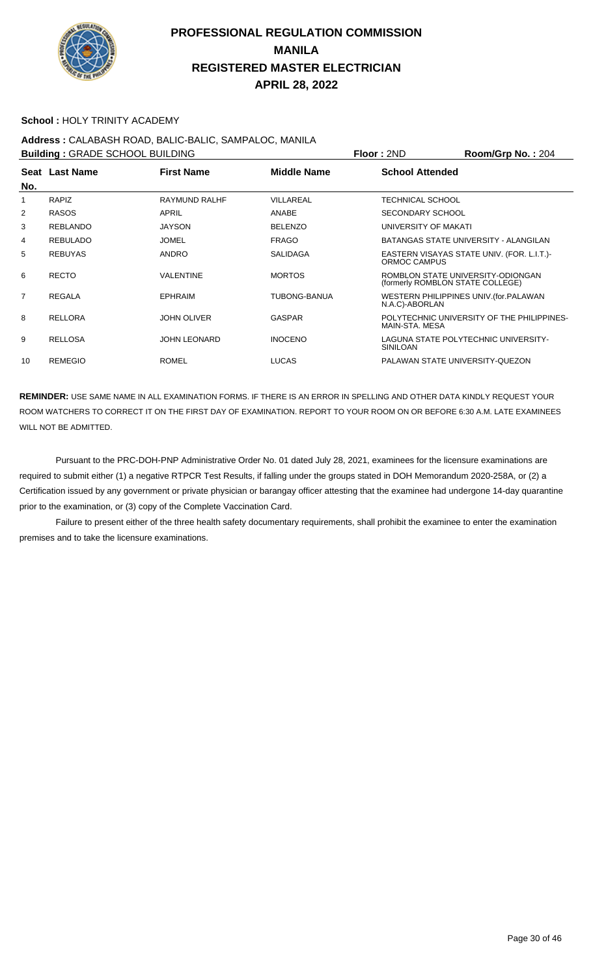

#### **School :** HOLY TRINITY ACADEMY

## **Address :** CALABASH ROAD, BALIC-BALIC, SAMPALOC, MANILA

| <b>Building: GRADE SCHOOL BUILDING</b> |                 |                      |                     | Floor: 2ND                       | Room/Grp No.: 204                          |
|----------------------------------------|-----------------|----------------------|---------------------|----------------------------------|--------------------------------------------|
| No.                                    | Seat Last Name  | <b>First Name</b>    | <b>Middle Name</b>  | <b>School Attended</b>           |                                            |
|                                        | <b>RAPIZ</b>    | <b>RAYMUND RALHF</b> | VILLAREAL           | TECHNICAL SCHOOL                 |                                            |
| 2                                      | <b>RASOS</b>    | APRIL                | ANABE               | <b>SECONDARY SCHOOL</b>          |                                            |
| 3                                      | <b>REBLANDO</b> | <b>JAYSON</b>        | <b>BELENZO</b>      | UNIVERSITY OF MAKATI             |                                            |
| 4                                      | <b>REBULADO</b> | <b>JOMEL</b>         | <b>FRAGO</b>        |                                  | BATANGAS STATE UNIVERSITY - ALANGILAN      |
| 5                                      | <b>REBUYAS</b>  | <b>ANDRO</b>         | <b>SALIDAGA</b>     | ORMOC CAMPUS                     | EASTERN VISAYAS STATE UNIV. (FOR. L.I.T.)- |
| 6                                      | <b>RECTO</b>    | <b>VALENTINE</b>     | <b>MORTOS</b>       | (formerly ROMBLON STATE COLLEGE) | ROMBLON STATE UNIVERSITY-ODIONGAN          |
| $\overline{7}$                         | <b>REGALA</b>   | <b>EPHRAIM</b>       | <b>TUBONG-BANUA</b> | N.A.C)-ABORLAN                   | WESTERN PHILIPPINES UNIV. (for. PALAWAN    |
| 8                                      | <b>RELLORA</b>  | <b>JOHN OLIVER</b>   | <b>GASPAR</b>       | MAIN-STA, MESA                   | POLYTECHNIC UNIVERSITY OF THE PHILIPPINES- |
| 9                                      | <b>RELLOSA</b>  | <b>JOHN LEONARD</b>  | <b>INOCENO</b>      | <b>SINILOAN</b>                  | LAGUNA STATE POLYTECHNIC UNIVERSITY-       |
| 10                                     | <b>REMEGIO</b>  | <b>ROMEL</b>         | <b>LUCAS</b>        | PALAWAN STATE UNIVERSITY-QUEZON  |                                            |

**REMINDER:** USE SAME NAME IN ALL EXAMINATION FORMS. IF THERE IS AN ERROR IN SPELLING AND OTHER DATA KINDLY REQUEST YOUR ROOM WATCHERS TO CORRECT IT ON THE FIRST DAY OF EXAMINATION. REPORT TO YOUR ROOM ON OR BEFORE 6:30 A.M. LATE EXAMINEES WILL NOT BE ADMITTED.

 Pursuant to the PRC-DOH-PNP Administrative Order No. 01 dated July 28, 2021, examinees for the licensure examinations are required to submit either (1) a negative RTPCR Test Results, if falling under the groups stated in DOH Memorandum 2020-258A, or (2) a Certification issued by any government or private physician or barangay officer attesting that the examinee had undergone 14-day quarantine prior to the examination, or (3) copy of the Complete Vaccination Card.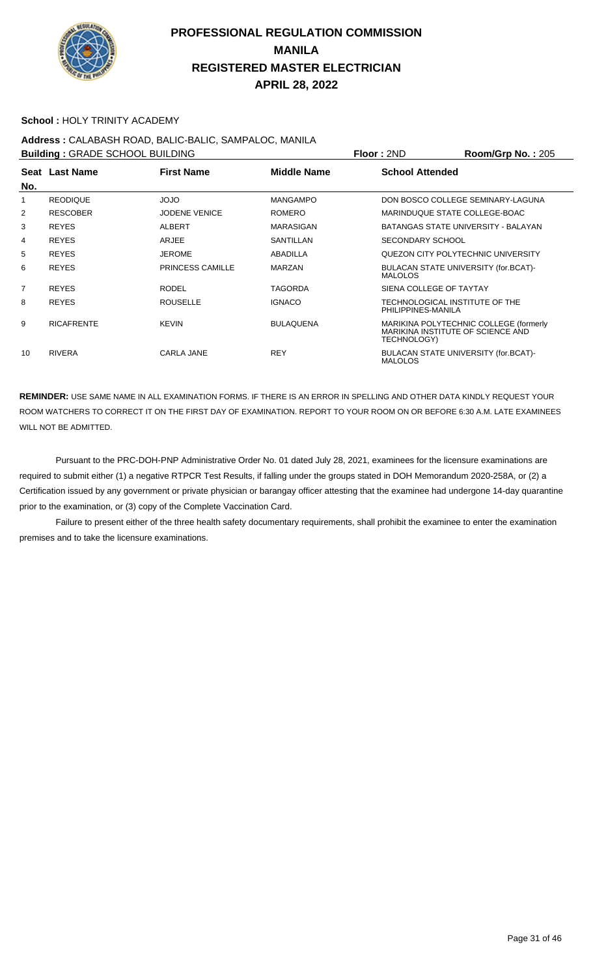

#### **School :** HOLY TRINITY ACADEMY

## **Address :** CALABASH ROAD, BALIC-BALIC, SAMPALOC, MANILA

| <b>Building: GRADE SCHOOL BUILDING</b> |                   |                         |                  | Floor: 2ND                                             | Room/Grp No.: 205                      |
|----------------------------------------|-------------------|-------------------------|------------------|--------------------------------------------------------|----------------------------------------|
|                                        | Seat Last Name    | <b>First Name</b>       | Middle Name      | <b>School Attended</b>                                 |                                        |
| No.                                    |                   |                         |                  |                                                        |                                        |
|                                        | <b>REODIQUE</b>   | <b>OLOL</b>             | <b>MANGAMPO</b>  |                                                        | DON BOSCO COLLEGE SEMINARY-LAGUNA      |
| 2                                      | <b>RESCOBER</b>   | <b>JODENE VENICE</b>    | <b>ROMERO</b>    | MARINDUQUE STATE COLLEGE-BOAC                          |                                        |
| 3                                      | <b>REYES</b>      | <b>ALBERT</b>           | MARASIGAN        |                                                        | BATANGAS STATE UNIVERSITY - BALAYAN    |
| 4                                      | <b>REYES</b>      | ARJEE                   | <b>SANTILLAN</b> | <b>SECONDARY SCHOOL</b>                                |                                        |
| 5                                      | <b>REYES</b>      | <b>JEROME</b>           | <b>ABADILLA</b>  |                                                        | QUEZON CITY POLYTECHNIC UNIVERSITY     |
| 6                                      | <b>REYES</b>      | <b>PRINCESS CAMILLE</b> | <b>MARZAN</b>    | BULACAN STATE UNIVERSITY (for.BCAT)-<br><b>MALOLOS</b> |                                        |
| $\overline{7}$                         | <b>REYES</b>      | <b>RODEL</b>            | TAGORDA          | SIENA COLLEGE OF TAYTAY                                |                                        |
| 8                                      | <b>REYES</b>      | <b>ROUSELLE</b>         | <b>IGNACO</b>    | TECHNOLOGICAL INSTITUTE OF THE<br>PHILIPPINES-MANILA   |                                        |
| 9                                      | <b>RICAFRENTE</b> | <b>KEVIN</b>            | <b>BULAQUENA</b> | MARIKINA INSTITUTE OF SCIENCE AND<br>TECHNOLOGY)       | MARIKINA POLYTECHNIC COLLEGE (formerly |
| 10                                     | <b>RIVERA</b>     | <b>CARLA JANE</b>       | <b>REY</b>       | BULACAN STATE UNIVERSITY (for.BCAT)-<br><b>MALOLOS</b> |                                        |

**REMINDER:** USE SAME NAME IN ALL EXAMINATION FORMS. IF THERE IS AN ERROR IN SPELLING AND OTHER DATA KINDLY REQUEST YOUR ROOM WATCHERS TO CORRECT IT ON THE FIRST DAY OF EXAMINATION. REPORT TO YOUR ROOM ON OR BEFORE 6:30 A.M. LATE EXAMINEES WILL NOT BE ADMITTED.

 Pursuant to the PRC-DOH-PNP Administrative Order No. 01 dated July 28, 2021, examinees for the licensure examinations are required to submit either (1) a negative RTPCR Test Results, if falling under the groups stated in DOH Memorandum 2020-258A, or (2) a Certification issued by any government or private physician or barangay officer attesting that the examinee had undergone 14-day quarantine prior to the examination, or (3) copy of the Complete Vaccination Card.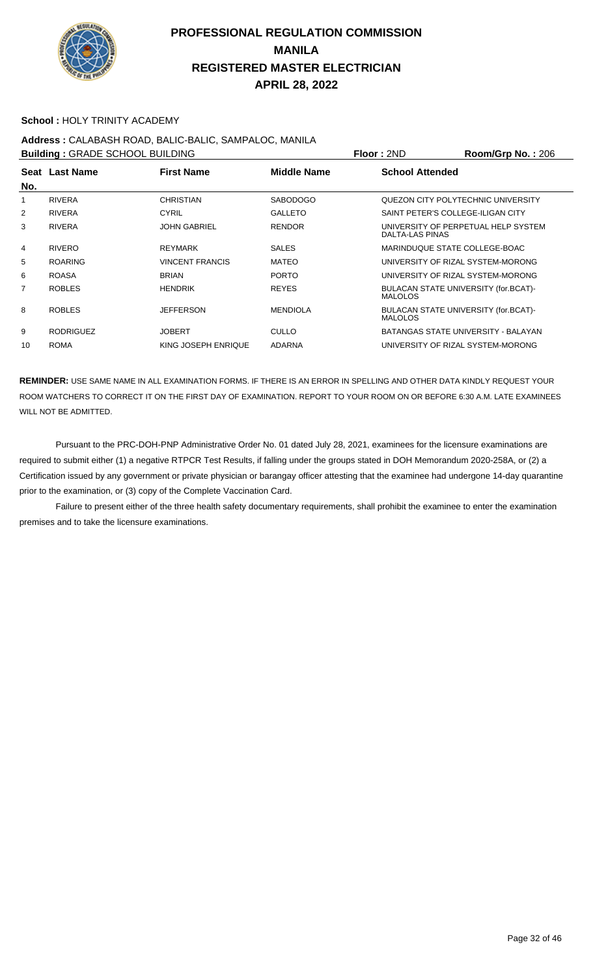

#### **School :** HOLY TRINITY ACADEMY

## **Address :** CALABASH ROAD, BALIC-BALIC, SAMPALOC, MANILA

**Building : GRADE SCHOOL BUILDING Floor : 2ND Room/Grp No. : 206 Seat** Last Name **No. Last Name First Name Middle Name School Attended** 1 RIVERA CHRISTIAN SABODOGO QUEZON CITY POLYTECHNIC UNIVERSITY 2 RIVERA CYRIL GALLETO SAINT PETER'S COLLEGE-ILIGAN CITY 3 RIVERA JOHN GABRIEL RENDOR UNIVERSITY OF PERPETUAL HELP SYSTEM DALTA-LAS PINAS ergy in the Marin College State of the SALES And Marin Marin College-Boach (STATE COLLEGE-BOAC) 5 ROARING VINCENT FRANCIS MATEO UNIVERSITY OF RIZAL SYSTEM-MORONG 6 ROASA BRIAN PORTO UNIVERSITY OF RIZAL SYSTEM-MORONG 7 ROBLES HENDRIK REYES BULACAN STATE UNIVERSITY (for.BCAT)-MALOLOS 8 ROBLES JEFFERSON MENDIOLA BULACAN STATE UNIVERSITY (for.BCAT)- MALOLOS 9 RODRIGUEZ JOBERT CULLO BATANGAS STATE UNIVERSITY - BALAYAN 10 ROMA KING JOSEPH ENRIQUE ADARNA UNIVERSITY OF RIZAL SYSTEM-MORONG

**REMINDER:** USE SAME NAME IN ALL EXAMINATION FORMS. IF THERE IS AN ERROR IN SPELLING AND OTHER DATA KINDLY REQUEST YOUR ROOM WATCHERS TO CORRECT IT ON THE FIRST DAY OF EXAMINATION. REPORT TO YOUR ROOM ON OR BEFORE 6:30 A.M. LATE EXAMINEES WILL NOT BE ADMITTED.

 Pursuant to the PRC-DOH-PNP Administrative Order No. 01 dated July 28, 2021, examinees for the licensure examinations are required to submit either (1) a negative RTPCR Test Results, if falling under the groups stated in DOH Memorandum 2020-258A, or (2) a Certification issued by any government or private physician or barangay officer attesting that the examinee had undergone 14-day quarantine prior to the examination, or (3) copy of the Complete Vaccination Card.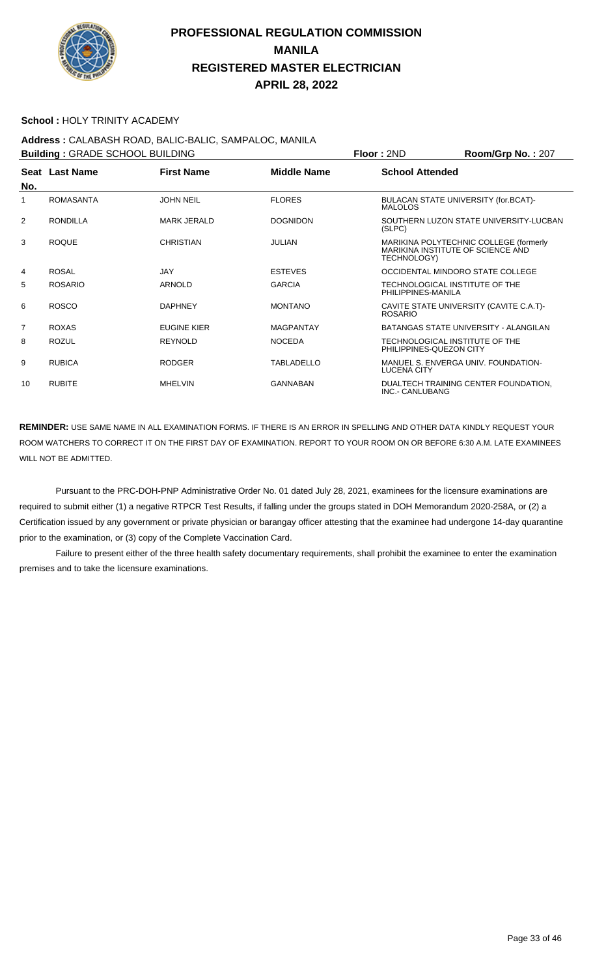

#### **School :** HOLY TRINITY ACADEMY

**Address :** CALABASH ROAD, BALIC-BALIC, SAMPALOC, MANILA **Building : GRADE SCHOOL BUILDING Floor : 2ND Room/Grp No. : 207 Seat** Last Name **No. Last Name First Name Middle Name School Attended** 1 ROMASANTA JOHN NEIL FLORES BULACAN STATE UNIVERSITY (for.BCAT)- MALOLOS 2 RONDILLA MARK JERALD DOGNIDON SOUTHERN LUZON STATE UNIVERSITY-LUCBAN (SLPC) 3 ROQUE CHRISTIAN JULIAN MARIKINA POLYTECHNIC COLLEGE (formerly MARIKINA INSTITUTE OF SCIENCE AND TECHNOLOGY) 4 ROSAL JAY ESTEVES OCCIDENTAL MINDORO STATE COLLEGE 5 ROSARIO ARNOLD GARCIA TECHNOLOGICAL INSTITUTE OF THE PHILIPPINES-MANILA 6 ROSCO DAPHNEY MONTANO CAVITE STATE UNIVERSITY (CAVITE C.A.T)- ROSARIO 7 ROXAS EUGINE KIER MAGPANTAY BATANGAS STATE UNIVERSITY - ALANGILAN 8 ROZUL REYNOLD NOCEDA TECHNOLOGICAL INSTITUTE OF THE PHILIPPINES-QUEZON CITY 9 RUBICA RODGER TABLADELLO MANUEL S. ENVERGA UNIV. FOUNDATION-LUCENA CITY 10 RUBITE MHELVIN MHELVIN GANNABAN DUALTECH TRAINING CENTER FOUNDATION, INC.- CANLUBANG

**REMINDER:** USE SAME NAME IN ALL EXAMINATION FORMS. IF THERE IS AN ERROR IN SPELLING AND OTHER DATA KINDLY REQUEST YOUR ROOM WATCHERS TO CORRECT IT ON THE FIRST DAY OF EXAMINATION. REPORT TO YOUR ROOM ON OR BEFORE 6:30 A.M. LATE EXAMINEES WILL NOT BE ADMITTED.

 Pursuant to the PRC-DOH-PNP Administrative Order No. 01 dated July 28, 2021, examinees for the licensure examinations are required to submit either (1) a negative RTPCR Test Results, if falling under the groups stated in DOH Memorandum 2020-258A, or (2) a Certification issued by any government or private physician or barangay officer attesting that the examinee had undergone 14-day quarantine prior to the examination, or (3) copy of the Complete Vaccination Card.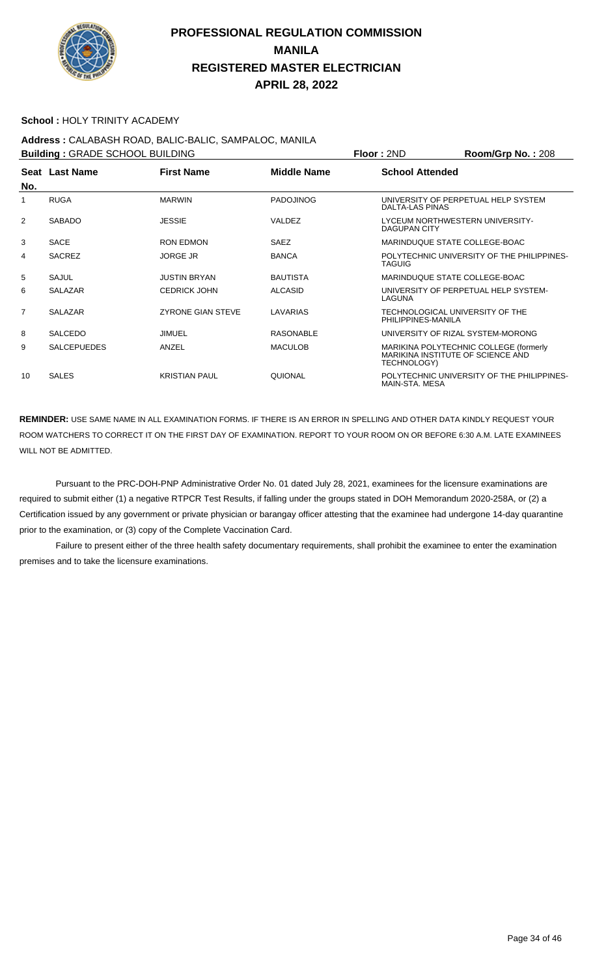

#### **School :** HOLY TRINITY ACADEMY

## **Address :** CALABASH ROAD, BALIC-BALIC, SAMPALOC, MANILA

| <b>Building: GRADE SCHOOL BUILDING</b> |                    |                          |                    | Floor: 2ND                                            | Room/Grp No.: 208                                                           |
|----------------------------------------|--------------------|--------------------------|--------------------|-------------------------------------------------------|-----------------------------------------------------------------------------|
| No.                                    | Seat Last Name     | <b>First Name</b>        | <b>Middle Name</b> | <b>School Attended</b>                                |                                                                             |
|                                        | <b>RUGA</b>        | <b>MARWIN</b>            | <b>PADOJINOG</b>   | DALTA-LAS PINAS                                       | UNIVERSITY OF PERPETUAL HELP SYSTEM                                         |
| 2                                      | <b>SABADO</b>      | <b>JESSIE</b>            | <b>VALDEZ</b>      | <b>DAGUPAN CITY</b>                                   | LYCEUM NORTHWESTERN UNIVERSITY-                                             |
| 3                                      | <b>SACE</b>        | <b>RON EDMON</b>         | <b>SAEZ</b>        | MARINDUQUE STATE COLLEGE-BOAC                         |                                                                             |
| 4                                      | <b>SACREZ</b>      | <b>JORGE JR</b>          | <b>BANCA</b>       | <b>TAGUIG</b>                                         | POLYTECHNIC UNIVERSITY OF THE PHILIPPINES-                                  |
| 5                                      | SAJUL              | <b>JUSTIN BRYAN</b>      | <b>BAUTISTA</b>    | MARINDUQUE STATE COLLEGE-BOAC                         |                                                                             |
| 6                                      | <b>SALAZAR</b>     | <b>CEDRICK JOHN</b>      | <b>ALCASID</b>     | LAGUNA                                                | UNIVERSITY OF PERPETUAL HELP SYSTEM-                                        |
| $\overline{7}$                         | <b>SALAZAR</b>     | <b>ZYRONE GIAN STEVE</b> | LAVARIAS           | TECHNOLOGICAL UNIVERSITY OF THE<br>PHILIPPINES-MANILA |                                                                             |
| 8                                      | <b>SALCEDO</b>     | <b>JIMUEL</b>            | <b>RASONABLE</b>   |                                                       | UNIVERSITY OF RIZAL SYSTEM-MORONG                                           |
| 9                                      | <b>SALCEPUEDES</b> | ANZEL                    | <b>MACULOB</b>     | TECHNOLOGY)                                           | MARIKINA POLYTECHNIC COLLEGE (formerly<br>MARIKINA INSTITUTE OF SCIENCE AND |
| 10                                     | <b>SALES</b>       | <b>KRISTIAN PAUL</b>     | QUIONAL            | MAIN-STA. MESA                                        | POLYTECHNIC UNIVERSITY OF THE PHILIPPINES-                                  |

**REMINDER:** USE SAME NAME IN ALL EXAMINATION FORMS. IF THERE IS AN ERROR IN SPELLING AND OTHER DATA KINDLY REQUEST YOUR ROOM WATCHERS TO CORRECT IT ON THE FIRST DAY OF EXAMINATION. REPORT TO YOUR ROOM ON OR BEFORE 6:30 A.M. LATE EXAMINEES WILL NOT BE ADMITTED.

 Pursuant to the PRC-DOH-PNP Administrative Order No. 01 dated July 28, 2021, examinees for the licensure examinations are required to submit either (1) a negative RTPCR Test Results, if falling under the groups stated in DOH Memorandum 2020-258A, or (2) a Certification issued by any government or private physician or barangay officer attesting that the examinee had undergone 14-day quarantine prior to the examination, or (3) copy of the Complete Vaccination Card.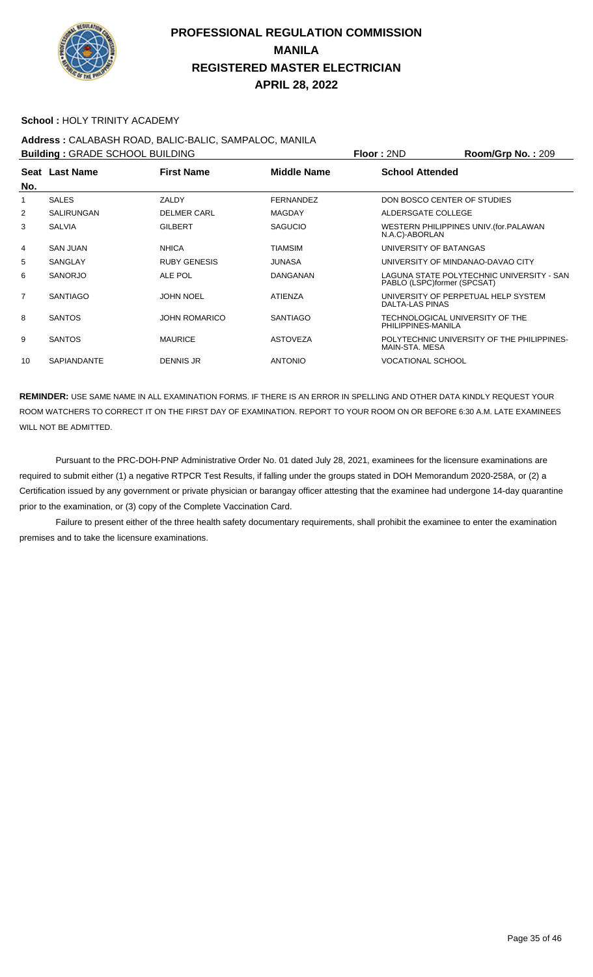

#### **School :** HOLY TRINITY ACADEMY

# **Address :** CALABASH ROAD, BALIC-BALIC, SAMPALOC, MANILA

| <b>Building: GRADE SCHOOL BUILDING</b> |                    |                      |                    | Floor: 2ND                                            | Room/Grp No.: 209                          |
|----------------------------------------|--------------------|----------------------|--------------------|-------------------------------------------------------|--------------------------------------------|
| No.                                    | Seat Last Name     | <b>First Name</b>    | <b>Middle Name</b> | <b>School Attended</b>                                |                                            |
|                                        | <b>SALES</b>       | ZALDY                | FERNANDEZ          | DON BOSCO CENTER OF STUDIES                           |                                            |
| 2                                      | <b>SALIRUNGAN</b>  | <b>DELMER CARL</b>   | <b>MAGDAY</b>      | ALDERSGATE COLLEGE                                    |                                            |
| 3                                      | <b>SALVIA</b>      | <b>GILBERT</b>       | <b>SAGUCIO</b>     | N.A.C)-ABORLAN                                        | WESTERN PHILIPPINES UNIV. (for. PALAWAN    |
| 4                                      | <b>SAN JUAN</b>    | <b>NHICA</b>         | <b>TIAMSIM</b>     | UNIVERSITY OF BATANGAS                                |                                            |
| 5                                      | <b>SANGLAY</b>     | <b>RUBY GENESIS</b>  | <b>JUNASA</b>      | UNIVERSITY OF MINDANAO-DAVAO CITY                     |                                            |
| 6                                      | <b>SANORJO</b>     | ALE POL              | DANGANAN           | PABLO (LSPC)former (SPCSAT)                           | LAGUNA STATE POLYTECHNIC UNIVERSITY - SAN  |
| $\overline{7}$                         | <b>SANTIAGO</b>    | <b>JOHN NOEL</b>     | <b>ATIENZA</b>     | DALTA-LAS PINAS                                       | UNIVERSITY OF PERPETUAL HELP SYSTEM        |
| 8                                      | <b>SANTOS</b>      | <b>JOHN ROMARICO</b> | <b>SANTIAGO</b>    | TECHNOLOGICAL UNIVERSITY OF THE<br>PHILIPPINES-MANILA |                                            |
| 9                                      | <b>SANTOS</b>      | <b>MAURICE</b>       | <b>ASTOVEZA</b>    | MAIN-STA, MESA                                        | POLYTECHNIC UNIVERSITY OF THE PHILIPPINES- |
| 10                                     | <b>SAPIANDANTE</b> | <b>DENNIS JR</b>     | <b>ANTONIO</b>     | VOCATIONAL SCHOOL                                     |                                            |
|                                        |                    |                      |                    |                                                       |                                            |

**REMINDER:** USE SAME NAME IN ALL EXAMINATION FORMS. IF THERE IS AN ERROR IN SPELLING AND OTHER DATA KINDLY REQUEST YOUR ROOM WATCHERS TO CORRECT IT ON THE FIRST DAY OF EXAMINATION. REPORT TO YOUR ROOM ON OR BEFORE 6:30 A.M. LATE EXAMINEES WILL NOT BE ADMITTED.

 Pursuant to the PRC-DOH-PNP Administrative Order No. 01 dated July 28, 2021, examinees for the licensure examinations are required to submit either (1) a negative RTPCR Test Results, if falling under the groups stated in DOH Memorandum 2020-258A, or (2) a Certification issued by any government or private physician or barangay officer attesting that the examinee had undergone 14-day quarantine prior to the examination, or (3) copy of the Complete Vaccination Card.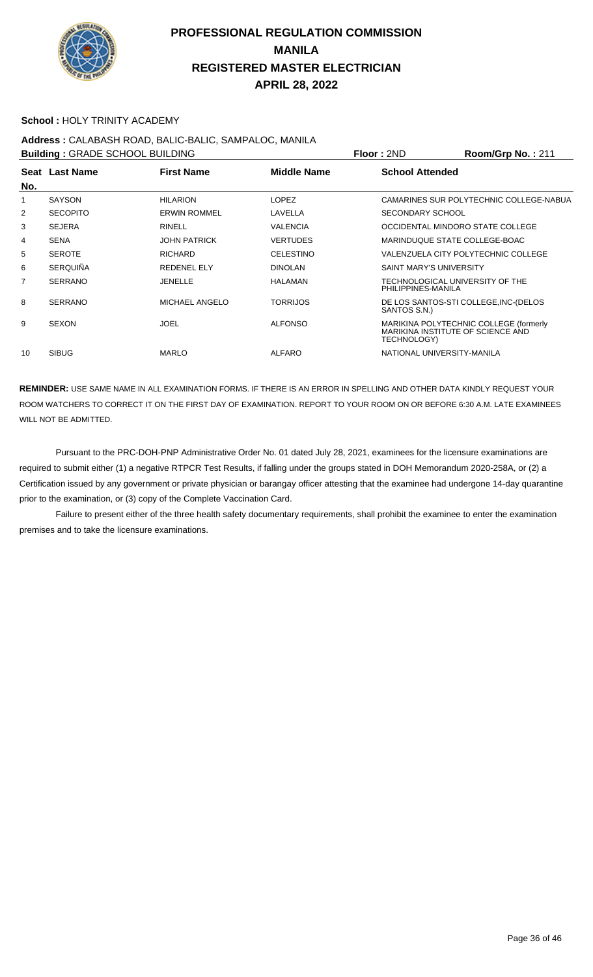

#### **School :** HOLY TRINITY ACADEMY

## **Address :** CALABASH ROAD, BALIC-BALIC, SAMPALOC, MANILA

**Building : GRADE SCHOOL BUILDING Floor : 2ND Room/Grp No. : 211 Seat** Last Name **No. Last Name First Name Middle Name School Attended** 1 SAYSON HILARION LOPEZ CAMARINES SUR POLYTECHNIC COLLEGE-NABUA 2 SECOPITO ERWIN ROMMEL LAVELLA SECONDARY SCHOOL 3 SEJERA RINELL VALENCIA OCCIDENTAL MINDORO STATE COLLEGE 4 SENA JOHN PATRICK VERTUDES MARINDUQUE STATE COLLEGE-BOAC 5 SEROTE RICHARD CELESTINO VALENZUELA CITY POLYTECHNIC COLLEGE 6 SERQUIÑA REDENEL ELY DINOLAN SAINT MARY'S UNIVERSITY 7 SERRANO JENELLE HALAMAN TECHNOLOGICAL UNIVERSITY OF THE PHILIPPINES-MANILA 8 SERRANO MICHAEL ANGELO TORRIJOS DE LOS SANTOS-STI COLLEGE,INC-(DELOS SANTOS S.N.) 9 SEXON JOEL JOEL ALFONSO MARIKINA POLYTECHNIC COLLEGE (formerly MARIKINA INSTITUTE OF SCIENCE AND TECHNOLOGY) 10 SIBUG MARLO ALFARO NATIONAL UNIVERSITY-MANILA

**REMINDER:** USE SAME NAME IN ALL EXAMINATION FORMS. IF THERE IS AN ERROR IN SPELLING AND OTHER DATA KINDLY REQUEST YOUR ROOM WATCHERS TO CORRECT IT ON THE FIRST DAY OF EXAMINATION. REPORT TO YOUR ROOM ON OR BEFORE 6:30 A.M. LATE EXAMINEES WILL NOT BE ADMITTED.

 Pursuant to the PRC-DOH-PNP Administrative Order No. 01 dated July 28, 2021, examinees for the licensure examinations are required to submit either (1) a negative RTPCR Test Results, if falling under the groups stated in DOH Memorandum 2020-258A, or (2) a Certification issued by any government or private physician or barangay officer attesting that the examinee had undergone 14-day quarantine prior to the examination, or (3) copy of the Complete Vaccination Card.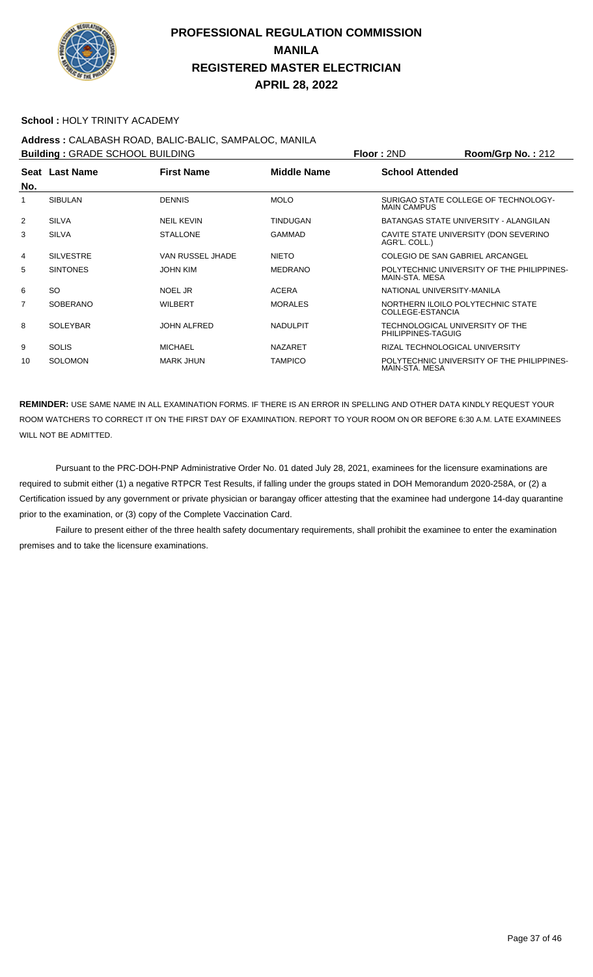

#### **School :** HOLY TRINITY ACADEMY

## **Address :** CALABASH ROAD, BALIC-BALIC, SAMPALOC, MANILA

**Building :** GRADE SCHOOL BUILDING **Floor :** 2ND **Room/Grp No. :** 212

| <b>BUILDING . ORAPL SOFIOOL BUILDING</b> |                  |                    |                    | 1 IUU . ZI TU<br>110011110111101.212                         |
|------------------------------------------|------------------|--------------------|--------------------|--------------------------------------------------------------|
| No.                                      | Seat Last Name   | <b>First Name</b>  | <b>Middle Name</b> | <b>School Attended</b>                                       |
| 1                                        | <b>SIBULAN</b>   | <b>DENNIS</b>      | <b>MOLO</b>        | SURIGAO STATE COLLEGE OF TECHNOLOGY-<br><b>MAIN CAMPUS</b>   |
| 2                                        | <b>SILVA</b>     | <b>NEIL KEVIN</b>  | <b>TINDUGAN</b>    | BATANGAS STATE UNIVERSITY - ALANGILAN                        |
| 3                                        | <b>SILVA</b>     | <b>STALLONE</b>    | <b>GAMMAD</b>      | CAVITE STATE UNIVERSITY (DON SEVERINO<br>AGR'L. COLL.)       |
| 4                                        | <b>SILVESTRE</b> | VAN RUSSEL JHADE   | <b>NIETO</b>       | COLEGIO DE SAN GABRIEL ARCANGEL                              |
| 5                                        | <b>SINTONES</b>  | <b>JOHN KIM</b>    | <b>MEDRANO</b>     | POLYTECHNIC UNIVERSITY OF THE PHILIPPINES-<br>MAIN-STA, MESA |
| 6                                        | SO.              | NOEL JR            | <b>ACERA</b>       | NATIONAL UNIVERSITY-MANILA                                   |
| 7                                        | <b>SOBERANO</b>  | <b>WILBERT</b>     | <b>MORALES</b>     | NORTHERN ILOILO POLYTECHNIC STATE<br>COLLEGE-ESTANCIA        |
| 8                                        | <b>SOLEYBAR</b>  | <b>JOHN ALFRED</b> | <b>NADULPIT</b>    | TECHNOLOGICAL UNIVERSITY OF THE<br>PHILIPPINES-TAGUIG        |
| 9                                        | <b>SOLIS</b>     | <b>MICHAEL</b>     | <b>NAZARET</b>     | RIZAL TECHNOLOGICAL UNIVERSITY                               |
| 10                                       | <b>SOLOMON</b>   | <b>MARK JHUN</b>   | <b>TAMPICO</b>     | POLYTECHNIC UNIVERSITY OF THE PHILIPPINES-<br>MAIN-STA, MESA |

**REMINDER:** USE SAME NAME IN ALL EXAMINATION FORMS. IF THERE IS AN ERROR IN SPELLING AND OTHER DATA KINDLY REQUEST YOUR ROOM WATCHERS TO CORRECT IT ON THE FIRST DAY OF EXAMINATION. REPORT TO YOUR ROOM ON OR BEFORE 6:30 A.M. LATE EXAMINEES WILL NOT BE ADMITTED.

 Pursuant to the PRC-DOH-PNP Administrative Order No. 01 dated July 28, 2021, examinees for the licensure examinations are required to submit either (1) a negative RTPCR Test Results, if falling under the groups stated in DOH Memorandum 2020-258A, or (2) a Certification issued by any government or private physician or barangay officer attesting that the examinee had undergone 14-day quarantine prior to the examination, or (3) copy of the Complete Vaccination Card.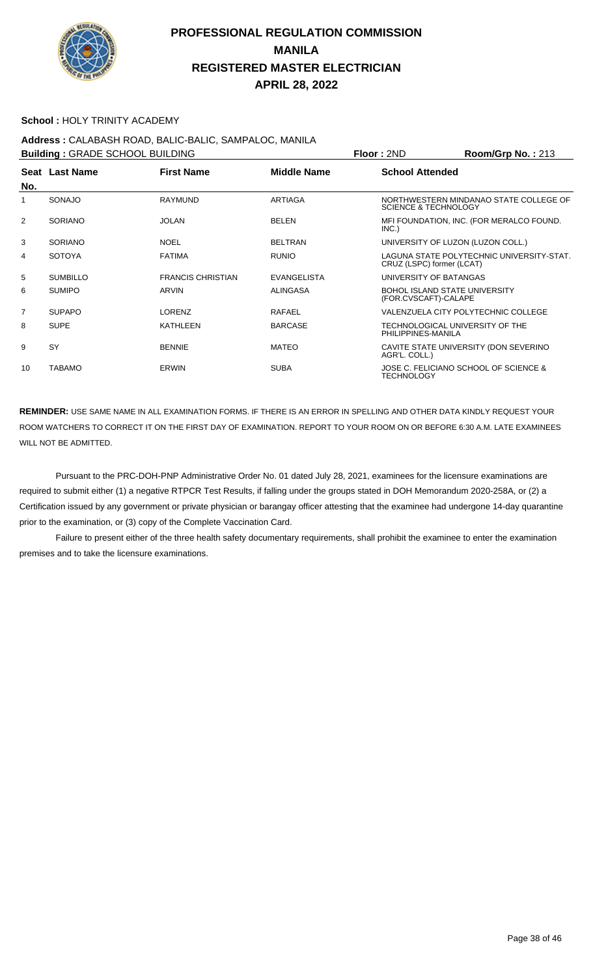

#### **School :** HOLY TRINITY ACADEMY

## **Address :** CALABASH ROAD, BALIC-BALIC, SAMPALOC, MANILA

| <b>Building: GRADE SCHOOL BUILDING</b> |                 |                          |                    | Floor: 2ND                                                   | Room/Grp No.: 213                         |
|----------------------------------------|-----------------|--------------------------|--------------------|--------------------------------------------------------------|-------------------------------------------|
| No.                                    | Seat Last Name  | <b>First Name</b>        | <b>Middle Name</b> | <b>School Attended</b>                                       |                                           |
|                                        | SONAJO          | <b>RAYMUND</b>           | <b>ARTIAGA</b>     | <b>SCIENCE &amp; TECHNOLOGY</b>                              | NORTHWESTERN MINDANAO STATE COLLEGE OF    |
| 2                                      | <b>SORIANO</b>  | <b>JOLAN</b>             | <b>BELEN</b>       | INC.)                                                        | MFI FOUNDATION, INC. (FOR MERALCO FOUND.  |
| 3                                      | <b>SORIANO</b>  | <b>NOEL</b>              | <b>BELTRAN</b>     | UNIVERSITY OF LUZON (LUZON COLL.)                            |                                           |
| 4                                      | <b>SOTOYA</b>   | <b>FATIMA</b>            | <b>RUNIO</b>       | CRUZ (LSPC) former (LCAT)                                    | LAGUNA STATE POLYTECHNIC UNIVERSITY-STAT. |
| 5                                      | <b>SUMBILLO</b> | <b>FRANCIS CHRISTIAN</b> | <b>EVANGELISTA</b> | UNIVERSITY OF BATANGAS                                       |                                           |
| 6                                      | <b>SUMIPO</b>   | ARVIN                    | <b>ALINGASA</b>    | <b>BOHOL ISLAND STATE UNIVERSITY</b><br>(FOR.CVSCAFT)-CALAPE |                                           |
| $\overline{7}$                         | <b>SUPAPO</b>   | LORENZ                   | RAFAEL             |                                                              | VALENZUELA CITY POLYTECHNIC COLLEGE       |
| 8                                      | <b>SUPE</b>     | <b>KATHLEEN</b>          | <b>BARCASE</b>     | TECHNOLOGICAL UNIVERSITY OF THE<br>PHILIPPINES-MANILA        |                                           |
| 9                                      | SY              | <b>BENNIE</b>            | <b>MATEO</b>       | AGR'L. COLL.)                                                | CAVITE STATE UNIVERSITY (DON SEVERINO     |
| 10                                     | <b>TABAMO</b>   | <b>ERWIN</b>             | <b>SUBA</b>        | <b>TECHNOLOGY</b>                                            | JOSE C. FELICIANO SCHOOL OF SCIENCE &     |

**REMINDER:** USE SAME NAME IN ALL EXAMINATION FORMS. IF THERE IS AN ERROR IN SPELLING AND OTHER DATA KINDLY REQUEST YOUR ROOM WATCHERS TO CORRECT IT ON THE FIRST DAY OF EXAMINATION. REPORT TO YOUR ROOM ON OR BEFORE 6:30 A.M. LATE EXAMINEES WILL NOT BE ADMITTED.

 Pursuant to the PRC-DOH-PNP Administrative Order No. 01 dated July 28, 2021, examinees for the licensure examinations are required to submit either (1) a negative RTPCR Test Results, if falling under the groups stated in DOH Memorandum 2020-258A, or (2) a Certification issued by any government or private physician or barangay officer attesting that the examinee had undergone 14-day quarantine prior to the examination, or (3) copy of the Complete Vaccination Card.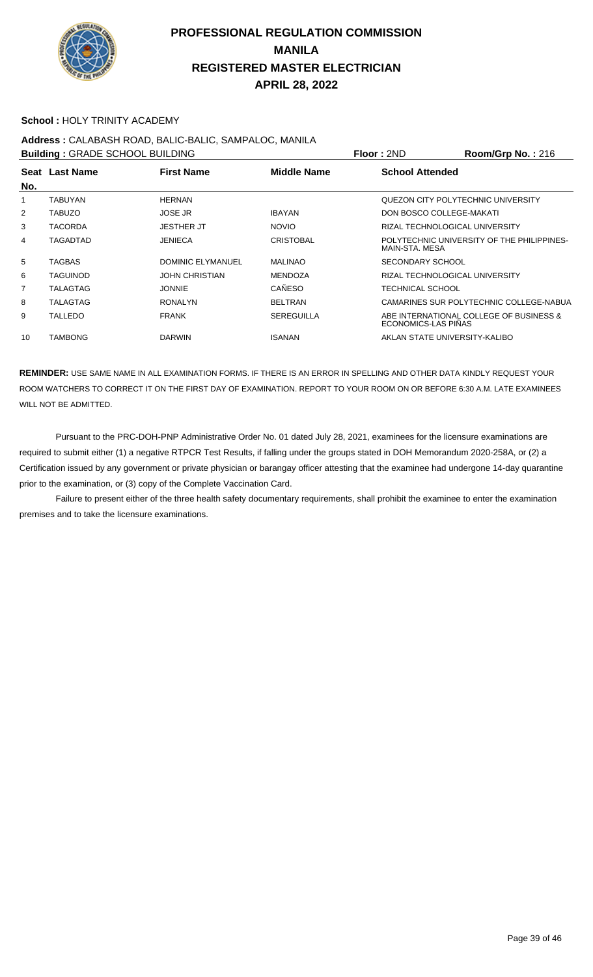

#### **School :** HOLY TRINITY ACADEMY

#### **Address :** CALABASH ROAD, BALIC-BALIC, SAMPALOC, MANILA **Building :** GRADE SCHOOL BUILDING **Floor :** 2ND **Room/Grp No. :** 216

| <b>BUILDING:</b> GRADE SCHOOL BUILDING |                 |                          |                    | <b>FIOOL:</b> SUP                  | ROOM/Grp No.: 216                          |
|----------------------------------------|-----------------|--------------------------|--------------------|------------------------------------|--------------------------------------------|
| No.                                    | Seat Last Name  | <b>First Name</b>        | <b>Middle Name</b> | <b>School Attended</b>             |                                            |
|                                        | <b>TABUYAN</b>  | <b>HERNAN</b>            |                    | QUEZON CITY POLYTECHNIC UNIVERSITY |                                            |
| $\overline{2}$                         | <b>TABUZO</b>   | <b>JOSE JR</b>           | <b>IBAYAN</b>      | DON BOSCO COLLEGE-MAKATI           |                                            |
| 3                                      | <b>TACORDA</b>  | <b>JESTHER JT</b>        | <b>NOVIO</b>       | RIZAL TECHNOLOGICAL UNIVERSITY     |                                            |
| 4                                      | TAGADTAD        | <b>JENIECA</b>           | <b>CRISTOBAL</b>   | MAIN-STA, MESA                     | POLYTECHNIC UNIVERSITY OF THE PHILIPPINES- |
| 5                                      | <b>TAGBAS</b>   | <b>DOMINIC ELYMANUEL</b> | <b>MALINAO</b>     | SECONDARY SCHOOL                   |                                            |
| 6                                      | <b>TAGUINOD</b> | <b>JOHN CHRISTIAN</b>    | <b>MENDOZA</b>     | RIZAL TECHNOLOGICAL UNIVERSITY     |                                            |
| 7                                      | TALAGTAG        | <b>JONNIE</b>            | CAÑESO             | TECHNICAL SCHOOL                   |                                            |
| 8                                      | TALAGTAG        | <b>RONALYN</b>           | <b>BELTRAN</b>     |                                    | CAMARINES SUR POLYTECHNIC COLLEGE-NABUA    |
| 9                                      | <b>TALLEDO</b>  | <b>FRANK</b>             | <b>SEREGUILLA</b>  | ECONOMICS-LAS PINAS                | ABE INTERNATIONAL COLLEGE OF BUSINESS &    |
| 10                                     | <b>TAMBONG</b>  | <b>DARWIN</b>            | <b>ISANAN</b>      | AKLAN STATE UNIVERSITY-KALIBO      |                                            |
|                                        |                 |                          |                    |                                    |                                            |

**REMINDER:** USE SAME NAME IN ALL EXAMINATION FORMS. IF THERE IS AN ERROR IN SPELLING AND OTHER DATA KINDLY REQUEST YOUR ROOM WATCHERS TO CORRECT IT ON THE FIRST DAY OF EXAMINATION. REPORT TO YOUR ROOM ON OR BEFORE 6:30 A.M. LATE EXAMINEES WILL NOT BE ADMITTED.

 Pursuant to the PRC-DOH-PNP Administrative Order No. 01 dated July 28, 2021, examinees for the licensure examinations are required to submit either (1) a negative RTPCR Test Results, if falling under the groups stated in DOH Memorandum 2020-258A, or (2) a Certification issued by any government or private physician or barangay officer attesting that the examinee had undergone 14-day quarantine prior to the examination, or (3) copy of the Complete Vaccination Card.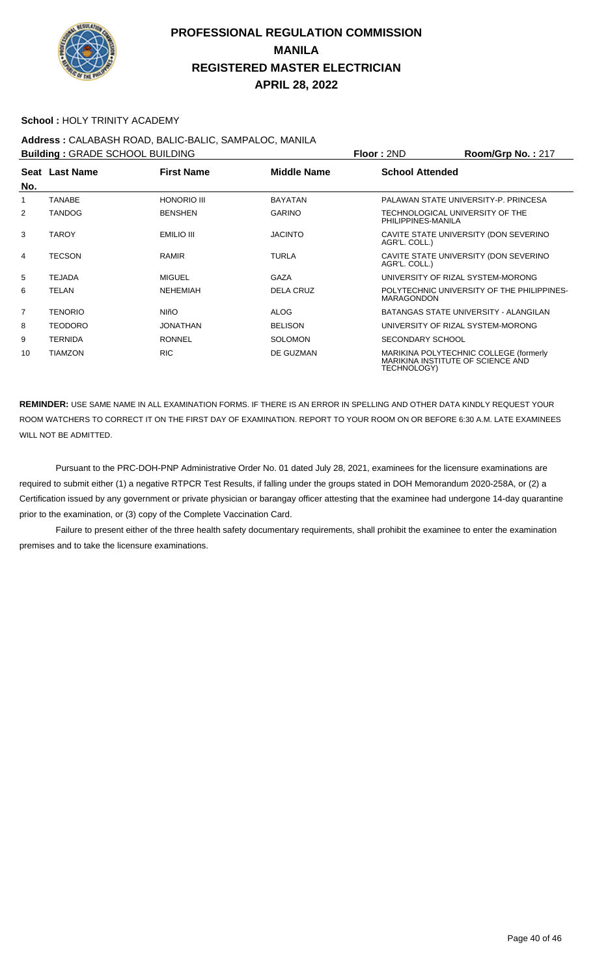

#### **School :** HOLY TRINITY ACADEMY

**Address :** CALABASH ROAD, BALIC-BALIC, SAMPALOC, MANILA **Building : GRADE SCHOOL BUILDING Floor : 2ND Room/Grp No. : 217 Seat** Last Name **No. Last Name First Name Middle Name School Attended** 1 TANABE HONORIO III BAYATAN PALAWAN STATE UNIVERSITY-P. PRINCESA 2 TANDOG BENSHEN GARINO TECHNOLOGICAL UNIVERSITY OF THE PHILIPPINES-MANILA 3 TAROY EMILIO III JACINTO CAVITE STATE UNIVERSITY (DON SEVERINO AGR'L. COLL.) 4 TECSON RAMIR TURLA CAVITE STATE UNIVERSITY (DON SEVERINO AGR'L. COLL.) 5 TEJADA MIGUEL GAZA UNIVERSITY OF RIZAL SYSTEM-MORONG 6 TELAN NEHEMIAH DELA CRUZ POLYTECHNIC UNIVERSITY OF THE PHILIPPINES-**MARAGONDON** 7 TENORIO NIñO ALOG BATANGAS STATE UNIVERSITY - ALANGILAN 8 TEODORO JONATHAN BELISON UNIVERSITY OF RIZAL SYSTEM-MORONG 9 TERNIDA RONNEL SOLOMON SECONDARY SCHOOL 10 TIAMZON RIC RIC DE GUZMAN MARIKINA POLYTECHNIC COLLEGE (formerly MARIKINA INSTITUTE OF SCIENCE AND

**REMINDER:** USE SAME NAME IN ALL EXAMINATION FORMS. IF THERE IS AN ERROR IN SPELLING AND OTHER DATA KINDLY REQUEST YOUR ROOM WATCHERS TO CORRECT IT ON THE FIRST DAY OF EXAMINATION. REPORT TO YOUR ROOM ON OR BEFORE 6:30 A.M. LATE EXAMINEES WILL NOT BE ADMITTED.

TECHNOLOGY)

 Pursuant to the PRC-DOH-PNP Administrative Order No. 01 dated July 28, 2021, examinees for the licensure examinations are required to submit either (1) a negative RTPCR Test Results, if falling under the groups stated in DOH Memorandum 2020-258A, or (2) a Certification issued by any government or private physician or barangay officer attesting that the examinee had undergone 14-day quarantine prior to the examination, or (3) copy of the Complete Vaccination Card.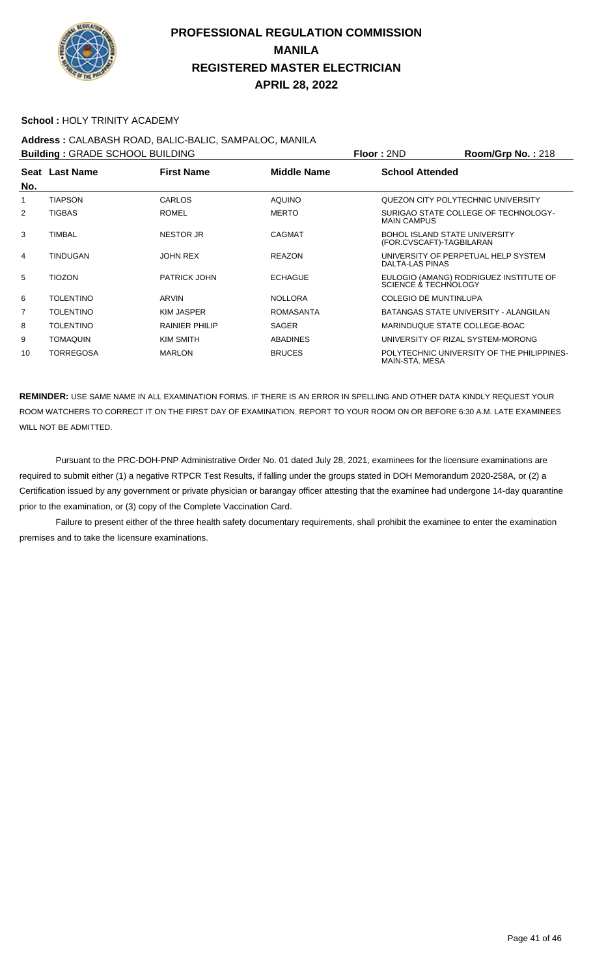

#### **School :** HOLY TRINITY ACADEMY

## **Address :** CALABASH ROAD, BALIC-BALIC, SAMPALOC, MANILA

**Building : GRADE SCHOOL BUILDING Floor : 2ND Room/Grp No. : 218 Seat** Last Name **No. Last Name First Name Middle Name School Attended** 1 TIAPSON CARLOS AQUINO QUEZON CITY POLYTECHNIC UNIVERSITY 2 TIGBAS ROMEL ROMEL MERTO SURIGAO STATE COLLEGE OF TECHNOLOGY-MAIN CAMPUS 3 TIMBAL NESTOR JR CAGMAT BOHOL ISLAND STATE UNIVERSITY (FOR.CVSCAFT)-TAGBILARAN 4 TINDUGAN JOHN REX REAZON UNIVERSITY OF PERPETUAL HELP SYSTEM DALTA-LAS PINAS 5 TIOZON PATRICK JOHN ECHAGUE EULOGIO (AMANG) RODRIGUEZ INSTITUTE OF SCIENCE & TECHNOLOGY 6 TOLENTINO ARVIN ARVIN NOLLORA COLEGIO DE MUNTINLUPA 7 TOLENTINO KIM JASPER ROMASANTA BATANGAS STATE UNIVERSITY - ALANGILAN 8 TOLENTINO RAINIER PHILIP SAGER MARINDUQUE STATE COLLEGE-BOAC 9 TOMAQUIN KIM SMITH ABADINES UNIVERSITY OF RIZAL SYSTEM-MORONG 10 TORREGOSA MARLON BRUCES POLYTECHNIC UNIVERSITY OF THE PHILIPPINES-MAIN-STA. MESA

**REMINDER:** USE SAME NAME IN ALL EXAMINATION FORMS. IF THERE IS AN ERROR IN SPELLING AND OTHER DATA KINDLY REQUEST YOUR ROOM WATCHERS TO CORRECT IT ON THE FIRST DAY OF EXAMINATION. REPORT TO YOUR ROOM ON OR BEFORE 6:30 A.M. LATE EXAMINEES WILL NOT BE ADMITTED.

 Pursuant to the PRC-DOH-PNP Administrative Order No. 01 dated July 28, 2021, examinees for the licensure examinations are required to submit either (1) a negative RTPCR Test Results, if falling under the groups stated in DOH Memorandum 2020-258A, or (2) a Certification issued by any government or private physician or barangay officer attesting that the examinee had undergone 14-day quarantine prior to the examination, or (3) copy of the Complete Vaccination Card.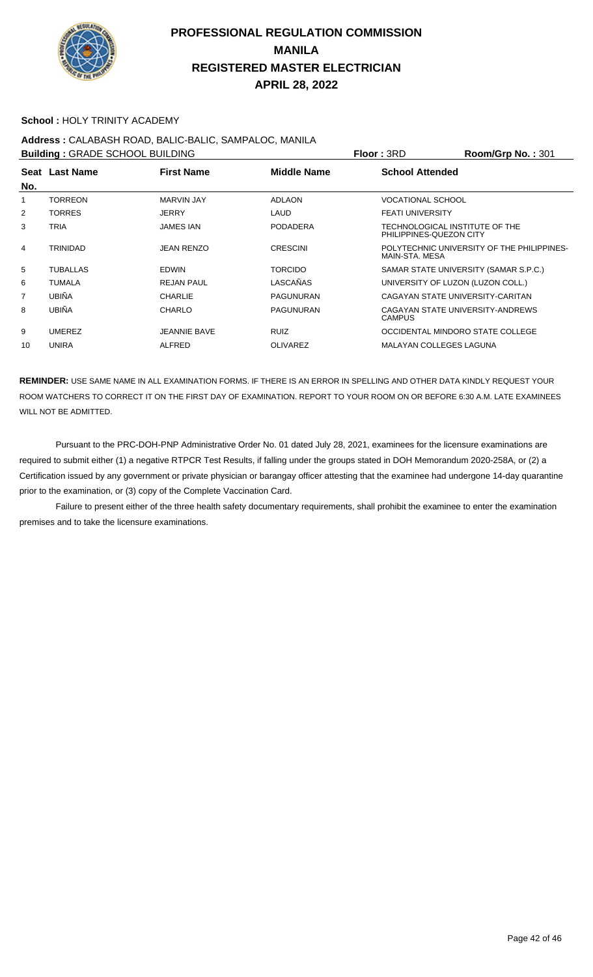

#### **School :** HOLY TRINITY ACADEMY

# **Address :** CALABASH ROAD, BALIC-BALIC, SAMPALOC, MANILA

| <b>Building: GRADE SCHOOL BUILDING</b> |                |                     |                    | <b>Floor: 3RD</b>                                         | <b>Room/Grp No.: 301</b>                   |
|----------------------------------------|----------------|---------------------|--------------------|-----------------------------------------------------------|--------------------------------------------|
| No.                                    | Seat Last Name | <b>First Name</b>   | <b>Middle Name</b> | <b>School Attended</b>                                    |                                            |
|                                        | TORREON        | <b>MARVIN JAY</b>   | <b>ADLAON</b>      | <b>VOCATIONAL SCHOOL</b>                                  |                                            |
| 2                                      | <b>TORRES</b>  | <b>JERRY</b>        | LAUD               | <b>FEATI UNIVERSITY</b>                                   |                                            |
| 3                                      | TRIA           | <b>JAMES IAN</b>    | <b>PODADERA</b>    | TECHNOLOGICAL INSTITUTE OF THE<br>PHILIPPINES-QUEZON CITY |                                            |
| 4                                      | TRINIDAD       | JEAN RENZO          | <b>CRESCINI</b>    | MAIN-STA, MESA                                            | POLYTECHNIC UNIVERSITY OF THE PHILIPPINES- |
| 5                                      | TUBALLAS       | <b>EDWIN</b>        | <b>TORCIDO</b>     |                                                           | SAMAR STATE UNIVERSITY (SAMAR S.P.C.)      |
| 6                                      | TUMALA         | <b>REJAN PAUL</b>   | LASCAÑAS           | UNIVERSITY OF LUZON (LUZON COLL.)                         |                                            |
| $\overline{7}$                         | <b>UBIÑA</b>   | <b>CHARLIE</b>      | <b>PAGUNURAN</b>   | CAGAYAN STATE UNIVERSITY-CARITAN                          |                                            |
| 8                                      | <b>UBIÑA</b>   | <b>CHARLO</b>       | <b>PAGUNURAN</b>   | CAGAYAN STATE UNIVERSITY-ANDREWS<br><b>CAMPUS</b>         |                                            |
| 9                                      | <b>UMEREZ</b>  | <b>JEANNIE BAVE</b> | <b>RUIZ</b>        | OCCIDENTAL MINDORO STATE COLLEGE                          |                                            |
| 10                                     | <b>UNIRA</b>   | <b>ALFRED</b>       | <b>OLIVAREZ</b>    | MALAYAN COLLEGES LAGUNA                                   |                                            |

**REMINDER:** USE SAME NAME IN ALL EXAMINATION FORMS. IF THERE IS AN ERROR IN SPELLING AND OTHER DATA KINDLY REQUEST YOUR ROOM WATCHERS TO CORRECT IT ON THE FIRST DAY OF EXAMINATION. REPORT TO YOUR ROOM ON OR BEFORE 6:30 A.M. LATE EXAMINEES WILL NOT BE ADMITTED.

 Pursuant to the PRC-DOH-PNP Administrative Order No. 01 dated July 28, 2021, examinees for the licensure examinations are required to submit either (1) a negative RTPCR Test Results, if falling under the groups stated in DOH Memorandum 2020-258A, or (2) a Certification issued by any government or private physician or barangay officer attesting that the examinee had undergone 14-day quarantine prior to the examination, or (3) copy of the Complete Vaccination Card.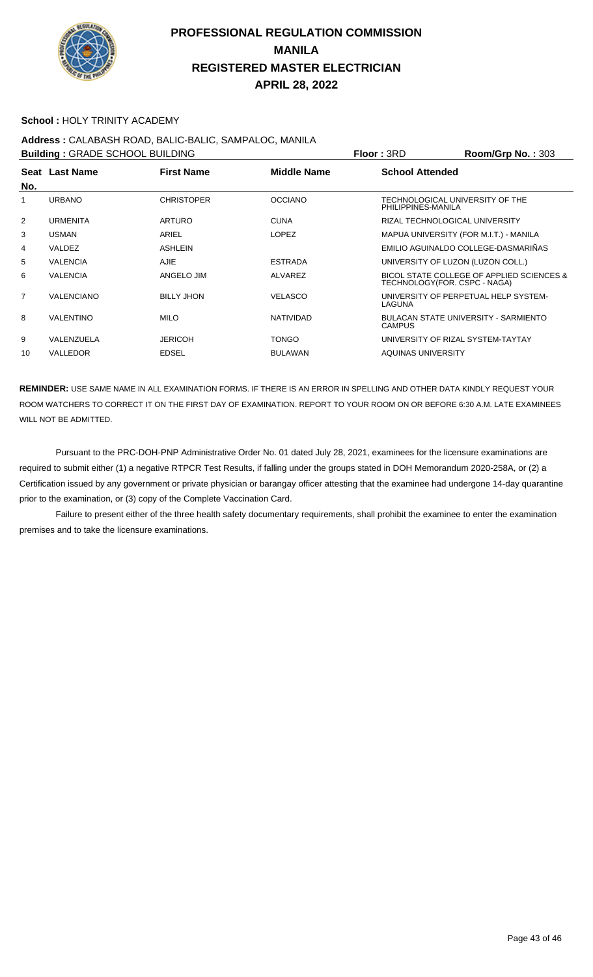

#### **School :** HOLY TRINITY ACADEMY

## **Address :** CALABASH ROAD, BALIC-BALIC, SAMPALOC, MANILA

**Building : GRADE SCHOOL BUILDING Floor : 3RD Room/Grp No. : 303 Seat** Last Name **No. Last Name First Name Middle Name School Attended** 1 URBANO CHRISTOPER OCCIANO TECHNOLOGICAL UNIVERSITY OF THE PHILIPPINES-MANILA 2 URMENITA ARTURO CUNA RIZAL TECHNOLOGICAL UNIVERSITY 3 USMAN ARIEL ARIEL LOPEZ MAPUA UNIVERSITY (FOR M.I.T.) - MANILA 4 VALDEZ ASHLEIN EMILIO AGUINALDO COLLEGE-DASMARIÑAS 5 VALENCIA AJIE ESTRADA UNIVERSITY OF LUZON (LUZON COLL.) 6 VALENCIA ANGELO JIM ALVAREZ BICOL STATE COLLEGE OF APPLIED SCIENCES & TECHNOLOGY(FOR. CSPC - NAGA) 7 VALENCIANO BILLY JHON VELASCO UNIVERSITY OF PERPETUAL HELP SYSTEM-LAGUNA 8 VALENTINO MILO MILO NATIVIDAD BULACAN STATE UNIVERSITY - SARMIENTO **CAMPUS** 9 VALENZUELA JERICOH TONGO UNIVERSITY OF RIZAL SYSTEM-TAYTAY 10 VALLEDOR EDSEL BULAWAN AQUINAS UNIVERSITY

**REMINDER:** USE SAME NAME IN ALL EXAMINATION FORMS. IF THERE IS AN ERROR IN SPELLING AND OTHER DATA KINDLY REQUEST YOUR ROOM WATCHERS TO CORRECT IT ON THE FIRST DAY OF EXAMINATION. REPORT TO YOUR ROOM ON OR BEFORE 6:30 A.M. LATE EXAMINEES WILL NOT BE ADMITTED.

 Pursuant to the PRC-DOH-PNP Administrative Order No. 01 dated July 28, 2021, examinees for the licensure examinations are required to submit either (1) a negative RTPCR Test Results, if falling under the groups stated in DOH Memorandum 2020-258A, or (2) a Certification issued by any government or private physician or barangay officer attesting that the examinee had undergone 14-day quarantine prior to the examination, or (3) copy of the Complete Vaccination Card.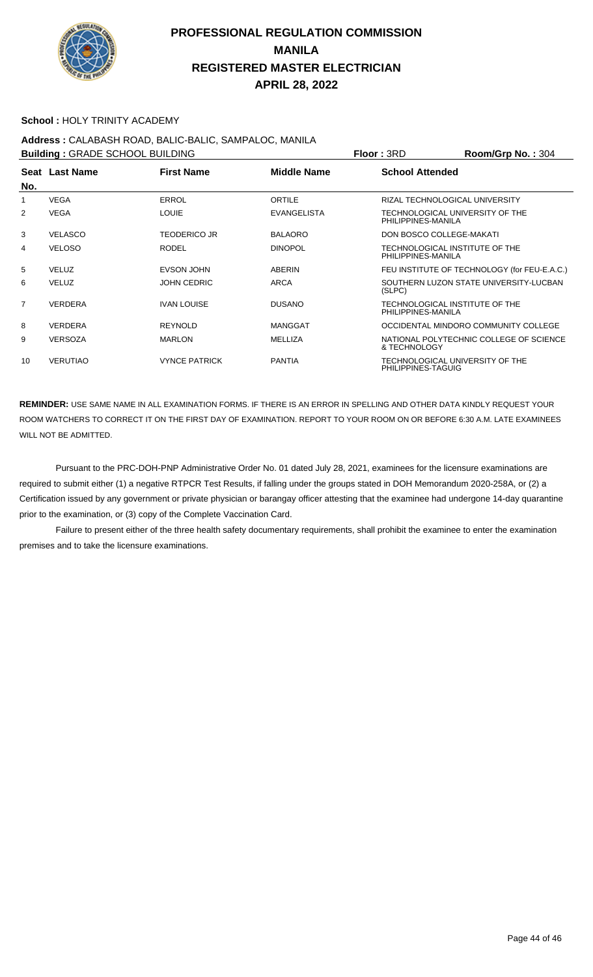

#### **School :** HOLY TRINITY ACADEMY

**Address :** CALABASH ROAD, BALIC-BALIC, SAMPALOC, MANILA **Building : GRADE SCHOOL BUILDING Floor : 3RD Room/Grp No. : 304 Seat** Last Name **No. Last Name First Name Middle Name School Attended** 1 VEGA ERROL **ERROL ORTILE RIZAL TECHNOLOGICAL UNIVERSITY** 2 VEGA LOUIE EVANGELISTA TECHNOLOGICAL UNIVERSITY OF THE PHILIPPINES-MANILA 3 VELASCO TEODERICO JR BALAORO DON BOSCO COLLEGE-MAKATI 4 VELOSO RODEL RODEL DINOPOL TECHNOLOGICAL INSTITUTE OF THE PHILIPPINES-MANILA 5 VELUZ EVSON JOHN ABERIN FEU INSTITUTE OF TECHNOLOGY (for FEU-E.A.C.) 6 VELUZ JOHN CEDRIC ARCA SOUTHERN LUZON STATE UNIVERSITY-LUCBAN (SLPC) 7 VERDERA IVAN LOUISE DUSANO TECHNOLOGICAL INSTITUTE OF THE PHILIPPINES-MANILA 8 VERDERA REYNOLD MANGGAT OCCIDENTAL MINDORO COMMUNITY COLLEGE 9 VERSOZA MARLON MELLIZA NATIONAL POLYTECHNIC COLLEGE OF SCIENCE & TECHNOLOGY 10 VERUTIAO VYNCE PATRICK PANTIA TECHNOLOGICAL UNIVERSITY OF THE PHILIPPINES-TAGUIG

**REMINDER:** USE SAME NAME IN ALL EXAMINATION FORMS. IF THERE IS AN ERROR IN SPELLING AND OTHER DATA KINDLY REQUEST YOUR ROOM WATCHERS TO CORRECT IT ON THE FIRST DAY OF EXAMINATION. REPORT TO YOUR ROOM ON OR BEFORE 6:30 A.M. LATE EXAMINEES WILL NOT BE ADMITTED.

 Pursuant to the PRC-DOH-PNP Administrative Order No. 01 dated July 28, 2021, examinees for the licensure examinations are required to submit either (1) a negative RTPCR Test Results, if falling under the groups stated in DOH Memorandum 2020-258A, or (2) a Certification issued by any government or private physician or barangay officer attesting that the examinee had undergone 14-day quarantine prior to the examination, or (3) copy of the Complete Vaccination Card.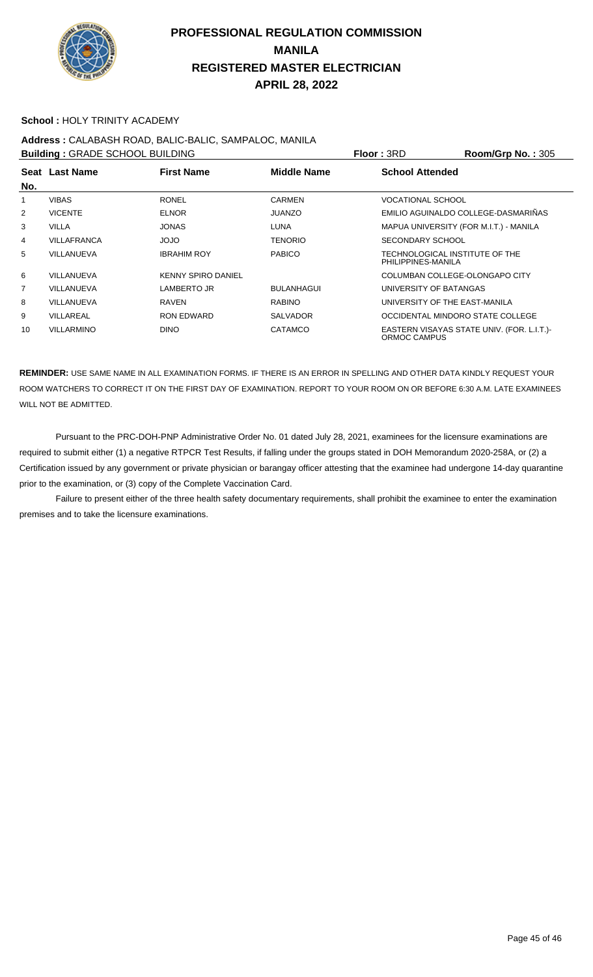

#### **School :** HOLY TRINITY ACADEMY

# **Address :** CALABASH ROAD, BALIC-BALIC, SAMPALOC, MANILA

| <b>Building: GRADE SCHOOL BUILDING</b> |                    |                           |                   | Floor: 3RD                                           | Room/Grp No.: 305                          |
|----------------------------------------|--------------------|---------------------------|-------------------|------------------------------------------------------|--------------------------------------------|
|                                        | Seat Last Name     | <b>First Name</b>         | Middle Name       | <b>School Attended</b>                               |                                            |
| No.                                    |                    |                           |                   |                                                      |                                            |
|                                        | <b>VIBAS</b>       | <b>RONEL</b>              | <b>CARMEN</b>     | <b>VOCATIONAL SCHOOL</b>                             |                                            |
| 2                                      | <b>VICENTE</b>     | <b>ELNOR</b>              | <b>JUANZO</b>     |                                                      | EMILIO AGUINALDO COLLEGE-DASMARIÑAS        |
| 3                                      | <b>VILLA</b>       | <b>JONAS</b>              | <b>LUNA</b>       | MAPUA UNIVERSITY (FOR M.I.T.) - MANILA               |                                            |
| 4                                      | <b>VILLAFRANCA</b> | OLOL                      | TENORIO           | <b>SECONDARY SCHOOL</b>                              |                                            |
| 5                                      | VILLANUEVA         | <b>IBRAHIM ROY</b>        | <b>PABICO</b>     | TECHNOLOGICAL INSTITUTE OF THE<br>PHILIPPINES-MANILA |                                            |
| 6                                      | VILLANUEVA         | <b>KENNY SPIRO DANIEL</b> |                   | COLUMBAN COLLEGE-OLONGAPO CITY                       |                                            |
| 7                                      | VILLANUEVA         | LAMBERTO JR               | <b>BULANHAGUI</b> | UNIVERSITY OF BATANGAS                               |                                            |
| 8                                      | VILLANUEVA         | RAVEN                     | <b>RABINO</b>     | UNIVERSITY OF THE EAST-MANILA                        |                                            |
| 9                                      | VILLAREAL          | <b>RON EDWARD</b>         | <b>SALVADOR</b>   | OCCIDENTAL MINDORO STATE COLLEGE                     |                                            |
| 10                                     | <b>VILLARMINO</b>  | <b>DINO</b>               | <b>CATAMCO</b>    | ORMOC CAMPUS                                         | EASTERN VISAYAS STATE UNIV. (FOR. L.I.T.)- |

**REMINDER:** USE SAME NAME IN ALL EXAMINATION FORMS. IF THERE IS AN ERROR IN SPELLING AND OTHER DATA KINDLY REQUEST YOUR ROOM WATCHERS TO CORRECT IT ON THE FIRST DAY OF EXAMINATION. REPORT TO YOUR ROOM ON OR BEFORE 6:30 A.M. LATE EXAMINEES WILL NOT BE ADMITTED.

 Pursuant to the PRC-DOH-PNP Administrative Order No. 01 dated July 28, 2021, examinees for the licensure examinations are required to submit either (1) a negative RTPCR Test Results, if falling under the groups stated in DOH Memorandum 2020-258A, or (2) a Certification issued by any government or private physician or barangay officer attesting that the examinee had undergone 14-day quarantine prior to the examination, or (3) copy of the Complete Vaccination Card.